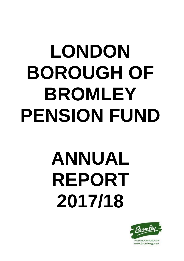## **LONDON BOROUGH OF BROMLEY PENSION FUND**

# **ANNUAL REPORT 2017/18**

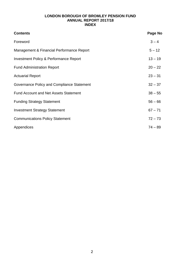## **LONDON BOROUGH OF BROMLEY PENSION FUND ANNUAL REPORT 2017/18 INDEX**

| <b>Contents</b>                                   | Page No   |
|---------------------------------------------------|-----------|
| Foreword                                          | $3 - 4$   |
| Management & Financial Performance Report         | $5 - 12$  |
| <b>Investment Policy &amp; Performance Report</b> | $13 - 19$ |
| <b>Fund Administration Report</b>                 | $20 - 22$ |
| <b>Actuarial Report</b>                           | $23 - 31$ |
| Governance Policy and Compliance Statement        | $32 - 37$ |
| <b>Fund Account and Net Assets Statement</b>      | $38 - 55$ |
| <b>Funding Strategy Statement</b>                 | $56 - 66$ |
| <b>Investment Strategy Statement</b>              | $67 - 71$ |
| <b>Communications Policy Statement</b>            | $72 - 73$ |
| Appendices                                        | $74 - 89$ |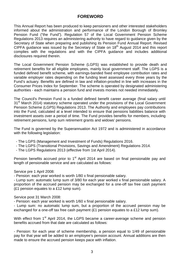## **FOREWORD**

This Annual Report has been produced to keep pensioners and other interested stakeholders informed about the administration and performance of the London Borough of Bromley Pension Fund ("the Fund"). Regulation 57 of the Local Government Pension Scheme Regulations 2013 requires an administering authority to have regard to guidance given by the Secretary of State when preparing and publishing its Pension Fund Annual Report. Revised CIPFA guidance was issued by the Secretary of State on 18th August 2014 and this report complies with the regulations and with the CIPFA guidance and includes additional disclosures required therein.

The Local Government Pension Scheme (LGPS) was established to provide death and retirement benefits for all eligible employees, mainly local government staff. The LGPS is a funded defined benefit scheme, with earnings-banded fixed employee contribution rates and variable employer rates depending on the funding level assessed every three years by the Fund's actuary. Benefits are defined in law and inflation-proofed in line with increases in the Consumer Prices Index for September. The scheme is operated by designated administering authorities - each maintains a pension fund and invests monies not needed immediately.

The Council's Pension Fund is a funded defined benefit career average (final salary until 31<sup>st</sup> March 2014) statutory scheme operated under the provisions of the Local Government Pension Scheme (LGPS) Regulations 2013. The Authority and employees pay contributions into the Fund, calculated at a level intended to ensure that pensions liabilities balance with investment assets over a period of time. The Fund provides benefits for members, including retirement pensions, lump sum retirement grants and widows' pensions.

The Fund is governed by the Superannuation Act 1972 and is administered in accordance with the following legislation:

- The LGPS (Management and Investment of Funds) Regulations 2016.
- The LGPS (Transitional Provisions, Savings and Amendment) Regulations 2014.
- The LGPS Regulations 2013 (effective from 1st April 2014).

Pension benefits accrued prior to 1<sup>st</sup> April 2014 are based on final pensionable pay and length of pensionable service and are calculated as follows:

#### Service pre 1 April 2008:

- Pension: each year worked is worth 1/80 x final pensionable salary.

- Lump sum: automatic lump sum of 3/80 for each year worked x final pensionable salary. A proportion of the accrued pension may be exchanged for a one-off tax free cash payment (£1 pension equates to a £12 lump sum).

Service post 31 March 2008:

- Pension: each year worked is worth 1/60 x final pensionable salary.

- Lump sum: no automatic lump sum, but a proportion of the accrued pension may be exchanged for a one-off tax free cash payment (£1 pension equates to a £12 lump sum).

With effect from 1<sup>st</sup> April 2014, the LGPS became a career-average scheme and pension benefits accrued from that date are calculated as follows:

- Pension: for each year of scheme membership, a pension equal to 1/49 of pensionable pay for that year will be added to an employee's pension account. Annual additions are then made to ensure the accrued pension keeps pace with inflation.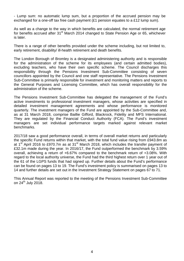- Lump sum: no automatic lump sum, but a proportion of the accrued pension may be exchanged for a one-off tax free cash payment (£1 pension equates to a £12 lump sum).

As well as a change to the way in which benefits are calculated, the normal retirement age for benefits accrued after 31<sup>st</sup> March 2014 changed to State Pension Age or 65, whichever is later.

There is a range of other benefits provided under the scheme including, but not limited to, early retirement, disability/ ill-health retirement and death benefits.

The London Borough of Bromley is a designated administering authority and is responsible for the administration of the scheme for its employees (and certain admitted bodies), excluding teachers, who have their own specific scheme. The Council discharges this responsibility through the Pensions Investment Sub-Committee consisting of seven councillors appointed by the Council and one staff representative. The Pensions Investment Sub-Committee is primarily responsible for investment and monitoring matters and reports to the General Purposes and Licensing Committee, which has overall responsibility for the administration of the scheme.

The Pensions Investment Sub-Committee has delegated the management of the Fund's active investments to professional investment managers, whose activities are specified in detailed investment management agreements and whose performance is monitored quarterly. The investment managers of the Fund are appointed by the Sub-Committee and, as at 31 March 2018, comprise Baillie Gifford, Blackrock, Fidelity and MFS International. They are regulated by the Financial Conduct Authority (FCA). The Fund's investment managers are set individual performance targets marked against relevant market benchmarks.

2017/18 saw a good performance overall, in terms of overall market returns and particularly the specific Fund returns within that market, with the total fund value rising from £943.8m as at  $1<sup>st</sup>$  April 2016 to £970.7m as at 31 $<sup>st</sup>$  March 2018, which includes the transfer payment of</sup> £32.1m made during the year. In 2016/17, the Fund outperformed the benchmark by 3.59% overall, achieving a return of +6.67% compared to the benchmark return of +3.08%. With regard to the local authority universe, the Fund had the third highest return over 1 year out of the 61 of the LGPS funds that had signed up. Further details about the Fund's performance can be found on pages 13 to 19. The Fund's investment policy is summarised on pages 13 to 14 and further details are set out in the Investment Strategy Statement on pages 67 to 71.

This Annual Report was reported to the meeting of the Pensions Investment Sub-Committee on  $24^{th}$  July 2018.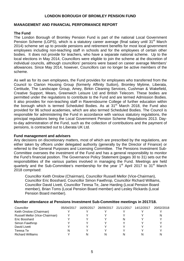#### **LONDON BOROUGH OF BROMLEY PENSION FUND**

#### **MANAGEMENT AND FINANCIAL PERFORMANCE REPORT**

#### **The Fund**

The London Borough of Bromley Pension Fund is part of the national Local Government Pension Scheme (LGPS), which is a statutory career average (final salary until 31<sup>st</sup> March 2014) scheme set up to provide pensions and retirement benefits for most local government employees including non-teaching staff in schools and for the employees of certain other bodies. It does not provide for teachers, who have a separate national scheme. Up to the local elections in May 2014, Councillors were eligible to join the scheme at the discretion of individual councils, although councillors' pensions were based on career average Members' allowances. Since May 2014, however, Councillors can no longer be active members of the scheme.

As well as for its own employees, the Fund provides for employees who transferred from the Council to Clarion Housing Group (formerly Affinity Sutton), Bromley Mytime, Liberata, Certitude, The Landscape Group, Amey, Birkin Cleaning Services, Cushman & Wakefield, Creative Support, Mears, Greenwich Leisure Ltd and British Telecom. These bodies are permitted under the regulations to contribute to the Fund and are termed Admission Bodies. It also provides for non-teaching staff in Ravensbourne College of further education within the borough which is termed Scheduled Bodies. As at  $31<sup>st</sup>$  March 2018, the Fund also provided for 96 school academies, which are also termed Scheduled Bodies. The Council is responsible for administering the Fund in accordance with various statutory regulations, the principal regulations being the Local Government Pension Scheme Regulations 2013. Dayto-day administration of the Fund, such as the collection of contributions and the payment of pensions, is contracted out to Liberata UK Ltd.

#### **Fund management and advisers**

Any decisions on discretionary matters, most of which are prescribed by the regulations, are either taken by officers under delegated authority (generally by the Director of Finance) or referred to the General Purposes and Licensing Committee. The Pensions Investment Sub-Committee oversees the investment of the Fund and has a general responsibility to monitor the Fund's financial position. The Governance Policy Statement (pages 30 to 31) sets out the responsibilities of the various parties involved in managing the Fund. Meetings are held quarterly and the Sub-Committee's membership for the year 1<sup>st</sup> April 2017 to 31<sup>st</sup> March 2018 comprised:

Councillor Keith Onslow (Chairman), Councillor Russell Mellor (Vice-Chairman), Councillor Eric Bosshard, Councillor Simon Fawthrop, Councillor Richard Williams, Councillor David Livett, Councillor Teresa Te, Jane Harding (Local Pension Board member), Brian Toms (Local Pension Board member) and Lesley Rickards (Local Pension Board member).

| Councillor                     | 05/04/2017 | 16/05/2017 | 26/09/2017 21/11/2017 | 14/12/2017 | 20/02/2018 |
|--------------------------------|------------|------------|-----------------------|------------|------------|
| Keith Onslow (Chairman)        |            |            |                       |            |            |
| Russell Mellor (Vice-Chairman) |            |            |                       |            | N          |
| Eric Bosshard                  |            |            | N                     |            |            |
| Simon Fawthrop                 |            |            |                       |            |            |
| David Livett                   |            |            |                       |            |            |
| Teresa Te                      |            |            |                       |            |            |
| <b>Richard Williams</b>        |            |            | N                     |            | N          |

#### **Member attendance at Pensions Investment Sub-Committee meetings in 2017/18.**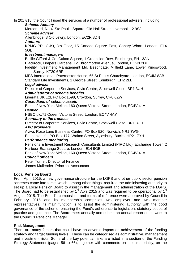In 2017/18, the Council used the services of a number of professional advisers, including:

#### *Scheme Actuary*

Mercer Ltd, No 4, Ste Paul's Square, Old Hall Street, Liverpool, L2 9SJ

## *Scheme adviser*

Allenbridge, 8 Old Jewry, London, EC2R 8DN

*Auditors*

KPMG PPL (UK), 8th Floor, 15 Canada Square East, Canary Wharf, London, E14 5GL

#### *Investment managers*

Baillie Gifford & Co, Calton Square, 1 Greenside Row, Edinburgh, EH1 3AN Blackrock, Drapers Gardens, 12 Throgmorton Avenue, London, EC2N 2DL Fidelity Investment Management Ltd, Beechgate, Millfield Lane, Lower Kingswood,

Surrey, KT20 6RP

MFS International, Paternoster House, 65 St Paul's Churchyard, London, EC4M 8AB Standard Life Investments, 1 George Street, Edinburgh, EH2 2LL

#### *Legal adviser*

Director of Corporate Services, Civic Centre, Stockwell Close, BR1 3UH *Administrator of scheme benefits*

Liberata UK Ltd, PO Box 1598, Croydon, Surrey, CR0 0ZW

#### *Custodians of scheme assets*

Bank of New York Mellon, 160 Queen Victoria Street, London, EC4V 4LA *Banker*

HSBC plc,71 Queen Victoria Street, London, EC4V 4AY

#### *Secretary to the trustees*

Director of Corporate Services, Civic Centre, Stockwell Close, BR1 3UH *AVC providers*

Aviva, Rose Lane Business Centre, PO Box 520, Norwich, NR1 3WG Equitable Life, PO Box 177, Walton Street, Aylesbury, Bucks, HP21 7YH

#### *Performance monitoring*

Pensions & Investment Research Consultants Limited (PIRC Ltd), Exchange Tower, 2 Harbour Exchange Square, London, E14 9GE

Bank of New York Mellon, 160 Queen Victoria Street, London, EC4V 4LA *Council officers*

Peter Turner, Director of Finance James Mullender, Principal Accountant

## **Local Pension Board**

From April 2015, a new governance structure for the LGPS and other public sector pension schemes came into force, which, among other things, required the administering authority to set up a Local Pension Board to assist in the management and administration of the LGPS. The Board had to be established by  $1<sup>st</sup>$  April 2015 and was required to be operational by  $1<sup>st</sup>$ August 2015. The Board's composition and terms of reference were approved by Council in February 2015 and its membership comprises two employer and two member representatives. Its main function is to assist the administering authority with the good governance of the scheme, ensuring the Fund's adherence to legislation, statutory codes of practice and guidance. The Board meet annually and submit an annual report on its work to the Council's Pensions Manager.

## **Risk Management**

There are many factors that could have an adverse impact on achievement of the funding strategy and target funding levels. These can be categorised as administrative, management and investment risks. Some of the key potential risks are listed in a section of the Funding Strategy Statement (pages 56 to 66), together with comments on their materiality, on the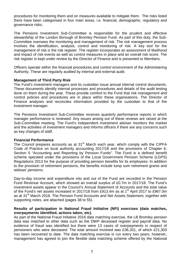procedures for monitoring them and on measures available to mitigate them. The risks listed there have been categorised in four main areas, i.e. financial, demographic, regulatory and governance risks.

The Pensions Investment Sub-Committee is responsible for the prudent and effective stewardship of the London Borough of Bromley Pension Fund. As part of this duty, the Sub-Committee oversees the monitoring and management of risk. The risk management process involves the identification, analysis, control and monitoring of risk. A key tool for the management of risk is the risk register. The register incorporates an assessment of likelihood and impact of risk events as well as control measures in place and an overall risk score. The risk register is kept under review by the Director of Finance and is presented to Members.

Officers operate within the financial procedures and control environment of the Administering Authority. These are regularly audited by internal and external audit.

#### **Management of Third Party Risk**

The Fund's investment managers and its custodian issue annual internal control documents. These documents identify internal processes and procedures and details of the audit testing done on them during the year. These provide comfort to the Fund that risk management and control policies and procedures are in place within these organisations. The Director of Finance analyses and reconciles information provided by the custodian to that of the investment manager.

The Pensions Investment Sub-Committee receives quarterly performance reports in which manager performance is reviewed. Any issues arising out of these reviews are raised at the Sub-Committee meeting. The Fund's independent investment adviser monitors the market and the activities of investment managers and informs officers if there are any concerns such as key changes of staff.

#### **Financial Performance**

The Council prepares accounts as at 31<sup>st</sup> March each year, which comply with the CIPFA Code of Practice on local authority accounting 2017/18 and the provisions of Chapter 6, Section 5 "Accounting and Reporting by Pension Funds". The Fund is a defined benefit scheme operated under the provisions of the Local Government Pension Scheme (LGPS) Regulations 2013 for the purpose of providing pension benefits for its employees. In addition to the provision of retirement pensions, the benefits include lump sum retirement grants and widows' pensions.

Day-to-day income and expenditure into and out of the Fund are recorded in the Pension Fund Revenue Account, which showed an overall surplus of £0.7m in 2017/18. The Fund's investment assets appear in the Council's Annual Statement of Accounts and the total value of the Fund's net assets increased in 2017/18 from £913.4m as at 1<sup>st</sup> April 2017 to £967.0m as at 31<sup>st</sup> March 2018. The Pension Fund Accounts and Net Assets Statement, together with supporting notes, are attached (pages 38 to 55).

#### **Results of participation in National Fraud Initiative (NFI) exercises (data matches, overpayments identified, actions taken, etc).**

As part of the National Fraud Initiative 2016 data matching exercise, the LB Bromley pension data was matched to other data such as the DWP deceased register and payroll data. No evidence of fraud was identified but there were 13 cases of overpayments in respect of pensioners who were deceased. The total amount involved was £36,331, of which £21,303 has been recovered to date. The data matching exercise is run every two years; however, management has agreed to join the flexible data matching scheme offered by the National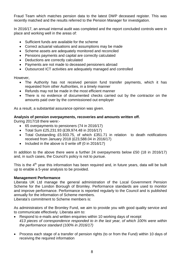Fraud Team which matches pension data to the latest DWP deceased register. This was recently matched and the results referred to the Pension Manager for investigation.

In 2016/17, an annual internal audit was completed and the report concluded controls were in place and working well in the areas of:

- Sufficient funds are available for the scheme
- Correct actuarial valuations and assumptions may be made
- Scheme assets are adequately monitored and reconciled
- Pensions payments and capital are correctly calculated
- Deductions are correctly calculated
- Payments are not made to deceased pensioners abroad
- Outsourced ICT activities are adequately managed and controlled

However,

- The Authority has not received pension fund transfer payments, which it has requested from other Authorities, in a timely manner
- Refunds may not be made in the most efficient manner
- There is no evidence of documented checks carried out by the contractor on the amounts paid over by the commissioned out employer

As a result, a substantial assurance opinion was given.

#### **Analysis of pension overpayments, recoveries and amounts written off.**

During 2017/18 there were:-

- 65 overpayments to pensioners (74 in 2016/17)
- Total Sum £25,231.93 (£39,974.48 in 2016/17)
- Total Outstanding £5.933.75, of which £351.71 in relation to death notifications received from January 2018 (£23,588.04 in 2016/17)
- Included in the above is 0 write off (0 in 2016/17)

In addition to the above there were a further 24 overpayments below £50 (18 in 2016/17) and, in such cases, the Council's policy is not to pursue.

This is the  $4<sup>th</sup>$  year this information has been required and, in future years, data will be built up to enable a 5-year analysis to be provided.

#### **Management Performance**

Liberata UK Ltd manage the general administration of the Local Government Pension Scheme for the London Borough of Bromley. Performance standards are used to monitor and improve performance. Performance is reported regularly to the Council and is published annually for the information of Scheme members.

Liberata's commitment to Scheme members is:

As administrators of the Bromley Fund, we aim to provide you with good quality service and to communicate effectively. Liberata aim to:

- Respond to e-mails and written enquiries within 10 working days of receipt *413 pieces of correspondence responded to in the last year, of which 100% were within the performance standard (100% in 2016/17)*
- Process each stage of a transfer of pension rights (to or from the Fund) within 10 days of receiving the required information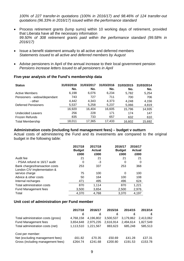*100% of 227 transfer-in quotations (100% in 2016/17) and 98.46% of 124 transfer-out quotations (96.33% in 2016/17) issued within the performance standard* 

- Process retirement grants (lump sums) within 10 working days of retirement, provided that Liberata have all the necessary information *99.50% of 308 retirement grants paid within the performance standard (99.58% in 2016/17)*
- Issue a benefit statement annually to all active and deferred members *Statements issued to all active and deferred members by August*
- Advise pensioners in April of the annual increase to their local government pension *Pensions increase letters issued to all pensioners in April*

#### **Five-year analysis of the Fund's membership data**

| <b>Status</b>                | 31/03/2018<br>No. | 31/03/2017<br>No. | 31/03/2016<br>No. | 31/03/2015<br>No. | 31/03/2014<br>No. |
|------------------------------|-------------------|-------------------|-------------------|-------------------|-------------------|
| <b>Active Members</b>        | 6,198             | 6,076             | 6,234             | 5,782             | 5,254             |
| Pensioners - widow/dependant | 743               | 727               | 711               | 700               | 706               |
| - other                      | 4,442             | 4,343             | 4,373             | 4.248             | 4,156             |
| <b>Deferred Pensioners</b>   | 5,537             | 5,258             | 5,237             | 5,066             | 4,819             |
|                              | 16,920            | 16,404            | 16,605            | 15,796            | 14,935            |
| <b>Undecided Leavers</b>     | 256               | 228               | 171               | 174               | 147               |
| <b>Frozen Refunds</b>        | 835               | 733               | 657               | 632               | 610               |
| <b>Total Membership</b>      | 18,011            | 17,365            | 17,433            | 16,602            | 15,692            |

#### **Administration costs (including fund management fees) – budget v outturn**

Actual costs of administering the Fund and its investments are compared to the original budget in the following table:

|                                                               | 2017/18<br><b>Budget</b> | 2017/18<br><b>Actual</b> | 2016/17<br><b>Budget</b> | 2016/17<br><b>Actual</b> |
|---------------------------------------------------------------|--------------------------|--------------------------|--------------------------|--------------------------|
|                                                               | £000                     | £000                     | £000                     | £000                     |
| Audit fee                                                     | 21                       | 21                       | 21                       | 21                       |
| - PSAA refund re 16/17 audit                                  | 0                        | -3                       | 0                        | 0                        |
| Bank charges/transaction costs<br>London CIV implementation & | 253                      | 337                      | 253                      | 368                      |
| service charge                                                | 75                       | 100                      | 0                        | 100                      |
| Advice & other costs                                          | 50                       | 164                      | 100                      | 108                      |
| Internal recharges                                            | 471                      | 495                      | 496                      | 624                      |
| Total administration costs                                    | 870                      | 1,114                    | 870                      | 1,221                    |
| Fund Management fees                                          | 3,500                    | 3,654                    | 2,500                    | 2,976                    |
| Total                                                         | 4,370                    | 4,768                    | 3,370                    | 4,197                    |

#### **Unit cost of administration per Fund member**

|                                    | 2017/18   | 2016/17   | 2015/16   | 2014/15   | 2013/14   |
|------------------------------------|-----------|-----------|-----------|-----------|-----------|
|                                    | £         | £         | £         |           | £         |
| Total administration costs (gross) | 4.768.158 | 4.196.802 | 3,500,537 | 3.179.862 | 2.413.062 |
| Fund Management fees               | 3.654.648 | 2.975.235 | 2,616,914 | 2.494.614 | 1,827,549 |
| Total administration costs (net)   | 1.113.510 | 1.221.567 | 883,623   | 685.248   | 585.513   |
| Cost per member:                   |           |           |           |           |           |
| Net (excluding management fees)    | £61.82    | £70.35    | £50.69    | £41.28    | £37.31    |
| Gross (including management fees)  | £264.74   | £241.68   | £200.80   | £191.53   | £153.78   |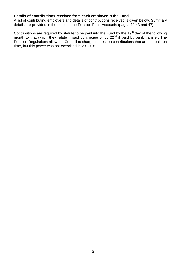#### **Details of contributions received from each employer in the Fund.**

A list of contributing employers and details of contributions received is given below. Summary details are provided in the notes to the Pension Fund Accounts (pages 42-43 and 47).

Contributions are required by statute to be paid into the Fund by the 19<sup>th</sup> day of the following month to that which they relate if paid by cheque or by 22<sup>nd</sup> if paid by bank transfer. The Pension Regulations allow the Council to charge interest on contributions that are not paid on time, but this power was not exercised in 2017/18.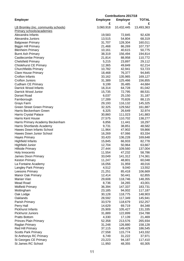|                                            | <b>Contributions 2017/18</b> |                 |              |  |  |  |
|--------------------------------------------|------------------------------|-----------------|--------------|--|--|--|
| <b>Employer</b>                            | <b>Employee</b>              | <b>Employer</b> | <b>TOTAL</b> |  |  |  |
|                                            | £                            | £               | £            |  |  |  |
| <b>LB Bromley (inc. community schools)</b> | 3,060,918                    | 10,432,445      | 13,493,363   |  |  |  |
| Primary schools/academies                  |                              |                 |              |  |  |  |
| Alexandra Infants                          | 19,583                       | 72,845          | 92,428       |  |  |  |
| Alexandra Juniors                          | 13,515                       | 54,804          | 68,319       |  |  |  |
| <b>Balgowan Primary</b>                    | 31,707                       | 128,304         | 160,011      |  |  |  |
| <b>Biggin Hill Primary</b>                 | 21,468                       | 86,269          | 107,737      |  |  |  |
| <b>Blenheim Primary</b>                    | 10,161                       | 40,615          | 50,775       |  |  |  |
| <b>Burnt Ash Primary</b>                   | 38,319                       | 156,494         | 194,814      |  |  |  |
| <b>Castlecombe Primary</b>                 | 21,814                       | 88,958          | 110,772      |  |  |  |
| <b>Chelsfield Primary</b>                  | 5,215                        | 23,897          | 29,112       |  |  |  |
| <b>Chislehurst CE Primary</b>              | 12,365                       | 49,849          | 62,214       |  |  |  |
| <b>Churchfields Primary</b>                | 10,782                       | 42,941          | 53,723       |  |  |  |
|                                            |                              |                 |              |  |  |  |
| <b>Clare House Primary</b>                 | 18,468                       | 76,377          | 94,845       |  |  |  |
| Crofton Infants                            | 33,162                       | 135,965         | 169,127      |  |  |  |
| Crofton Juniors                            | 31,389                       | 125,466         | 156,855      |  |  |  |
| <b>Cudham CE Primary</b>                   | 9,199                        | 35,485          | 44,684       |  |  |  |
| Darrick Wood Infants                       | 16,314                       | 64,728          | 81,042       |  |  |  |
| Darrick Wood Junior                        | 15,735                       | 72,795          | 88,531       |  |  |  |
| Dorset Road                                | 6,037                        | 25,150          | 31,187       |  |  |  |
| Farnborough                                | 17,289                       | 70,826          | 88,115       |  |  |  |
| Grays Farm                                 | 29,193                       | 116,132         | 145,325      |  |  |  |
| <b>Green Street Green Primary</b>          | 32,325                       | 129,562         | 161,887      |  |  |  |
| Harris Beckenham Green                     | 6,325                        | 26,649          | 32,974       |  |  |  |
| Harris Crystal Palace                      | 30,860                       | 111,023         | 141,883      |  |  |  |
| <b>Harris Kent House</b>                   | 27,575                       | 110,702         | 138,277      |  |  |  |
|                                            |                              | 11,441          |              |  |  |  |
| Harris Primary Academy Beckenham           | 6,856                        |                 | 18,297       |  |  |  |
| Harris Shortlands Academy                  | 9,731                        | 38,851          | 48,582       |  |  |  |
| <b>Hawes Down Infants School</b>           | 11,964                       | 47,902          | 59,866       |  |  |  |
| Hawes Down Junior School                   | 16,269                       | 67,066          | 83,334       |  |  |  |
| <b>Hayes Primary</b>                       | 33,420                       | 136,228         | 169,648      |  |  |  |
| <b>Highfield Infants</b>                   | 15,845                       | 66,933          | 82,778       |  |  |  |
| <b>Highfield Junior</b>                    | 12,704                       | 50,964          | 63,667       |  |  |  |
| <b>Hillside Primary</b>                    | 27,444                       | 109,560         | 137,004      |  |  |  |
| <b>Holy Innocents</b>                      | 11,554                       | 47,232          | 58,786       |  |  |  |
| James Dixon Primary                        | 33,049                       | 141,312         | 174,361      |  |  |  |
| <b>Keston Primary</b>                      | 11,247                       | 48,801          | 60,048       |  |  |  |
| La Fontaine Academy                        | 16,056                       | 31,959          | 48,016       |  |  |  |
| Langley Park Primary                       | 4,512                        | 9,040           | 13,552       |  |  |  |
| Leesons Primary                            | 21,251                       | 85,418          | 106,669      |  |  |  |
| <b>Manor Oak Primary</b>                   | 12,414                       | 50,441          | 62,855       |  |  |  |
| Marian Vian                                | 29,608                       | 118,746         | 148,355      |  |  |  |
| Mead Road                                  | 8,736                        | 34,265          | 43,001       |  |  |  |
| <b>Midfield Primary</b>                    | 36,394                       | 147,337         | 183,731      |  |  |  |
|                                            |                              |                 |              |  |  |  |
| Mottingham                                 | 23,185                       | 94,002          | 117,187      |  |  |  |
| Oak Lodge                                  | 30,128                       | 118,775         | 148,903      |  |  |  |
| Oaklands                                   | 28,592                       | 117,349         | 145,941      |  |  |  |
| Parish Primary                             | 33,579                       | 118,679         | 152,257      |  |  |  |
| Perry Hall                                 | 14,629                       | 69,719          | 84,348       |  |  |  |
| <b>Pickhurst Infants</b>                   | 25,909                       | 105,427         | 131,335      |  |  |  |
| <b>Pickhurst Juniors</b>                   | 31,889                       | 122,899         | 154,788      |  |  |  |
| <b>Pratts Bottom</b>                       | 4,330                        | 17,139          | 21,469       |  |  |  |
| <b>Princes Plain Primary</b>               | 52,358                       | 213,576         | 265,934      |  |  |  |
| Raglan Primary                             | 31,248                       | 126,880         | 158,128      |  |  |  |
| <b>Red Hill Primary</b>                    | 37,115                       | 149,429         | 186,545      |  |  |  |
| <b>Scotts Park Primary</b>                 | 27,558                       | 115,774         | 143,332      |  |  |  |
| St Anthonys RC Primary                     | 6,749                        | 31,222          | 37,971       |  |  |  |
| St Georges CE Primary                      | 23,223                       | 94,187          | 117,410      |  |  |  |
| St James RC School                         | 11,950                       | 48,355          | 60,305       |  |  |  |
|                                            |                              |                 |              |  |  |  |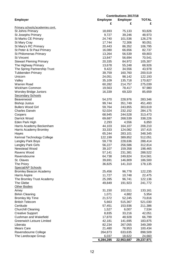|                                  | <b>Contributions 2017/18</b> |                 |              |
|----------------------------------|------------------------------|-----------------|--------------|
| <b>Employer</b>                  | <b>Employee</b>              | <b>Employer</b> | <b>TOTAL</b> |
|                                  | £                            | £               | £            |
| Primary schools/academies cont.  |                              |                 |              |
| St Johns Primary                 | 18,693                       | 75,133          | 93,826       |
| <b>St Josephs Primary</b>        | 9,727                        | 39,246          | 48,973       |
| St Marks CE Primary              | 24,740                       | 101,536         | 126,276      |
| <b>St Mary Cray</b>              | 17,744                       | 72,306          | 90,051       |
| St Mary's RC Primary             | 20,443                       | 86,352          | 106,795      |
| St Peter & St Paul Primary       | 16,080                       | 66,656          | 82,737       |
| St Philomenas Primary            | 13,264                       | 56,539          | 69,803       |
| <b>St Vincent</b>                | 13,847                       | 56,694          | 70,541       |
| <b>Stewart Fleming Primary</b>   | 20,335                       | 84,972          | 105,307      |
| The Highway Primary              | 13,678                       | 55,248          | 68,926       |
| The Spring Partnership Trust     | 9,422                        | 34,556          | 43,978       |
|                                  | 39,759                       | 160,760         |              |
| <b>Tubbenden Primary</b>         |                              |                 | 200,519      |
| Unicorn                          | 24,051                       | 98,142          | 122,193      |
| Valley                           | 35,109                       | 135,718         | 170,827      |
| Warren Road                      | 60,282                       | 214,757         | 275,039      |
| Wickham Common                   | 19,563                       | 78,417          | 97,980       |
| <b>Worsley Bridge Juniors</b>    | 16,339                       | 69,320          | 85,659       |
| <b>Secondary Schools</b>         |                              |                 |              |
| Beaverwood                       | 54,370                       | 228,976         | 283,346      |
| <b>Bishop Justus</b>             | 99,744                       | 351,749         | 451,493      |
| <b>Bullers Wood Girl</b>         | 59,764                       | 243,855         | 303,619      |
| <b>Charles Darwin</b>            | 52,024                       | 232,152         | 284,175      |
| Coopers                          | 68,945                       | 244,528         | 313,473      |
| Darrick Wood                     | 69,687                       | 268,539         | 338,226      |
| Eden Park High                   | 2,293                        | 4,556           | 6,850        |
| Harris Academy Beckenham         | 44,103                       | 164,107         | 208,210      |
| Harris Academy Bromley           | 33,333                       | 124,082         | 157,415      |
| Hayes                            | 65,244                       | 283,101         | 348,345      |
| Kemnal Technology College        | 122,199                      | 389,852         | 512,051      |
| Langley Park Boys                | 59,778                       | 228,636         | 288,414      |
| Langley Park Girls               | 56,227                       | 256,586         | 312,814      |
| Newstead Wood                    | 39,107                       | 159,358         | 198,465      |
| Ravens Wood                      | 57,141                       | 231,381         | 288,522      |
| Ravensbourne                     | 64,738                       | 249,824         | 314,561      |
| St. Olaves                       | 39,691                       | 146,809         | 186,500      |
| The Priory                       | 36,825                       | 141,310         | 178,135      |
| <b>Special/AP Schools</b>        |                              |                 |              |
| <b>Bromley Beacon Academy</b>    | 25,456                       | 96,778          | 122,235      |
| Harris Aspire                    | 11,727                       | 10,748          | 22,475       |
| The Bromley Trust Academy        | 25,395                       | 96,741          | 122,136      |
|                                  |                              |                 |              |
| The Glebe                        | 49,849                       | 191,923         | 241,772      |
| <b>Other Bodies</b>              |                              |                 |              |
| Amey                             | 31,150                       | 102,011         | 133,161      |
| <b>Birkin Cleaning</b>           | 1,071                        | 4,882           | 5,954        |
| <b>Bromley My Time</b>           | 21,572                       | 52,245          | 73,816       |
| <b>British Telecom</b>           | 5,663                        | 515,367         | 521,030      |
| Certitude                        | 57,451                       | 153,936         | 211,386      |
| <b>Churchill Cleaning</b>        | 1,527                        | 6,007           | 7,534        |
| <b>Creative Support</b>          | 8,835                        | 33,216          | 42,051       |
| <b>Cushman and Wakefield</b>     | 17,870                       | 48,928          | 66,799       |
| <b>Greenwich Leisure Limited</b> | 42,181                       | 141,695         | 183,875      |
| Liberata                         | 82,234                       | 267,055         | 349,289      |
| <b>Mears Care</b>                | 21,480                       | 78,953          | 100,434      |
| Ravensbourne College             | 264,873                      | 633,635         | 898,509      |
| The Landscape Group              | 6,037                        | 18,622          | 24,660       |
|                                  | 6,284,285                    | 22,953,687      | 29,237,971   |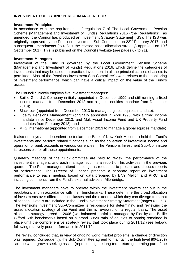#### **INVESTMENT POLICY AND PERFORMANCE REPORT**

#### **Investment Principles**

In accordance with the requirements of regulation 7 of The Local Government Pension Scheme (Management and Investment of Funds) Regulations 2016 ("the Regulations"), as amended, the Council has produced an Investment Strategy Statement (ISS). The ISS was originally approved by the Pensions Investment Sub-Committee on 22<sup>nd</sup> February 2017, and subsequent amendments (to reflect the revised asset allocation strategy) approved on 19<sup>th</sup> September 2017. This is published on the Council's website (see pages 67 to 71).

#### **Investment Managers**

Investment of the Fund is governed by the Local Government Pension Scheme (Management and Investment of Funds) Regulations 2016, which define the categories of investments that may be used. In practice, investment in all the principal classes of assets is permitted. Most of the Pensions Investment Sub-Committee's work relates to the monitoring of investment performance, which can have a critical impact on the value of the Fund's assets.

The Council currently employs five investment managers:

- Baillie Gifford & Company (initially appointed in December 1999 and still running a fixed income mandate from December 2012 and a global equities mandate from December 2013);
- Blackrock (appointed from December 2013 to manage a global equities mandate);
- Fidelity Pensions Management (originally appointed in April 1998, with a fixed income mandate since December 2013, and Multi-Asset Income Fund and UK Property Fund mandates from February 2018); and
- MFS International (appointed from December 2013 to manage a global equities mandate)

It also employs an independent custodian, the Bank of New York Mellon, to hold the Fund's investments and perform related functions such as the collection of investment income and operation of bank accounts in various currencies. The Pensions Investment Sub-Committee is responsible for all these appointments.

Quarterly meetings of the Sub-Committee are held to review the performance of the investment managers, and each manager submits a report on his activities in the previous quarter. The Fund managers attend meetings as requested to present and discuss reports on performance. The Director of Finance presents a separate report on investment performance to each meeting, based on data prepared by BNY Mellon and PIRC, and including comments from the Fund's external advisers, Allenbridge.

The investment managers have to operate within the investment powers set out in the regulations and in accordance with their benchmarks. These determine the broad allocation of investments over different asset classes and the extent to which they can diverge from that allocation. Details are included in the Fund's Investment Strategy Statement (pages 61 - 68). The Pensions Investment Sub-Committee is responsible for determining and reviewing the asset allocation strategy of the Fund and this is reviewed on a regular basis. The asset allocation strategy agreed in 2006 (two balanced portfolios managed by Fidelity and Baillie Gifford with benchmarks based on a broad 80:20 ratio of equities to bonds) remained in place until the comprehensive strategy review that took place during 2011/12 (see below), following relatively poor performance in 2011/12.

The review concluded that, in view of ongoing world market problems, a change of direction was required. Consequently, the Sub-Committee agreed to maintain the high level 80%/20% split between growth seeking assets (representing the long-term return generating part of the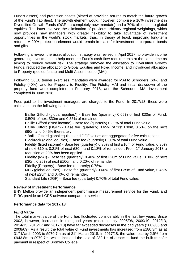Fund's assets) and protection assets (aimed at providing returns to match the future growth of the Fund's liabilities). The growth element would, however, comprise a 10% investment in Diversified Growth Funds (DGF - a completely new mandate) and a 70% allocation to global equities. The latter involved the elimination of previous arbitrary regional weightings, which now provides new managers with greater flexibility to take advantage of investment opportunities in the world's stock markets, thus, in theory at least, improving long-term returns. A 20% protection element would remain in place for investment in corporate bonds and gilts.

Following a review, the asset allocation strategy was revised in April 2017, to provide income generating investments to help meet the Fund's cash-flow requirements at the same time as aiming to reduce overall risk. The strategy removed the allocation to Diversified Growth Funds, reduced the allocation to Global Equities and Fixed Income, and introduced allocation to Property (pooled funds) and Multi-Asset Income (MAI).

Following OJEU tender exercises, mandates were awarded for MAI to Schroders (60%) and Fidelity (40%), and for Property to Fidelity. The Fidelity MAI and initial drawdown of the property fund were completed in February 2018, and the Schroders MAI investment completed in June 2018.

Fees paid to the investment managers are charged to the Fund. In 2017/18, these were calculated on the following bases:

Baillie Gifford (global equities\*) - Base fee (quarterly) 0.65% of first £30m of Fund, 0.50% of next £30m and 0.35% of remainder.

Baillie Gifford (fixed income) - Base fee (quarterly) 0.30% of total Fund value.

Baillie Gifford (DGF\*) - Base fee (quarterly) 0.65% of first £30m, 0.50% on the next £90m and 0.45% thereafter.

\* Ballie Gifford global equities and DGF values are aggregated for fee calculations Blackrock (global equities) - Base fee (quarterly) 0.30% of total Fund value.

Fidelity (fixed income) - Base fee (quarterly) 0.35% of first £10m of Fund value, 0.30% of next £10m, 0.21% of next £30m and 0.18% of remainder. From 1<sup>st</sup> January 2018 a reduction of 20% has been applied.

Fidelity (MAI) - Base fee (quarterly) 0.40% of first £20m of Fund value, 0.30% of next £30m, 0.25% of next £100m and 0.20% of remainder

Fidelity (Property) - Base fee (quarterly) 0.75%

MFS (global equities) - Base fee (quarterly) 0.60% of first £25m of Fund value, 0.45% of next £25m and 0.40% of remainder.

Standard Life (DGF) – Base fee (quarterly) 0.70% of total Fund value.

#### **Review of Investment Performance**

BNY Mellon provide an independent performance measurement service for the Fund, and PIRC provide an LGPS universe comparator service.

#### **Performance data for 2017/18**

#### *Fund Value*

The total market value of the Fund has fluctuated considerably in the last few years. Since 2002, however, increases in the good years (most notably 2005/06, 2009/10, 2012/13, 2014/15, 2016/17 and 2017/18) have far exceeded decreases in the bad years (2002/03 and 2008/09). As a result, the total value of Fund investments has increased from £180.3m as at  $31<sup>st</sup>$  March 2003 to £970.7m as at 31 $<sup>st</sup>$  March 2018. In 2017/18, the value rose by 2.9% from</sup> £943.8m to £970.7m, which included the sale of £32.1m of assets to fund the bulk transfer payment in respect of Bromley College.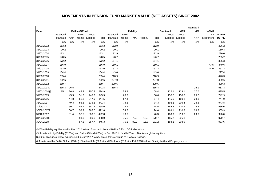#### **MOVEMENTS IN PENSION FUND MARKET VALUE (NET ASSETS) SINCE 2002**

|              |                            |            |                        |                    |       |                                   |       |                 |              |       |                    |                    | <b>Standard</b> |                          |                              |
|--------------|----------------------------|------------|------------------------|--------------------|-------|-----------------------------------|-------|-----------------|--------------|-------|--------------------|--------------------|-----------------|--------------------------|------------------------------|
| Date         |                            |            | <b>Baillie Gifford</b> |                    |       |                                   |       | <b>Fidelity</b> |              |       | <b>Blackrock</b>   | <b>MFS</b>         | Life            | <b>CAAM</b>              |                              |
|              | <b>Balanced</b><br>Mandate | <b>DGF</b> | Fixed<br>Income        | Global<br>Equities | Total | <b>Balanced</b><br>Mandate Income | Fixed |                 | MAI Property | Total | Global<br>Equities | Global<br>Equities | <b>DGF</b>      | <b>LDI</b><br>Investment | <b>GRAND</b><br><b>TOTAL</b> |
|              | £m                         | £m         | £m                     | £m                 | £m    | £m                                | £m    |                 |              | £m    | £m                 | £m                 | £m              | £m                       | £m                           |
| 31/03/2002   | 113.3                      |            |                        |                    | 113.3 | 112.9                             |       |                 |              | 112.9 |                    |                    |                 |                          | 226.2                        |
| 31/03/2003   | 90.2                       |            |                        |                    | 90.2  | 90.1                              |       |                 |              | 90.1  |                    |                    |                 |                          | 180.3                        |
| 31/03/2004   | 113.1                      |            |                        |                    | 113.1 | 112.9                             |       |                 |              | 112.9 |                    |                    |                 |                          | 226.0                        |
| 31/03/2005   | 128.5                      |            |                        |                    | 128.5 | 126.7                             |       |                 |              | 126.7 |                    |                    |                 |                          | 255.2                        |
| 31/03/2006   | 172.2                      |            |                        |                    | 172.2 | 164.1                             |       |                 |              | 164.1 |                    |                    |                 |                          | 336.3                        |
| 31/03/2007   | 156.0                      |            |                        |                    | 156.0 | 150.1                             |       |                 |              | 150.1 |                    |                    |                 | 43.5                     | 349.6                        |
| 31/03/2008   | 162.0                      |            |                        |                    | 162.0 | 151.3                             |       |                 |              | 151.3 |                    |                    |                 | 44.0                     | 357.3                        |
| 31/03/2009   | 154.4                      |            |                        |                    | 154.4 | 143.0                             |       |                 |              | 143.0 |                    |                    |                 |                          | 297.4                        |
| 31/03/2010   | 235.4                      |            |                        |                    | 235.4 | 210.9                             |       |                 |              | 210.9 |                    |                    |                 |                          | 446.3                        |
| 31/03/2011   | 262.6                      |            |                        |                    | 262.6 | 227.0                             |       |                 |              | 227.0 |                    |                    |                 |                          | 489.6                        |
| 31/03/2012   | 269.7                      |            |                        |                    | 269.7 | 229.6                             |       |                 |              | 229.6 |                    |                    |                 |                          | 499.3                        |
| 31/03/2013#  | 315.3                      | 26.5       |                        |                    | 341.8 | 215.4                             |       |                 |              | 215.4 |                    |                    | 26.1            |                          | 583.3                        |
| 31/03/2014@  | 15.1                       | 26.8       | 45.2                   | 207.8              | 294.9 |                                   | 58.4  |                 |              | 58.4  | 122.1              | 123.1              | 27.0            |                          | 625.5                        |
| 31/03/2015   |                            | 45.5       | 51.6                   | 248.2              | 345.3 |                                   | 66.6  |                 |              | 66.6  | 150.5              | 150.8              | 29.7            |                          | 742.9                        |
| 31/03/2016   |                            | 44.8       | 51.8                   | 247.9              | 344.5 |                                   | 67.4  |                 |              | 67.4  | 145.5              | 159.2              | 28.3            |                          | 744.9                        |
| 31/03/2017   |                            | 49.3       | 56.8                   | 335.3              | 441.4 |                                   | 74.3  |                 |              | 74.3  | 193.2              | 206.4              | 28.5            |                          | 943.8                        |
| 30/06/2017   |                            | 50.1       | 56.7                   | 351.2              | 458.0 |                                   | 74.5  |                 |              | 74.5  | 164.8              | 210.5              | 28.8            |                          | 936.6                        |
| 30/09/2017\$ |                            | 50.7       | 56.9                   | 365.0              | 472.6 |                                   | 74.6  |                 |              | 74.6  | 169.1              | 210.8              | 28.8            |                          | 955.9                        |
| 31/12/2017   |                            | 51.4       | 57.8                   | 383.6              | 492.8 |                                   | 76.3  |                 |              | 76.3  | 180.0              | 219.6              | 29.3            |                          | 998.0                        |
| 31/03/2018&  |                            |            | 58.0                   | 380.0              | 438.0 |                                   | 75.6  | 79.2            | 15.9         | 170.7 | 155.2              | 206.8              |                 |                          | 970.7                        |
| 30/04/2018   |                            |            | 57.6                   | 387.7              | 445.3 |                                   | 75.2  | 80.2            | 15.8         | 171.2 | 158.2              | 208.9              |                 |                          | 983.6                        |

# £50m Fidelity equities sold in Dec 2012 to fund Standard Life and Baillie Gifford DGF allocations.

@ Assets sold by Fidelity (£170m) and Baillie Gifford (£70m) in Dec 2013 to fund MFS and Blackrock global equities.

\$ £32m Blackrock global equities sold in July 2017 to pay group transfer value re Bromley College.

& Assets sold by Baillie Gifford (£51m), Standard Life (£29m) and Blackrock (£19m) in Feb 2018 to fund Fidelity MAI and Property funds.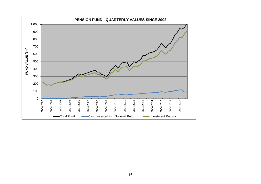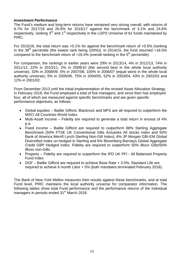## *Investment Performance*

The Fund's medium and long-term returns have remained very strong overall, with returns of 6.7% for 2017/18 and 26.8% for 2016/17 against the benchmark of 3.1% and 24.6% respectively, ranking 3<sup>rd</sup> and 1<sup>st</sup> respectively in the LGPS Universe of 61 funds maintained by PIRC.

For 2015/16, the total return was +0.1% for against the benchmark return of +0.5% (ranking in the 39<sup>th</sup> percentile (the lowest rank being 100%)). In 2014/15, the fund returned +18.5% compared to the benchmark return of  $+16.4\%$  (overall ranking in the 5<sup>th</sup> percentile).

For comparison, the rankings in earlier years were 29% in 2013/14, 4% in 2012/13, 74% in 2011/12, 22% in 2010/11, 2% in 2009/10 (the second best in the whole local authority universe), 33% in 2008/09, 5% in 2007/08, 100% in 2006/07 (equal worst in the whole local authority universe), 5% in 2005/06, 75% in 2004/05, 52% in 2003/04, 43% in 2002/03 and 12% in 2001/02.

From December 2013 until the initial implementation of the revised Asset Allocation Strategy in February 2018, the Fund employed a total of five managers, and since then has employed four, all of which are measured against specific benchmarks and are given specific performance objectives, as follows:

- Global equities Baillie Gifford, Blackrock and MFS are all required to outperform the MSCI All Countries World Index.
- Multi-Asset Income Fidelity are required to generate a total return in excess of 4% p.a.
- Fixed income Baillie Gifford are required to outperform 88% Sterling Aggregate Benchmark (50% FTSE UK Conventional Gilts Actuaries All stocks index and 50% Bank of America Merrill Lynch Sterling Non-Gilt Index), 6% JP Morgan GBI-EM Global Diversified Index un-hedged in Sterling and 6% Bloomberg Barclays Global Aggregate Credit GBP Hedged Index; Fidelity are required to outperform 50% iBoxx Gilts/50% iBoxx non-Gilts.
- Property Fidelity are required to outperform the IPD UK PFI All Balanced Property Fund Index
- DGF Baillie Gifford are required to achieve Base Rate + 3.5%; Standard Life are required to achieve 6 month Libor + 5% (both mandates terminated February 2018).

The Bank of New York Mellon measures their results against these benchmarks, and at total Fund level, PIRC maintains the local authority universe for comparator information. The following tables show total Fund performance and the performance returns of the individual managers in periods ended 31<sup>st</sup> March 2018.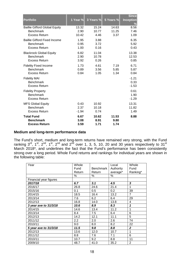| <b>Portfolio</b>                                                     | 1 Year % | 3 Years % | 5 Years % | <b>Since</b><br><b>Inception</b><br>$\frac{9}{6}$ |
|----------------------------------------------------------------------|----------|-----------|-----------|---------------------------------------------------|
| <b>Baillie Gifford Global Equity</b>                                 | 13.32    | 15.24     | 14.63     | 8.56                                              |
| <b>Benchmark</b>                                                     | 2.90     | 10.77     | 11.25     | 7.46                                              |
| Excess Return                                                        | 10.42    | 4.46      | 3.37      | 1.09                                              |
| <b>Baillie Gifford Fixed Income</b>                                  | 1.95     | 3.88      |           | 6.35                                              |
| <b>Benchmark</b>                                                     | 0.95     | 3.72      |           | 5.92                                              |
| Excess Return                                                        | 1.00     | 0.16      |           | 0.43                                              |
| <b>Blackrock Global Equity</b>                                       | 6.82     | 11.04     |           | 13.38                                             |
| <b>Benchmark</b>                                                     | 2.90     | 10.78     |           | 12.53                                             |
| Excess Return                                                        | 3.92     | 0.26      |           | 0.85                                              |
| <b>Fidelity Fixed Income</b>                                         | 1.73     | 4.61      | 7.19      | 6.71                                              |
| <b>Benchmark</b>                                                     | 0.89     | 3.56      | 5.85      | 5.87                                              |
| <b>Excess Return</b>                                                 | 0.84     | 1.05      | 1.34      | 0.84                                              |
| <b>Fidelity MAI</b><br><b>Benchmark</b><br>Excess Return             |          |           |           | $-1.21$<br>0.33<br>$-1.53$                        |
| <b>Fidelity Property</b><br><b>Benchmark</b><br><b>Excess Return</b> |          |           |           | 0.61<br>1.90<br>$-1.29$                           |
| <b>MFS Global Equity</b>                                             | 0.43     | 10.92     |           | 13.31                                             |
| <b>Benchmark</b>                                                     | 2.37     | 10.18     |           | 11.82                                             |
| <b>Excess Return</b>                                                 | $-1.94$  | 0.74      |           | 1.49                                              |
| <b>Total Fund</b>                                                    | 6.67     | 10.62     | 11.53     | 8.88                                              |
| <b>Benchmark</b>                                                     | 3.08     | 8.91      | 9.80      |                                                   |
| <b>Excess Return</b>                                                 | 3.59     | 1.71      | 1.74      |                                                   |

## **Medium and long-term performance data**

The Fund's short, medium and long-term returns have remained very strong, with the Fund ranking 3<sup>rd</sup>, 1<sup>st</sup>, 2<sup>nd</sup>, 1<sup>st</sup>, 2<sup>nd</sup> and 2<sup>nd</sup> over 1, 3, 5, 10, 20 and 30 years respectively to 31<sup>st</sup> March 2018\*, and underlines the fact that the Fund's performance has been consistently strong over a long period. Whole Fund returns and rankings for individual years are shown in the following table:

| Year                   | Whole   |           | Local     | Whole          |
|------------------------|---------|-----------|-----------|----------------|
|                        | Fund    | Benchmark | Authority | Fund           |
|                        | Return  | Return    | average*  | Ranking*       |
|                        | %       | $\%$      | %         |                |
| Financial year figures |         |           |           |                |
| 2017/18                | 6.7     | 3.1       | 4.5       | $\mathbf{3}$   |
| 2016/17                | 26.8    | 24.6      | 21.4      | 1              |
| 2015/16                | 0.1     | 0.5       | 0.2       | 39             |
| 2014/15                | 18.5    | 16.4      | 13.2      | $\overline{7}$ |
| 2013/14                | 7.6     | 6.2       | 6.4       | 29             |
| 2012/13                | 16.8    | 14.0      | 13.8      | 4              |
| 3 year ave to 31/3/18  | 10.6    | 8.9       | 8.3       | 1              |
| 2014/15                | 14.6    | 13.4      | 11.2      | 1              |
| 2013/14                | 8.4     | 7.5       | 6.4       | 6              |
| 2012/13                | 14.2    | 12.1      | 11.1      | 5              |
| 2011/12                | $2.2\,$ | 2.0       | 2.6       | 74             |
| 2010/11                | 9.0     | 8.0       | 8.2       | 22             |
| 5 year ave to 31/3/18  | 11.5    | 9.8       | 8.8       | $\overline{2}$ |
| 2012/13                | 13.6    | 12.0      | 10.7      | 1              |
| 2011/12                | 8.8     | 7.6       | 7.1       | 6              |
| 2010/11                | 10.7    | 9.2       | 8.8       | 11             |
| 2009/10                | 48.7    | 41.0      | 35.2      | $\overline{2}$ |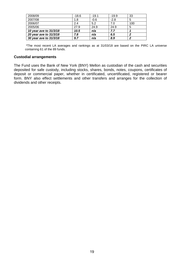| 2008/09                | $-18.6$ | $-19.1$ | $-19.9$ | 33  |  |
|------------------------|---------|---------|---------|-----|--|
| 2007/08                | 1.8     | $-0.6$  | $-2.8$  | 5   |  |
| 2006/07                | 2.4     | 5.2     | 7.0     | 100 |  |
| 2005/06                | 27.9    | 24.9    | 24.9    | 5   |  |
| 10 year ave to 31/3/18 | 10.5    | n/a     | 7.7     |     |  |
| 20 year ave to 31/3/18 | 7.8     | n/a     | 6.5     | o   |  |
| 30 year ave to 31/3/18 | 9.7     | n/a     | 8.9     | ◠   |  |

\*The most recent LA averages and rankings as at 31/03/18 are based on the PIRC LA universe containing 61 of the 89 funds.

#### **Custodial arrangements**

The Fund uses the Bank of New York (BNY) Mellon as custodian of the cash and securities deposited for safe custody, including stocks, shares, bonds, notes, coupons, certificates of deposit or commercial paper, whether in certificated, uncertificated, registered or bearer form. BNY also effect settlements and other transfers and arranges for the collection of dividends and other receipts.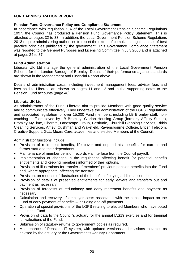## **FUND ADMINISTRATION REPORT**

#### **Pension Fund Governance Policy and Compliance Statement**

In accordance with regulation 73A of the Local Government Pension Scheme Regulations 1997, the Council has produced a Pension Fund Governance Policy Statement. This is attached at pages 32 to 33. In addition, the Local Government Pension Scheme Regulations 2013 require administering authorities to report the extent of compliance against a set of best practice principles published by the government. This Governance Compliance Statement was reported to the General Purposes and Licensing Committee in July 2008 and is attached at pages 34 to 37.

#### **Fund Administration**

Liberata UK Ltd manage the general administration of the Local Government Pension Scheme for the London Borough of Bromley. Details of their performance against standards are shown in the Management and Financial Report above.

Details of administration costs, including investment management fees, adviser fees and fees paid to Liberata are shown on pages 11 and 12 and in the supporting notes to the Pension Fund accounts (page 48).

#### **Liberata UK Ltd**

As administrators of the Fund, Liberata aim to provide Members with good quality service and to communicate effectively. They undertake the administration of the LGPS Regulations and associated legislation for over 15,000 Fund members, including LB Bromley staff, nonteaching staff employed by LB Bromley, Clarion Housing Group (formerly Affinity Sutton), Bromley MyTime, Liberata, Landscape Group, Certitude, Churchill Cleaning Services, Birkin Cleaning Services, Amey, Cushman and Wakefield, Ravensbourne College, British Telecom, Creative Support, GLL, Mears Care, academies and elected Members of the Council.

Administrator functions include:

- Provision of retirement benefits, life cover and dependants' benefits for current and former staff and their dependants.
- Maintenance of member pension records via interface from the Council payroll.
- Implementation of changes in the regulations affecting benefit (or potential benefit) entitlements and keeping members informed of their options.
- Provision of illustrations for transfer of members' previous pension benefits into the Fund and, where appropriate, affecting the transfer.
- Provision, on request, of illustrations of the benefits of paying additional contributions.
- Provision of details of preserved entitlements for early leavers and transfers out and payment as necessary.
- Provision of forecasts of redundancy and early retirement benefits and payment as necessary.
- Calculation and recovery of employer costs associated with the capital impact on the Fund of early payment of benefits – including one-off payments.
- Operation of special provisions of the LGPS relating to elected Members who have opted to join the Fund.
- Provision of data to the Council's actuary for the annual IAS19 exercise and for triennial full valuations of the Fund.
- Submission of statutory returns to government bodies as required.
- Maintenance of Pensions IT system, with updated versions and revisions to tables as advised by the actuary or the Government's Actuary Department.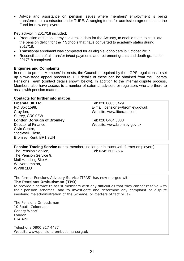• Advice and assistance on pension issues where members' employment is being transferred to a contractor under TUPE. Arranging terms for admission agreements to the Fund for new employers.

Key activity in 2017/18 included:

- Production of the academy conversion data for the Actuary, to enable them to calculate the pension deficit for the 7 Schools that have converted to academy status during 2017/18.
- Transitional enrolment was completed for all eligible jobholders in October 2017
- Reconciliation of all transfer in/out payments and retirement grants and death grants for 2017/18 completed.

#### **Enquiries and Complaints**

In order to protect Members' interests, the Council is required by the LGPS regulations to set up a two-stage appeal procedure. Full details of these can be obtained from the Liberata Pensions Team (contact details shown below). In addition to the internal dispute process, Members also have access to a number of external advisers or regulators who are there to assist with pension matters.

#### **Contacts for further information**

| Liberata UK Ltd.           | Tel: 020 8603 3429              |
|----------------------------|---------------------------------|
| PO Box 1598,               | E-mail: pensions@bromley.gov.uk |
| Croydon,                   | Website: www.liberata.com       |
| Surrey, CR0 0ZW            |                                 |
| London Borough of Bromley, | Tel: 020 8464 3333              |
| Director of Finance,       | Website: www.bromley.gov.uk     |
| Civic Centre,              |                                 |
| Stockwell Close,           |                                 |
| Bromley, Kent, BR1 3UH     |                                 |

**Pension Tracing Service** (for ex-members no longer in touch with former employers) The Pension Service. The Tel: 0345 600 2537 The Pension Service 9, Mail Handling Site A, Wolverhampton, WV98 1LU

The former Pensions Advisory Service (TPAS) has now merged with **The Pensions Ombudsman (TPO)** 

to provide a service to assist members with any difficulties that they cannot resolve with their pension schemes, and to investigate and determine any complaint or dispute involving maladministration of the Scheme, or matters of fact or law.

The Pensions Ombudsman 10 South Colonnade Canary Wharf London E14 4PU

Telephone 0800 917 4487 Website www.pensions-ombudsman.org.uk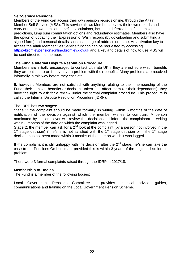#### **Self-Service Pensions**

Members of the Fund can access their own pension records online, through the Altair Member Self Service (MSS). This service allows Members to view their own records and carry out their own pension benefits calculations, including deferred benefits, pension predictions, lump sum commutation options and redundancy estimates. Members also have the option of updating their Expression of Wish records (by downloading and submitting a signed form) and personal details such as change of address or name. An activation key to access the Altair Member Self Service function can be requested by accessing [https://bromleypensionsonline.bromley.gov.uk](https://bromleypensionsonline.bromley.gov.uk/) and a key and details of how to use MSS will be sent direct to the member.

#### **The Fund's Internal Dispute Resolution Procedure.**

Members are initially encouraged to contact Liberata UK if they are not sure which benefits they are entitled to or if they have a problem with their benefits. Many problems are resolved informally in this way before they escalate.

If, however, Members are not satisfied with anything relating to their membership of the Fund, their pension benefits or decisions taken that affect them (or their dependants), they have the right to ask for a review under the formal complaint procedure. This procedure is called the Internal Dispute Resolution Procedure (IDRP).

#### The IDRP has two stages:

Stage 1: the complaint should be made formally, in writing, within 6 months of the date of notification of the decision against which the member wishes to complain. A person nominated by the employer will review the decision and inform the complainant in writing within 3 months of the date on which the complaint was logged.

Stage 2: the member can ask for a 2<sup>nd</sup> look at the complaint (by a person not involved in the  $1<sup>st</sup>$  stage decision) if he/she is not satisfied with the  $1<sup>st</sup>$  stage decision or if the  $1<sup>st</sup>$  stage decision has not been made within 3 months of the date on which it was logged.

If the complainant is still unhappy with the decision after the  $2<sup>nd</sup>$  stage, he/she can take the case to the Pensions Ombudsman, provided this is within 3 years of the original decision or problem.

There were 3 formal complaints raised through the IDRP in 2017/18.

#### **Membership of Bodies**

The Fund is a member of the following bodies:

Local Government Pensions Committee – provides technical advice, guides, communications and training on the Local Government Pension Scheme.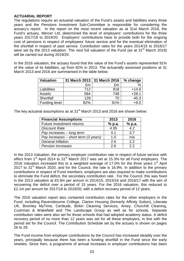#### **ACTUARIAL REPORT**

The regulations require an actuarial valuation of the Fund's assets and liabilities every three years and the Pensions Investment Sub-Committee is responsible for considering the actuary's report. In the report on the most recent valuation as at 31st March 2016, the Fund's actuary, Mercer Ltd, determined the level of employers' contributions for the three years 2017/18 to 2019/20. Employers' contributions have to provide both for the ongoing cost of pensions in respect of employees' future service and for the eventual elimination of the shortfall in respect of past service. Contribution rates for the years 2014/15 to 2016/17 were set by the 2013 valuation. The next full valuation of the Fund (as at 31<sup>st</sup> March 2019) will be carried out during 2019/20.

In the 2016 valuation, the actuary found that the value of the Fund's assets represented 91% of the value of its liabilities, up from 82% in 2013. The actuarially assessed positions at 31 March 2013 and 2016 are summarised in the table below.

| <b>Valuation</b> | 31 March 2013   31 March 2016 |     | % change |
|------------------|-------------------------------|-----|----------|
|                  | £m                            | £m  | %        |
| Liabilities      | 712                           | 818 | $+14.9$  |
| Assets           | 584                           | 748 | $+28.1$  |
| Shortfall        | 128                           | 70  | $-45.3$  |
| Funding level    | 82%                           | 91% | $+9.0$   |

The key actuarial assumptions as at 31<sup>st</sup> March 2013 and 2016 are shown below:

| <b>Financial Assumptions</b>           | 2013   | 2016   |
|----------------------------------------|--------|--------|
| Future investment returns              | % p.a. | % p.a. |
| <b>Discount Rate</b>                   | 4.95   | 4.2    |
| Pay increases - long term              | 4.1    | 3.7    |
| Pay increases $-$ short term (3 years) | 1.0    | n/a    |
| <b>General inflation</b>               | 2.6    | 2.2    |
| <b>Pension increases</b>               | 2.6    | 22     |

In the 2013 Valuation, the primary employer contribution rate in respect of future service with effect from  $1<sup>st</sup>$  April 2014 to 31<sup>st</sup> March 2017 was set at 15.3% for all Fund employers. The 2016 Valuation increased this to a weighted average of 17.0% for the three years  $1<sup>st</sup>$  April 2017 to 31<sup>st</sup> March 2020, and for the Council, the rate is 16.9%. In addition to the primary contributions in respect of Fund members, employers are also required to make contributions to eliminate the Fund deficit, the secondary contribution rate. For the Council, this was fixed in the 2013 valuation at £5.9m per annum in 2014/15, 2015/16 and 2016/17 with the aim of recovering the deficit over a period of 15 years. For the 2016 valuation, this reduced to £2.1m per annum for 2017/18 to 2019/20, with a deficit recovery period of 12 years.

The 2016 valuation report also contained contribution rates for the other employers in the Fund, including Ravensbourne College, Clarion Housing (formerly Affinity Sutton), Liberata UK, Bromley MyTime, Certitude, Birkin Cleaning Services, Amey, Churchill Cleaning, Cushman & Wakefield and The Landscape Group as well as for schools. Separate contribution rates were also set for those schools that had adopted academy status. A deficit recovery period of no more than 12 years was set for all these employers, in line with the period set for the Council. The Contribution Schedule set by the actuary is shown on pages 26 to 29.

The Fund income from employer contributions by the Council has increased steadily over the years, principally because there has been a funding shortfall in the Fund since the early nineties. Since then, a programme of annual increases in employer contributions has been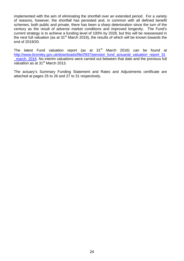implemented with the aim of eliminating the shortfall over an extended period. For a variety of reasons, however, the shortfall has persisted and, in common with all defined benefit schemes, both public and private, there has been a sharp deterioration since the turn of the century as the result of adverse market conditions and improved longevity. The Fund's current strategy is to achieve a funding level of 100% by 2028, but this will be reassessed in the next full valuation (as at 31<sup>st</sup> March 2019), the results of which will be known towards the end of 2019/20.

The latest Fund valuation report (as at 31<sup>st</sup> March 2016) can be found at [http://www.bromley.gov.uk/downloads/file/2937/pension\\_fund\\_actuarial\\_valuation\\_report\\_31](http://www.bromley.gov.uk/downloads/file/2937/pension_fund_actuarial_valuation_report_31_march_2016) [\\_march\\_2016.](http://www.bromley.gov.uk/downloads/file/2937/pension_fund_actuarial_valuation_report_31_march_2016) No interim valuations were carried out between that date and the previous full valuation as at  $31<sup>st</sup>$  March 2013.

The actuary's Summary Funding Statement and Rates and Adjustments certificate are attached at pages 25 to 26 and 27 to 31 respectively.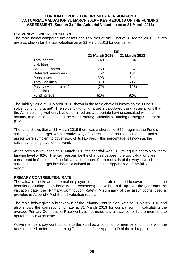#### **LONDON BOROUGH OF BROMLEY PENSION FUND ACTUARIAL VALUATION 31 MARCH 2016 – KEY RESULTS OF THE FUNDING ASSESSMENT (Section 3 of the Actuarial Valuation as at 31 March 2016)**

#### **SOLVENCY FUNDING POSITION**

The table below compares the assets and liabilities of the Fund at 31 March 2016. Figures are also shown for the last valuation as at 31 March 2013 for comparison.

|                          | £m            |               |  |  |
|--------------------------|---------------|---------------|--|--|
|                          | 31 March 2016 | 31 March 2013 |  |  |
| <b>Total assets</b>      | 748           | 584           |  |  |
| Liabilities:             |               |               |  |  |
| Active members           | 258           | 237           |  |  |
| Deferred pensioners      | 167           | 131           |  |  |
| Pensioners               | 393           | 344           |  |  |
| <b>Total liabilities</b> | 818           | 712           |  |  |
| Past service surplus /   | (70)          | (128)         |  |  |
| (shortfall)              |               |               |  |  |
| <b>Funding level</b>     | 91%           | 82%           |  |  |

The liability value at 31 March 2016 shown in the table above is known as the Fund's solvency funding target". The solvency funding target is calculated using assumptions that the Administering Authority has determined are appropriate having consulted with the actuary, and are also set out in the Administering Authority's Funding Strategy Statement (FSS).

The table shows that at 31 March 2016 there was a shortfall of £70m against the Fund's solvency funding target. An alternative way of expressing the position is that the Fund's assets were sufficient to cover 91% of its liabilities – this percentage is known as the solvency funding level of the Fund.

At the previous valuation at 31 March 2013 the shortfall was £128m, equivalent to a solvency funding level of 82%. The key reasons for the changes between the two valuations are considered in Section 4 of the full valuation report. Further details of the way in which the solvency funding target has been calculated are set out in Appendix A of the full valuation report.

#### **PRIMARY CONTRIBUTION RATE**

The valuation looks at the normal employer contribution rate required to cover the cost of the benefits (including death benefits and expenses) that will be built up over the year after the valuation date (the "Primary Contribution Rate"). A summary of the assumptions used is provided in Appendix A of the full valuation report.

The table below gives a breakdown of the Primary Contribution Rate at 31 March 2016 and also shows the corresponding rate at 31 March 2013 for comparison. In calculating the average Primary Contribution Rate we have not made any allowance for future members to opt for the 50:50 scheme.

Active members pay contributions to the Fund as a condition of membership in line with the rates required under the governing Regulations (see Appendix D of the full report).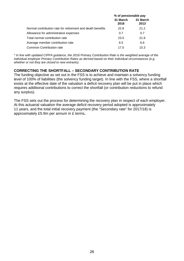|                                                            | % of pensionable pay |                  |
|------------------------------------------------------------|----------------------|------------------|
|                                                            | 31 March<br>2016     | 31 March<br>2013 |
| Normal contribution rate for retirement and death benefits | 22.8                 | 21.2             |
| Allowance for administrative expenses                      | 0.7                  | 0.7              |
| Total normal contribution rate                             | 23.5                 | 21.9             |
| Average member contribution rate                           | 6.5                  | 6.6              |
| Common Contribution rate                                   | 17.0                 | 15.3             |

*\* In line with updated CIPFA guidance, the 2016 Primary Contribution Rate is the weighted average of the individual employer Primary Contribution Rates as derived based on their individual circumstances (e.g. whether or not they are closed to new entrants).*

## **CORRECTING THE SHORTFALL – SECONDARY CONTRIBUTION RATE**

The funding objective as set out in the FSS is to achieve and maintain a solvency funding level of 100% of liabilities (the solvency funding target). In line with the FSS, where a shortfall exists at the effective date of the valuation a deficit recovery plan will be put in place which requires additional contributions to correct the shortfall (or contribution reductions to refund any surplus).

The FSS sets out the process for determining the recovery plan in respect of each employer. At this actuarial valuation the average deficit recovery period adopted is approximately 11 years, and the total initial recovery payment (the "Secondary rate" for 2017/18) is approximately £5.9m per annum in £ terms**.**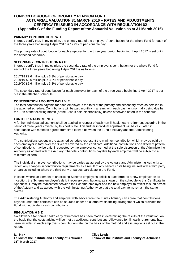#### **LONDON BOROUGH OF BROMLEY PENSION FUND ACTUARIAL VALUATION 31 MARCH 2016 – RATES AND ADJUSTMENTS CERTIFICATE ISSUED IN ACCORDANCE WITH REGULATION 62 (Appendix G of the Funding Report of the Actuarial Valuation as at 31 March 2016)**

#### **PRIMARY CONTRIBUTION RATE**

I hereby certify that, in my opinion, the primary rate of the employers' contribution for the whole Fund for each of the three years beginning 1 April 2017 is 17.0% of pensionable pay.

The primary rate of contribution for each employer for the three year period beginning 1 April 2017 is set out in the attached schedule**.** 

#### **SECONDARY CONTRIBUTION RATE**

I hereby certify that, in my opinion, the secondary rate of the employer's contribution for the whole Fund for each of the three years beginning 1 April 2017 is as follows:

2017/18 £2.6 million plus 3.3% of pensionable pay 2018/19 £2.6 million plus 3.3% of pensionable pay 2019/20 £2.6 million plus 3.3% of pensionable pay

The secondary rate of contribution for each employer for each of the three years beginning 1 April 2017 is set out in the attached schedule.

#### **CONTRIBUTION AMOUNTS PAYABLE**

The total contribution payable for each employer is the total of the primary and secondary rates as detailed in the attached schedule. Contributions will be paid monthly in arrears with each payment normally being due by the 19th of the following month (or the 22nd if paid electronically) unless otherwise noted in the schedule**.** 

#### **FURTHER ADJUSTMENTS**

A further individual adjustment shall be applied in respect of each non-ill health early retirement occurring in the period of three years covered by this certificate. This further individual adjustment will be calculated in accordance with methods agreed from time to time between the Fund's Actuary and the Administering Authority.

The contributions set out in the attached schedule represent the minimum contribution which may be paid by each employer in total over the 3 years covered by the certificate. Additional contributions or a different pattern of contributions may be paid if requested by the employer concerned at the sole discretion of the Administering Authority as agreed with the Actuary. The total contributions payable by each employer will be subject to a minimum of zero.

The individual employer contributions may be varied as agreed by the Actuary and Administering Authority to reflect any changes in contribution requirements as a result of any benefit costs being insured with a third party or parties including where the third party or parties participate in the Fund.

In cases where an element of an existing Scheme employer's deficit is transferred to a new employer on its inception, the Scheme employer's deficit recovery contributions, as shown on the schedule to this Certificate in Appendix H, may be reallocated between the Scheme employer and the new employer to reflect this, on advice of the Actuary and as agreed with the Administering Authority so that the total payments remain the same overall.

The Administering Authority and employer with advice from the Fund's Actuary can agree that contributions payable under this certificate can be sourced under an alternative financing arrangement which provides the Fund with equivalent cash contributions.

#### **REGULATION 6 2(8)**

No allowance for non-ill health early retirements has been made in determining the results of the valuation, on the basis that the costs arising will be met by additional contributions. Allowance for ill health retirements has been included in each employer's contribution rate, on the basis of the method and assumptions set out in the report.

#### **Ian Kirk Clive Lewis Fellow of the Institute and Faculty of Actuaries Fellow of the Institute and Faculty of Actuaries 31st March 2017**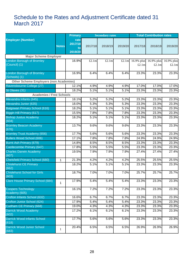## Schedule to the Rates and Adjustment Certificate dated 31 March 2017

|                                                   | <b>Primary</b><br><b>Secondary rates</b> |                                  | <b>Total Contribution rates</b> |         |         |                     |                     |                                   |
|---------------------------------------------------|------------------------------------------|----------------------------------|---------------------------------|---------|---------|---------------------|---------------------|-----------------------------------|
| <b>Employer (Number)</b>                          | <b>Notes</b>                             | rate<br>2017/18<br>to<br>2019/20 | 2017/18                         | 2018/19 | 2019/20 | 2017/18             | 2018/19             | 2019/20                           |
| <b>Major Scheme Employer</b>                      |                                          |                                  |                                 |         |         |                     |                     |                                   |
| <b>London Borough of Bromley</b><br>(Council) (1) |                                          | 16.9%                            | £2.1 $m$                        | £2.1m   | £2.1m   | 16.9% plus<br>£2.1m | 16.9% plus<br>£2.1m | $\overline{16.9\%}$ plus<br>£2.1m |
| <b>London Borough of Bromley</b><br>(Schools) (1) |                                          | 16.9%                            | 6.4%                            | 6.4%    | 6.4%    | 23.3%               | 23.3%               | 23.3%                             |
| <b>Other Scheme Employers (non Academies)</b>     |                                          |                                  |                                 |         |         |                     |                     |                                   |
| Ravensbourne College (27)                         |                                          | 12.1%                            | 4.9%                            | 4.9%    | 4.9%    | 17.0%               | 17.0%               | 17.0%                             |
| St Olaves (31)                                    |                                          | 18.2%                            | 5.1%                            | 5.1%    | 5.1%    | 23.3%               | 23.3%               | 23.3%                             |
| <b>Academies / Free Schools</b>                   |                                          |                                  |                                 |         |         |                     |                     |                                   |
| Alexandra Infants (645)                           |                                          | 18.1%                            | 5.2%                            | 5.2%    | 5.2%    | 23.3%               | 23.3%               | 23.3%                             |
| Alexandra Junior (635)                            |                                          | 18.0%                            | 5.3%                            | 5.3%    | 5.3%    | 23.3%               | 23.3%               | 23.3%                             |
| Balgowan Primary School (616)                     |                                          | 18.2%                            | 5.1%                            | 5.1%    | 5.1%    | 23.3%               | 23.3%               | 23.3%                             |
| Biggin Hill Primary (617)                         |                                          | 15.5%                            | 7.8%                            | 7.8%    | 7.8%    | 23.3%               | 23.3%               | 23.3%                             |
| <b>Bishop Justus Academy</b><br>(604)             |                                          | 18.2%                            | 5.1%                            | 5.1%    | 5.1%    | 23.3%               | 23.3%               | 23.3%                             |
| <b>Bromley Beacon Academy</b><br>(676)            |                                          | 13.7%                            | 9.6%                            | 9.6%    | 9.6%    | 23.3%               | 23.3%               | 23.3%                             |
| <b>Bromley Trust Academy (656)</b>                |                                          | 17.7%                            | 5.6%                            | 5.6%    | 5.6%    | 23.3%               | 23.3%               | 23.3%                             |
| Bullers Wood School (606)                         |                                          | 17.1%                            | 7.8%                            | 7.8%    | 7.8%    | 24.9%               | 24.9%               | 24.9%                             |
| <b>Burnt Ash Primary (679)</b>                    |                                          | 14.8%                            | 8.5%                            | 8.5%    | 8.5%    | 23.3%               | 23.3%               | 23.3%                             |
| Castlecombe Primary (647)                         |                                          | 17.8%                            | 5.5%                            | 5.5%    | 5.5%    | 23.3%               | 23.3%               | 23.3%                             |
| <b>Charles Darwin Academy</b><br>(607)            |                                          | 19.5%                            | 7.9%                            | 7.9%    | 7.9%    | 27.4%               | 27.4%               | 27.4%                             |
| Chelsfield Primary School (680)                   | 1                                        | 21.3%                            | 4.2%                            | 4.2%    | 4.2%    | 25.5%               | 25.5%               | 25.5%                             |
| <b>Chislehurst CE Primary</b><br>(662)            |                                          | 18.2%                            | 5.1%                            | 5.1%    | 5.1%    | 23.3%               | 23.3%               | 23.3%                             |
| Chislehurst School for Girls<br>(603)             |                                          | 18.7%                            | 7.0%                            | 7.0%    | 7.0%    | 25.7%               | 25.7%               | 25.7%                             |
| <b>Clare House Primary School (684)</b>           | 1                                        | 17.9%                            | 5.4%                            | 5.4%    | 5.4%    | 23.3%               | 23.3%               | 23.3%                             |
| <b>Coopers Technology</b><br>Academy (605)        |                                          | 16.1%                            | 7.2%                            | 7.2%    | 7.2%    | 23.3%               | 23.3%               | 23.3%                             |
| Crofton Infants School (632)                      |                                          | 16.6%                            | 6.7%                            | 6.7%    | 6.7%    | 23.3%               | 23.3%               | 23.3%                             |
| Crofton Junior School (624)                       |                                          | 17.9%                            | 5.4%                            | 5.4%    | 5.4%    | 23.3%               | 23.3%               | 23.3%                             |
| Cudham CE Primary (668)                           |                                          | 19.0%                            | 4.3%                            | 4.3%    | 4.3%    | 23.3%               | 23.3%               | 23.3%                             |
| Darrick Wood Academy<br>(602)                     |                                          | 17.2%                            | 6.1%                            | 6.1%    | 6.1%    | 23.3%               | 23.3%               | 23.3%                             |
| <b>Darrick Wood Infants School</b><br>(618)       |                                          | 17.7%                            | 5.6%                            | 5.6%    | 5.6%    | 23.3%               | 23.3%               | 23.3%                             |
| <b>Darrick Wood Junior School</b><br>(683)        | 1                                        | 20.4%                            | 6.5%                            | 6.5%    | 6.5%    | 26.9%               | 26.9%               | 26.9%                             |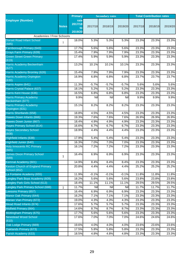|                                                         |              | <b>Primary</b>                   |            | <b>Secondary rates</b> |         |         | <b>Total Contribution rates</b> |         |
|---------------------------------------------------------|--------------|----------------------------------|------------|------------------------|---------|---------|---------------------------------|---------|
| <b>Employer (Number)</b>                                | <b>Notes</b> | rate<br>2017/18<br>to<br>2019/20 | 2017/18    | 2018/19                | 2019/20 | 2017/18 | 2018/19                         | 2019/20 |
| <b>Academies / Free Schools</b>                         |              |                                  |            |                        |         |         |                                 |         |
| <b>Dorset Road Infant School</b><br>(685)               | 1            | 18.0%                            | 5.3%       | 5.3%                   | 5.3%    | 23.3%   | 23.3%                           | 23.3%   |
| Farnborough Primary (643)                               |              | 17.7%                            | 5.6%       | 5.6%                   | 5.6%    | 23.3%   | 23.3%                           | 23.3%   |
| <b>Grays Farm Primary (639)</b>                         |              | 15.4%                            | 7.9%       | 7.9%                   | 7.9%    | 23.3%   | 23.3%                           | 23.3%   |
| <b>Green Street Green Primary</b><br>(619)              |              | 17.4%                            | 5.9%       | 5.9%                   | 5.9%    | 23.3%   | 23.3%                           | 23.3%   |
| Harris Academy Beckenham<br>(627)                       |              | 13.2%                            | 10.1%      | 10.1%                  | 10.1%   | 23.3%   | 23.3%                           | 23.3%   |
| Harris Academy Bromley (626)                            |              | 15.4%                            | 7.9%       | 7.9%                   | 7.9%    | 23.3%   | 23.3%                           | 23.3%   |
| Harris Academy Orpington<br>(630)                       |              | 16.9%                            | 6.8%       | 6.8%                   | 6.8%    | 23.7%   | 23.7%                           | 23.7%   |
| Harris Aspire (641)                                     |              | 11.3%                            | $-5.7%$    | $-5.7%$                | $-5.7%$ | 5.6%    | 5.6%                            | 5.6%    |
| Harris Crystal Palace (637)                             |              | 18.1%                            | 5.2%       | 5.2%                   | 5.2%    | 23.3%   | 23.3%                           | 23.3%   |
| Harris Kent House (636)                                 |              | 16.5%                            | 6.8%       | 6.8%                   | 6.8%    | 23.3%   | 23.3%                           | 23.3%   |
| <b>Harris Primary Academy</b><br>Beckenham (677)        |              | 9.9%                             | <b>Nil</b> | Nil                    | Nil     | 9.9%    | 9.9%                            | 9.9%    |
| <b>Harris Primary Academy</b><br>Orpington (631)        |              | 15.1%                            | 8.2%       | 8.2%                   | 8.2%    | 23.3%   | 23.3%                           | 23.3%   |
| Harris Shortlands (658)                                 |              | 18.8%                            | 4.5%       | 4.5%                   | 4.5%    | 23.3%   | 23.3%                           | 23.3%   |
| Hawes Down Infants (666)                                |              | 19.3%                            | 7.6%       | 7.6%                   | 7.6%    | 26.9%   | 26.9%                           | 26.9%   |
| Hawes Down Junior (667)                                 |              | 18.4%                            | 4.9%       | 4.9%                   | 4.9%    | 23.3%   | 23.3%                           | 23.3%   |
| <b>Hayes Primary School (614)</b>                       |              | 16.6%                            | 6.7%       | 6.7%                   | 6.7%    | 23.3%   | 23.3%                           | 23.3%   |
| <b>Hayes Secondary School</b><br>(608)                  |              | 18.9%                            | 4.4%       | 4.4%                   | 4.4%    | 23.3%   | 23.3%                           | 23.3%   |
| Highfield Infants (638)                                 |              | 17.9%                            | 5.4%       | 5.4%                   | 5.4%    | 23.3%   | 23.3%                           | 23.3%   |
| Highfield Junior (640)                                  |              | 16.3%                            | 7.0%       | 7.0%                   | 7.0%    | 23.3%   | 23.3%                           | 23.3%   |
| <b>Holy Innocents RC Primary</b><br>(665)               |              | 16.1%                            | 7.2%       | 7.2%                   | 7.2%    | 23.3%   | 23.3%                           | 23.3%   |
| <b>James Dixon Primary School</b><br>(689)              | 1            | 16.4%                            | 6.9%       | 6.9%                   | 6.9%    | 23.3%   | 23.3%                           | 23.3%   |
| Kemnal Academy (601)                                    |              | 14.9%                            | 8.4%       | 8.4%                   | 8.4%    | 23.3%   | 23.3%                           | 23.3%   |
| <b>Keston Church of England Primary</b><br>School (652) |              | 20.8%                            | 4.4%       | 4.4%                   | 4.4%    | 25.2%   | 25.2%                           | 25.2%   |
| La Fontaine Academy (655)                               |              | 11.9%                            | $-0.1%$    | $-0.1%$                | $-0.1%$ | 11.8%   | 11.8%                           | 11.8%   |
| Langley Park Boys Academy (609)                         |              | 18.2%                            | 5.6%       | 5.6%                   | 5.6%    | 23.8%   | 23.8%                           | 23.8%   |
| Langley Park Girls School (613)                         |              | 18.4%                            | 11.1%      | 11.1%                  | 11.1%   | 29.5%   | 29.5%                           | 29.5%   |
| Langley Park Primary School (688)                       | 1            | 11.7%                            | Nil        | Nil                    | Nil     | 11.7%   | 11.7%                           | 11.7%   |
| Leesons Primary (657)                                   |              | 16.4%                            | 6.9%       | 6.9%                   | 6.9%    | 23.3%   | 23.3%                           | 23.3%   |
| Manor Oak Primary (644)                                 |              | 16.2%                            | 7.1%       | 7.1%                   | 7.1%    | 23.3%   | 23.3%                           | 23.3%   |
| Marian Vian Primary (672)                               |              | 19.0%                            | 4.3%       | 4.3%                   | 4.3%    | 23.3%   | 23.3%                           | 23.3%   |
| Mead Road Infants (674)                                 |              | 17.6%                            | 5.7%       | 5.7%                   | 5.7%    | 23.3%   | 23.3%                           | 23.3%   |
| Midfield Primary (664)                                  |              | 14.6%                            | 8.7%       | 8.7%                   | 8.7%    | 23.3%   | 23.3%                           | 23.3%   |
| Mottingham Primary (675)<br><b>Newstead Wood School</b> |              | 17.7%                            | 5.6%       | 5.6%                   | 5.6%    | 23.3%   | 23.3%                           | 23.3%   |
| (610)                                                   |              | 17.6%                            | 7.0%       | 7.0%                   | 7.0%    | 24.6%   | 24.6%                           | 24.6%   |
| Oak Lodge Primary (669)                                 |              | 19.6%                            | 4.0%       | 4.0%                   | 4.0%    | 23.6%   | 23.6%                           | 23.6%   |
| Oaklands Primary (673)                                  |              | 17.5%                            | 5.8%       | 5.8%                   | 5.8%    | 23.3%   | 23.3%                           | 23.3%   |
| Parish Academy (633)                                    |              | 18.5%                            | 4.8%       | 4.8%                   | 4.8%    | 23.3%   | 23.3%                           | 23.3%   |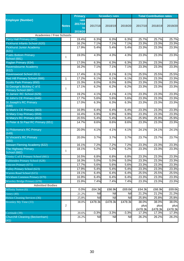|                                                    |              | <b>Primary</b>                   |         | <b>Secondary rates</b>     |            |                  | <b>Total Contribution rates</b> |                  |
|----------------------------------------------------|--------------|----------------------------------|---------|----------------------------|------------|------------------|---------------------------------|------------------|
| <b>Employer (Number)</b>                           | <b>Notes</b> | rate<br>2017/18<br>to<br>2019/20 | 2017/18 | 2018/19                    | 2019/20    | 2017/18          | 2018/19                         | 2019/20          |
| <b>Academies / Free Schools</b>                    |              |                                  |         |                            |            |                  |                                 |                  |
| Perry Hall Primary (642)                           |              | 19.4%                            | 6.3%    | 6.3%                       | 6.3%       | 25.7%            | 25.7%                           | 25.7%            |
| Pickhurst Infants School (620)                     |              | 16.2%                            | 7.1%    | 7.1%                       | 7.1%       | 23.3%            | 23.3%                           | 23.3%            |
| <b>Pickhurst Junior Academy</b>                    |              | 17.9%                            | 5.4%    | 5.4%                       | 5.4%       | 23.3%            | 23.3%                           | 23.3%            |
| (621)                                              |              |                                  |         |                            |            |                  |                                 |                  |
| <b>Pratts Bottom Primary</b>                       | 1            | 19.0%                            | 4.3%    | 4.3%                       | 4.3%       | 23.3%            | 23.3%                           | 23.3%            |
| <b>School (681)</b>                                |              |                                  |         |                            |            |                  |                                 |                  |
| Raglan Primary (634)                               |              | 17.0%                            | 6.3%    | 6.3%                       | 6.3%       | 23.3%            | 23.3%                           | 23.3%            |
| Ravensbourne Academy<br>(612)                      |              | 16.2%                            | 7.1%    | 7.1%                       | 7.1%       | 23.3%            | 23.3%                           | 23.3%            |
| Ravenswood School (611)                            |              | 17.4%                            | 8.1%    | 8.1%                       | 8.1%       | 25.5%            | 25.5%                           | 25.5%            |
| Red Hill Primary School (686)                      | $\mathbf 1$  | 17.2%                            | 6.1%    | 6.1%                       | 6.1%       | 23.3%            | 23.3%                           | 23.3%            |
| <b>Scotts Park Primary (650)</b>                   |              | 15.3%                            | 8.0%    | 8.0%                       | 8.0%       | 23.3%            | 23.3%                           | 23.3%            |
| St George's Bickley C of E<br>Primary School (687) | 1            | 17.1%                            | 6.2%    | 6.2%                       | 6.2%       | 23.3%            | 23.3%                           | 23.3%            |
| St James' RC School (629)                          |              | 19.2%                            | 4.1%    | 4.1%                       | 4.1%       | 23.3%            | 23.3%                           | 23.3%            |
| St John's CE Primary (646)                         |              | 17.7%                            | 5.6%    | 5.6%                       | 5.6%       | 23.3%            | 23.3%                           | 23.3%            |
| <b>St Joseph's RC Primary</b><br>(648)             |              | 17.0%                            | 6.3%    | 6.3%                       | 6.3%       | 23.3%            | 23.3%                           | 23.3%            |
| St Mark's CE Primary (663)                         |              | 16.9%                            | 6.4%    | 6.4%                       | 6.4%       | 23.3%            | 23.3%                           | 23.3%            |
| St Mary Cray Primary (659)                         |              | 16.4%                            | 6.9%    | 6.9%                       | 6.9%       | 23.3%            | 23.3%                           | 23.3%            |
| St Mary's RC Primary (653)                         |              | 20.5%                            | 5.4%    | 5.4%                       | 5.4%       | 25.9%            | 25.9%                           | 25.9%            |
| St Peter & St Paul RC Primary (651)                |              | 14.7%                            | 8.6%    | 8.6%                       | 8.6%       | 23.3%            | 23.3%                           | 23.3%            |
| <b>St Philomena's RC Primary</b><br>(649)          |              | 20.0%                            | 4.1%    | 4.1%                       | 4.1%       | 24.1%            | 24.1%                           | 24.1%            |
| <b>St Vincent's RC Primary</b><br>(660)            |              | 20.0%                            | 3.7%    | 3.7%                       | 3.7%       | 23.7%            | 23.7%                           | 23.7%            |
| <b>Stewart Fleming Academy (622)</b>               |              | 16.1%                            | 7.2%    | 7.2%                       | 7.2%       | 23.3%            | 23.3%                           | 23.3%            |
| <b>The Highway Primary</b><br>School (682)         | 1            | 18.1%                            | 5.2%    | 5.2%                       | 5.2%       | 23.3%            | 23.3%                           | 23.3%            |
| Trinity C of E Primary School (661)                |              | 16.5%                            | 6.8%    | 6.8%                       | 6.8%       | 23.3%            | 23.3%                           | 23.3%            |
| Tubbenden Primary School (628)                     |              | 18.3%                            | 5.0%    | 5.0%                       | 5.0%       | 23.3%            | 23.3%                           | 23.3%            |
| <b>Unicorn Primary (671)</b>                       |              | 17.7%                            | 5.6%    | 5.6%                       | 5.6%       | 23.3%            | 23.3%                           | 23.3%            |
| Valley Primary School (623)                        |              | 17.9%                            | 5.4%    | 5.4%                       | 5.4%       | 23.3%            | 23.3%                           | 23.3%            |
| Warren Road School (615)                           |              | 19.1%                            | 6.4%    | 6.4%                       | 6.4%       | 25.5%            | 25.5%                           | 25.5%            |
| Wickham Common Primary (670)                       |              | 16.9%                            | 6.4%    | 6.4%                       | 6.4%       | 23.3%            | 23.3%                           | 23.3%            |
| <b>Worsley Bridge Primary (678)</b>                |              | 15.9%                            | 7.4%    | 7.4%                       | 7.4%       | 23.3%            | 23.3%                           | 23.3%            |
| <b>Admitted Bodies</b>                             |              |                                  |         |                            |            |                  |                                 |                  |
| Affinity Sutton (6)                                |              | 0.0%                             | £64.3k  | £66.9k                     | £69.6k     | £64.3k           | £66.9k                          | £69.6k           |
| Amey $(40)$                                        |              | 21.2%                            | Nil     | Nil                        | Nil        | 21.2%            | 21.2%                           | 21.2%            |
| <b>Birkin Cleaning Services (36)</b>               |              | 25.8%                            | Nil     | $\overline{\mathsf{N}}$ il | Nil        | 25.8%            | 25.8%                           | 25.8%            |
| Bromley My Time (33)                               |              | 38.0%                            | £478.3k | £478.3k                    | £478.3k    | 38.0%            | 38.0%                           | 38.0%            |
|                                                    | 2            |                                  |         |                            |            | plus             | plus                            | plus             |
| Certitude (39)                                     |              | 20.6%                            | $-3.3%$ | $-3.3%$                    | $-3.3%$    | £478.3k<br>17.3% | £478.3k<br>17.3%                | £478.3k<br>17.3% |
| <b>Churchill Cleaning (Beckenham)</b>              |              | 26.2%                            | Nil     | Nil                        | <b>Nil</b> | 26.2%            | 26.2%                           | 26.2%            |
| (41)                                               |              |                                  |         |                            |            |                  |                                 |                  |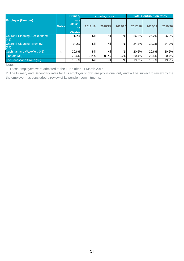|                                               |              | <b>Primary</b>                   |         | <b>Secondary rates</b> |         |         | <b>Total Contribution rates</b> |         |
|-----------------------------------------------|--------------|----------------------------------|---------|------------------------|---------|---------|---------------------------------|---------|
| <b>Employer (Number)</b>                      | <b>Notes</b> | rate<br>2017/18<br>to<br>2019/20 | 2017/18 | 2018/19                | 2019/20 | 2017/18 | 2018/19                         | 2019/20 |
| <b>Churchill Cleaning (Beckenham)</b><br>(41) |              | 26.2%                            | Nill    | <b>Nil</b>             | Nill    | 26.2%   | 26.2%                           | 26.2%   |
| <b>Churchill Cleaning (Bromley)</b><br>(37)   |              | 24.2%                            | Nill    | <b>Nil</b>             | Nill    | 24.2%   | 24.2%                           | 24.2%   |
| <b>Cushman and Wakefield (42)</b>             |              | 20.6%                            | Nil     | Nil                    | Nill    | 20.6%   | 20.6%                           | 20.6%   |
| Liberata (35)                                 |              | 20.6%                            | $-0.2%$ | $-0.2%$                | $-0.2%$ | 20.4%   | 20.4%                           | 20.4%   |
| The Landscape Group (38)                      |              | 19.7%                            | Nil     | <b>Nil</b>             | Nill    | 19.7%   | 19.7%                           | 19.7%   |

Note:

1. These employers were admitted to the Fund after 31 March 2016.

2. The Primary and Secondary rates for this employer shown are provisional only and will be subject to review by the the employer has concluded a review of its pension commitments.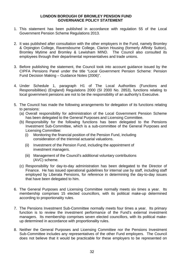#### **LONDON BOROUGH OF BROMLEY PENSION FUND GOVERNANCE POLICY STATEMENT**

- 1. This statement has been published in accordance with regulation 55 of the Local Government Pension Scheme Regulations 2013.
- 2. It was published after consultation with the other employers in the Fund, namely Bromley & Orpington College, Ravensbourne College, Clarion Housing (formerly Affinity Sutton), Bromley Mytime and Bromley & Lewisham MIND. The Council also consulted its employees through their departmental representatives and trade unions.
- 3. Before publishing the statement, the Council took into account guidance issued by the CIPFA Pensions Panel under the title "Local Government Pension Scheme: Pension Fund Decision Making – Guidance Notes (2006)".
- 4. Under Schedule 1, paragraph H1 of The Local Authorities (Functions and Responsibilities) (England) Regulations 2000 (SI 2000 No. 2853), functions relating to local government pensions are not to be the responsibility of an authority's Executive.
- 5. The Council has made the following arrangements for delegation of its functions relating to pensions:
	- (a) Overall responsibility for administration of the Local Government Pension Scheme has been delegated to the General Purposes and Licensing Committee.
	- (b) Responsibility for the following functions has been delegated to the Pensions Investment Sub-Committee, which is a sub-committee of the General Purposes and Licensing Committee:
		- (i) Monitoring the financial position of the Pension Fund, including consideration of the triennial actuarial valuations.
		- (ii) Investment of the Pension Fund, including the appointment of investment managers.
		- (iii) Management of the Council's additional voluntary contributions (AVC) scheme.
	- (c) Responsibility for day-to-day administration has been delegated to the Director of Finance. He has issued operational guidelines for internal use by staff, including staff employed by Liberata Pensions, for reference in determining the day-to-day issues that have been delegated to him.
- 6. The General Purposes and Licensing Committee normally meets six times a year. Its membership comprises 15 elected councillors, with its political make-up determined according to proportionality rules.
- 7. The Pensions Investment Sub-Committee normally meets four times a year. Its primary function is to review the investment performance of the Fund's external investment managers. Its membership comprises seven elected councillors, with its political makeup determined in accordance with proportionality rules.
- 8. Neither the General Purposes and Licensing Committee nor the Pensions Investment Sub-Committee includes any representatives of the other Fund employers. The Council does not believe that it would be practicable for these employers to be represented on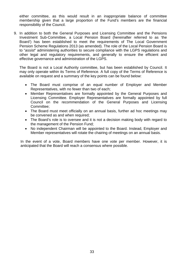either committee, as this would result in an inappropriate balance of committee membership given that a large proportion of the Fund's members are the financial responsibility of the Council.

9. In addition to both the General Purposes and Licensing Committee and the Pensions Investment Sub-Committee, a Local Pension Board (hereinafter referred to as 'the Board') has been established to meet the requirements of The Local Government Pension Scheme Regulations 2013 (as amended). The role of the Local Pension Board is to "*assist*" administering authorities to secure compliance with the LGPS regulations and other legal and regulatory requirements, and generally to ensure the efficient and effective governance and administration of the LGPS.

The Board is not a Local Authority committee, but has been established by Council. It may only operate within its Terms of Reference. A full copy of the Terms of Reference is available on request and a summary of the key points can be found below:

- The Board must comprise of an equal number of Employer and Member Representatives, with no fewer than two of each;
- Member Representatives are formally appointed by the General Purposes and Licensing Committee. Employer Representatives are formally appointed by full Council on the recommendation of the General Purposes and Licensing Committee;
- The Board must meet officially on an annual basis, further ad hoc meetings may be convened as and when required;
- The Board's role is to oversee and it is not a decision making body with regard to the management of the Pension Fund;
- No independent Chairman will be appointed to the Board. Instead, Employer and Member representatives will rotate the chairing of meetings on an annual basis.

In the event of a vote, Board members have one vote per member. However, it is anticipated that the Board will reach a consensus where possible.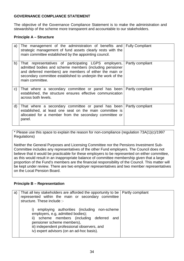## **GOVERNANCE COMPLIANCE STATEMENT**

The objective of the Governance Compliance Statement is to make the administration and stewardship of the scheme more transparent and accountable to our stakeholders.

## **Principle A – Structure**

| a) | The management of the administration of benefits and<br>strategic management of fund assets clearly rests with the<br>main committee established by the appointing council.                                                                                   | <b>Fully Compliant</b> |
|----|---------------------------------------------------------------------------------------------------------------------------------------------------------------------------------------------------------------------------------------------------------------|------------------------|
| b) | That representatives of participating LGPS employers,<br>admitted bodies and scheme members (including pensioner<br>and deferred members) are members of either the main or<br>secondary committee established to underpin the work of the<br>main committee. | Partly compliant       |
| C) | That where a secondary committee or panel has been<br>established, the structure ensures effective communication<br>across both levels.                                                                                                                       | Partly compliant       |
| d) | That where a secondary committee or panel has been<br>established, at least one seat on the main committee is<br>allocated for a member from the secondary committee or<br>panel.                                                                             | Partly compliant       |

\* Please use this space to explain the reason for non-compliance (regulation 73A(1)(c)/1997 Regulations)

Neither the General Purposes and Licensing Committee nor the Pensions Investment Sub-Committee includes any representatives of the other Fund employers. The Council does not believe that it would be practicable for these employers to be represented on either committee, as this would result in an inappropriate balance of committee membership given that a large proportion of the Fund's members are the financial responsibility of the Council. This matter will be kept under review. There are two employer representatives and two member representatives on the Local Pension Board.

#### **Principle B – Representation**

| a) | That all key stakeholders are afforded the opportunity to be   Partly compliant<br>represented within the main or secondary committee<br>structure. These include :-                                                                                            |  |
|----|-----------------------------------------------------------------------------------------------------------------------------------------------------------------------------------------------------------------------------------------------------------------|--|
|    | i) employing authorities (including non-scheme<br>employers, e.g, admitted bodies);<br>ii) scheme members (including deferred<br>and<br>pensioner scheme members),<br>iii) independent professional observers, and<br>iv) expert advisors (on an ad-hoc basis). |  |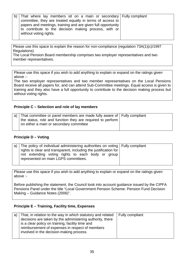| b) | That where lay members sit on a main or secondary Fully compliant |  |
|----|-------------------------------------------------------------------|--|
|    | committee, they are treated equally in terms of access to         |  |
|    | papers and meetings, training and are given full opportunity      |  |
|    | to contribute to the decision making process, with or             |  |
|    | without voting rights.                                            |  |
|    |                                                                   |  |

Please use this space to explain the reason for non-compliance (regulation 73A(1)(c)/1997 Regulations)

The Local Pension Board membership comprises two employer representatives and two member representatives.

Please use this space if you wish to add anything to explain or expand on the ratings given above :-

The two employer representatives and two member representatives on the Local Pensions Board receive all papers for, and can attend Sub-Committee meetings. Equal access is given to training and they also have a full opportunity to contribute to the decision making process but without voting rights.

## **Principle C – Selection and role of lay members**

| a) That committee or panel members are made fully aware of Fully compliant |  |
|----------------------------------------------------------------------------|--|
| the status, role and function they are required to perform                 |  |
| on either a main or secondary committee                                    |  |
|                                                                            |  |

#### **Principle D – Voting**

| a) The policy of individual administering authorities on voting Fully compliant<br>rights is clear and transparent, including the justification for |
|-----------------------------------------------------------------------------------------------------------------------------------------------------|
| not extending voting rights to each body or group<br>represented on main LGPS committees.                                                           |

Please use this space if you wish to add anything to explain or expand on the ratings given above :-

Before publishing the statement, the Council took into account guidance issued by the CIPFA Pensions Panel under the title "Local Government Pension Scheme: Pension Fund Decision Making – Guidance Notes (2006)".

#### **Principle E – Training, Facility time, Expenses**

| reimbursement of expenses in respect of members<br>involved in the decision-making process. | a) | That, in relation to the way in which statutory and related<br>decisions are taken by the administering authority, there<br>is a clear policy on training, facility time and | Fully compliant |
|---------------------------------------------------------------------------------------------|----|------------------------------------------------------------------------------------------------------------------------------------------------------------------------------|-----------------|
|---------------------------------------------------------------------------------------------|----|------------------------------------------------------------------------------------------------------------------------------------------------------------------------------|-----------------|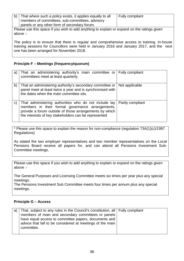| b)                                                                                                      | That where such a policy exists, it applies equally to all<br>members of committees, sub-committees, advisory | Fully compliant |  |  |
|---------------------------------------------------------------------------------------------------------|---------------------------------------------------------------------------------------------------------------|-----------------|--|--|
|                                                                                                         | panels or any other form of secondary forum.                                                                  |                 |  |  |
| Please use this space if you wish to add anything to explain or expand on the ratings given<br>above :- |                                                                                                               |                 |  |  |
|                                                                                                         |                                                                                                               |                 |  |  |

The policy is to ensure that there is regular and comprehensive access to training. In-house training sessions for Councillors were held in January 2016 and January 2017, and the next one has been arranged for November 2018.

## **Principle F – Meetings (frequency/quorum)**

| a)           | That an administering authority's main committee or Fully compliant<br>committees meet at least quarterly.                                                                                                                  |                  |
|--------------|-----------------------------------------------------------------------------------------------------------------------------------------------------------------------------------------------------------------------------|------------------|
| b)           | That an administering authority's secondary committee or<br>panel meet at least twice a year and is synchronised with<br>the dates when the main committee sits.                                                            | Not applicable   |
| $\mathbf{C}$ | That administering authorities who do not include lay<br>members in their formal governance arrangements,<br>provide a forum outside of those arrangements by which<br>the interests of key stakeholders can be represented | Partly compliant |

\* Please use this space to explain the reason for non-compliance (regulation 73A(1)(c)/1997 Regulations)

As stated the two employer representatives and two member representatives on the Local Pensions Board receive all papers for, and can attend all Pensions Investment Sub-Committee meetings.

Please use this space if you wish to add anything to explain or expand on the ratings given above :-

The General Purposes and Licensing Committee meets six times per year plus any special meetings.

The Pensions Investment Sub Committee meets four times per annum plus any special meetings.

#### **Principle G – Access**

| a) | That, subject to any rules in the Council's constitution, all Fully compliant |  |
|----|-------------------------------------------------------------------------------|--|
|    | members of main and secondary committees or panels                            |  |
|    | have equal access to committee papers, documents and                          |  |
|    | advice that fall to be considered at meetings of the main                     |  |
|    | committee.                                                                    |  |
|    |                                                                               |  |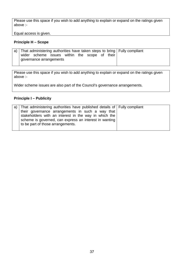Please use this space if you wish to add anything to explain or expand on the ratings given above :-

Equal access is given.

### **Principle H – Scope**

|  |                                               |  |  |  | a) That administering authorities have taken steps to bring Fully compliant |
|--|-----------------------------------------------|--|--|--|-----------------------------------------------------------------------------|
|  | wider scheme issues within the scope of their |  |  |  |                                                                             |
|  | governance arrangements                       |  |  |  |                                                                             |
|  |                                               |  |  |  |                                                                             |

Please use this space if you wish to add anything to explain or expand on the ratings given above :-

Wider scheme issues are also part of the Council's governance arrangements.

# **Principle I – Publicity**

| a) That administering authorities have published details of $\vert$ Fully compliant |  |
|-------------------------------------------------------------------------------------|--|
| their governance arrangements in such a way that                                    |  |
| stakeholders with an interest in the way in which the                               |  |
| scheme is governed, can express an interest in wanting                              |  |
| to be part of those arrangements.                                                   |  |
|                                                                                     |  |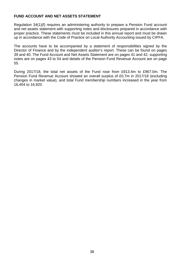### **FUND ACCOUNT AND NET ASSETS STATEMENT**

Regulation 34(1)(f) requires an administering authority to prepare a Pension Fund account and net assets statement with supporting notes and disclosures prepared in accordance with proper practice. These statements must be included in this annual report and must be drawn up in accordance with the Code of Practice on Local Authority Accounting issued by CIPFA.

The accounts have to be accompanied by a statement of responsibilities signed by the Director of Finance and by the independent auditor's report. These can be found on pages 39 and 40. The Fund Account and Net Assets Statement are on pages 41 and 42, supporting notes are on pages 43 to 54 and details of the Pension Fund Revenue Account are on page 55.

During 2017/18, the total net assets of the Fund rose from £913.4m to £967.0m. The Pension Fund Revenue Account showed an overall surplus of £0.7m in 2017/18 (excluding changes in market value), and total Fund membership numbers increased in the year from 16,404 to 16,920.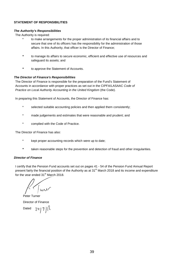### **STATEMENT OF RESPONSIBILITIES**

#### *The Authority's Responsibilities*

The Authority is required:

- to make arrangements for the proper administration of its financial affairs and to secure that one of its officers has the responsibility for the administration of those affairs. In this Authority, that officer is the Director of Finance;
- *\** to manage its affairs to secure economic, efficient and effective use of resources and safeguard its assets; and
- *\** to approve the Statement of Accounts.

#### *The Director of Finance's Responsibilities*

The Director of Finance is responsible for the preparation of the Fund's Statement of Accounts in accordance with proper practices as set out in the CIPFA/LASAAC *Code of Practice on Local Authority Accounting in the United Kingdom* (the Code).

In preparing this Statement of Accounts, the Director of Finance has:

- selected suitable accounting policies and then applied them consistently:
- made judgements and estimates that were reasonable and prudent; and
- complied with the Code of Practice.

The Director of Finance has also:

- kept proper accounting records which were up to date;
- taken reasonable steps for the prevention and detection of fraud and other irregularities.

#### *Director of Finance*

I certify that the Pension Fund accounts set out on pages 41 - 54 of the Pension Fund Annual Report present fairly the financial position of the Authority as at 31<sup>st</sup> March 2018 and its income and expenditure for the year ended 31<sup>st</sup> March 2018.

Peter Turner Director of Finance  $241718$ Dated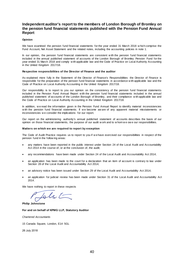### **Independent auditor's report to the members of London Borough of Bromley on the pension fund financial statements published with the Pension Fund Annual Report**

#### **Opinion**

We have examined the pension fund financial statements for the year ended 31 March 2018 w hich comprise the Fund Account, Net Asset Statement and the related notes, including the accounting policies in note 1.

In our opinion, the pension fund financial statements are consistent with the pension fund financial statements included in the annual published statement of accounts of the London Borough of Bromley Pension Fund for the year ended 31 March 2018 and comply w ith applicable law and the Code of Practice on Local Authority Accounting in the United Kingdom 2017/18.

#### **Respective responsibilities of the Director of Finance and the auditor**

As explained more fully in the Statement of the Director of Finance's Responsibilities the Director of Finance is responsible for the preparation of the pension fund financial statements in accordance w ith applicable law and the Code of Practice on Local Authority Accounting in the United Kingdom 2017/18.

Our responsibility is to report to you our opinion on the consistency of the pension fund financial statements included in the Pension Fund Annual Report w ith the pension fund financial statements included in the annual published statement of accounts of the London Borough of Bromley, and their compliance w ith applicable law and the Code of Practice on Local Authority Accounting in the United Kingdom 2017/18.

In addition, w e read the information given in the Pension Fund Annual Report to identify material inconsistencies w ith the pension fund financial statements. If w e become aw are of any apparent material misstatements or inconsistencies w e consider the implications for our report.

Our report on the administering authority's annual published statement of accounts describes the basis of our opinion on those financial statements, the purpose of our audit w ork and to w hom w e ow e our responsibilities.

#### **Matters on which we are required to report by exception**

The Code of Audit Practice requires us to report to you if w e have exercised our responsibilities in respect of the pension fund in the follow ing areas:

- any matters have been reported in the public interest under Section 24 of the Local Audit and Accountability Act 2014 in the course of, or at the conclusion of, the audit;
- any recommendations have been made under Section 24 of the Local Audit and Accountability Act 2014;
- an application has been made to the court for a declaration that an item of account is contrary to law under Section 28 of the Local Audit and Accountability Act 2014;
- an advisory notice has been issued under Section 29 of the Local Audit and Accountability Act 2014;
- an application for judicial review has been made under Section 31 of the Local Audit and Accountability Act 2014.

We have nothing to report in these respects

folit

**Philip Johnstone**

#### **For and on behalf of KPMG LLP, Statutory Auditor**

*Chartered Accountants*

15 Canada Square, London, E14 5GL

26 July 2018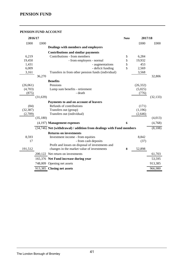### **PENSION FUND ACCOUNT**

| 2016/17   |           |                                                                      | <b>Note</b> | 2017/18   |           |
|-----------|-----------|----------------------------------------------------------------------|-------------|-----------|-----------|
| £000      | £000      |                                                                      |             | £000      | £000      |
|           |           | Dealings with members and employers                                  |             |           |           |
|           |           | <b>Contributions and similar payments</b>                            |             |           |           |
| 6,219     |           | Contributions - from members                                         | 5           | 6,284     |           |
| 19,450    |           | - from employers - normal                                            | 5           | 19,932    |           |
| 1,431     |           | - augmentations                                                      | 5           | 453       |           |
| 6,009     |           | - deficit funding                                                    | 5           | 2,569     |           |
| 3,161     |           | Transfers in from other pension funds (individual)                   |             | 3,568     |           |
|           | 36,270    |                                                                      |             |           | 32,806    |
|           |           | <b>Benefits</b>                                                      |             |           |           |
| (26,061)  |           | Pensions                                                             |             | (26, 332) |           |
| (4,703)   |           | Lump sum benefits - retirement                                       |             | (5,025)   |           |
| (875)     |           | - death                                                              |             | (776)     |           |
|           | (31, 639) |                                                                      |             |           | (32, 133) |
|           |           | Payments to and on account of leavers                                |             |           |           |
| (84)      |           | Refunds of contributions                                             |             | (171)     |           |
| (32, 387) |           | Transfers out (group)                                                |             | (1, 196)  |           |
| (2,709)   |           | Transfers out (individual)                                           |             | (2,646)   |           |
|           | (35,180)  |                                                                      |             |           | (4,013)   |
|           |           | $(4,197)$ Management expenses                                        | 6           |           | (4,768)   |
|           |           | (34,746) Net (withdrawal) / addition from dealings with Fund members |             |           | (8,108)   |
|           |           | <b>Returns on investments</b>                                        |             |           |           |
| 8,593     |           | Investment income - from equities                                    |             | 8,842     |           |
| 17        |           | - from cash deposits                                                 |             | (37)      |           |
|           |           | Profit and losses on disposal of investments and                     |             |           |           |
| 191,512   |           | changes in the market value of investments                           | 8           | 52,898    |           |
|           |           | 200,122 Net return on investments                                    |             |           | 61,703    |
|           |           | 165,376 Net Fund increase during year                                |             |           | 53,595    |
|           |           | 748,009 Opening net assets                                           |             |           | 913,385   |
|           |           | 913,385 Closing net assets                                           |             |           | 966,980   |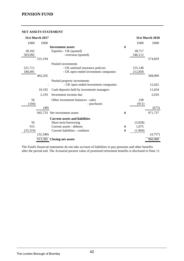### **NET ASSETS STATEMENT**

| 31st March 2017 |           |                                           |   |         | <b>31st March 2018</b> |
|-----------------|-----------|-------------------------------------------|---|---------|------------------------|
| £000            | £000      |                                           |   | £000    | £000                   |
|                 |           | <b>Investment assets</b>                  | 8 |         |                        |
| 28,102          |           | Equities - UK (quoted)                    |   | 28,717  |                        |
| 503,092         |           | - overseas (quoted)                       |   | 546,112 |                        |
|                 | 531,194   |                                           |   |         | 574,829                |
|                 |           | Pooled investments                        |   |         |                        |
| 221,711         |           | - UK unitised insurance policies          |   | 155,148 |                        |
| 180,491         |           | - UK open ended investment companies      |   | 212,858 |                        |
|                 | 402,202   |                                           |   |         | 368,006                |
|                 |           | Pooled property investments               |   |         |                        |
|                 |           | - UK open ended investment companies      |   |         | 15,925                 |
|                 | 10,192    | Cash deposits held by investment managers |   |         | 11,634                 |
|                 | 2,193     | Investment income due                     |   |         | 2,016                  |
| 56              |           | Other investment balances - sales         |   | 238     |                        |
| (104)           |           | - purchases                               |   | (911)   |                        |
|                 | (48)      |                                           |   |         | (673)                  |
|                 |           | 945,733 Net investment assets             | 8 |         | 971,737                |
|                 |           | <b>Current assets and liabilities</b>     |   |         |                        |
| 56              |           | Short term borrowing                      |   | (3,928) |                        |
| 915             |           | Current assets - debtors                  | 9 | 1,075   |                        |
| (33,319)        |           | Current liabilities - creditors           | 9 | (1,904) |                        |
|                 | (32, 348) |                                           |   |         | (4,757)                |
|                 |           | 913,385 Closing net assets                |   |         | 966,980                |

The Fund's financial statements do not take account of liabilities to pay pensions and other benefits after the period end. The Actuarial present value of promised retirement benefits is disclosed in Note 11.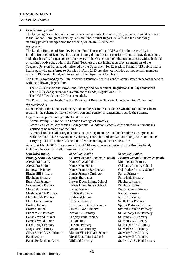*Notes to the Accounts* 

#### *1 Description of Fund*

The following description of the Fund is a summary only. For more detail, reference should be made to the London Borough of Bromley Pension Fund Annual Report 2017/18 and the underlying statutory powers underpinning the scheme, which are listed below.

#### *(a) General*

The London Borough of Bromley Pension Fund is part of the LGPS and is administered by the London Borough of Bromley. It is a contributory defined benefit pension scheme to provide pensions and other benefits for pensionable employees of the Council and of other organisations with scheduled or admitted body status within the Fund. Teachers are not included as they are members of the Teachers' Pension Scheme, administered by the Department for Education. Former NHS public health health staff who transferred to Bromley in April 2013 are also not included as they remain members of the NHS Pension Fund, administered by the Department for Health.

The Fund is governed by the Public Services Pensions Act 2013 and is administered in accordance with with the following legislation:

- The LGPS (Transitional Provisions, Savings and Amendment) Regulations 2014 (as amended)
- The LGPS (Management and Investment of Funds) Regulations 2016.
- The LGPS Regulations 2013 (as amended).

The Fund is overseen by the London Borough of Bromley Pensions Investment Sub-Committee. *(b) Membership*

Membership of the Fund is voluntary and employees are free to choose whether to join the scheme, remain in the scheme or make their own personal pension arrangements outside the scheme. Organisations participating in the Fund include:

- Administering Authority: The London Borough of Bromley
- Scheduled Bodies: Academies, Colleges and Foundation Schools whose staff are automatically entitled to be members of the Fund
- Admitted Bodies: Other organisations that participate in the Fund under admission agreements with the Fund. These may include voluntary, charitable and similar bodies or private contractors carrying out local authority functions after outsourcing to the private sector.

As at 31st March 2018, there were a total of 110 employer organisations in the Bromley Fund, including the Council itself. These are listed below.

| <b>Scheduled Bodies</b>           | <b>Scheduled Bodies</b>                | <b>Scheduled Bodies</b>                |
|-----------------------------------|----------------------------------------|----------------------------------------|
| <b>Primary School Academies</b>   | <b>Primary School Academies (cont)</b> | <b>Primary School Academies (cont)</b> |
| Alexandra Infants                 | Harris Crystal Palace                  | <b>Mottingham Primary</b>              |
| Alexandra Junior                  | Harris Kent House                      | <b>Oaklands Primary School</b>         |
| <b>Balgowan Primary</b>           | Harris Primary Beckenham               | Oak Lodge Primary School               |
| <b>Biggin Hill Primary</b>        | Harris Primary Orpington               | Parish Primary                         |
| <b>Blenheim Primary</b>           | Harris Shortlands                      | Perry Hall Primary                     |
| <b>Burnt Ash Primary</b>          | Hawes Down Infants School              | <b>Pickhurst Infants</b>               |
| Castlecombe Primary               | Hawes Down Junior School               | Pickhurst Junior                       |
| Chelsfield Primary                | <b>Hayes Primary</b>                   | <b>Pratts Bottom Primary</b>           |
| <b>Chislehurst CE Primary</b>     | <b>Highfield Infants</b>               | Raglan Primary                         |
| Churchfields Primary              | Highfield Junior                       | Red Hill Primary                       |
| <b>Clare House Primary</b>        | Hillside Primary                       | <b>Scotts Park Primary</b>             |
| Crofton Infants                   | Holy Innocents RC Primary              | <b>Spring Partnership Trust</b>        |
| <b>Crofton Junior</b>             | <b>James Dixon Primary</b>             | <b>Stewart Fleming Primary</b>         |
| <b>Cudham CE Primary</b>          | <b>Keston CE Primary</b>               | St. Anthony's RC Primary               |
| Darrick Wood Infants              | <b>Langley Park Primary</b>            | St. James RC Primary                   |
| Darrick Wood junior               | La Fontaine                            | St. John's CE Primary                  |
| Farnborough Primary               | Leesons Primary                        | St. Joseph's RC Primary                |
| <b>Grays Farm Primary</b>         | Manor Oak Primary                      | St. Mark's CE Primary                  |
| <b>Green Street Green Primary</b> | Marian Vian Primary School             | St. Mary Cray Primary                  |
| Harris Aspire                     | Mead Road Infant School                | St. Mary's RC Primary                  |
| Harris Beckenham Green            | Midfield Primary                       | St. Peter & St. Paul Primary           |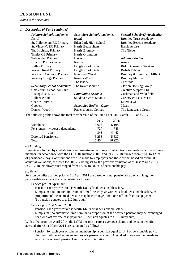*Notes to the Accounts* 

#### *1 Description of Fund continued*

| <b>Primary School Academies</b><br>(cont) | <b>Secondary School Academies</b><br>$\textit{(cont)}$ | <b>Special School/AP Academies</b><br><b>Bromley Trust Academy</b> |
|-------------------------------------------|--------------------------------------------------------|--------------------------------------------------------------------|
| St. Philomena's RC Primary                | Eden Park High School                                  | <b>Bromley Beacon Academy</b>                                      |
| St. Vincent's RC Primary                  | Harris Beckenham                                       | Harris Aspire                                                      |
| The Highway Primary                       | Harris Bromley                                         | The Glebe                                                          |
| <b>Trinity CE Primary</b>                 | Harris Orpington                                       |                                                                    |
| <b>Tubbenden Primary</b>                  | Hayes                                                  | <b>Admitted Bodies</b>                                             |
| <b>Unicorn Primary School</b>             | Kemnal                                                 | Amey                                                               |
| <b>Valley Primary</b>                     | <b>Langley Park Boys</b>                               | <b>Birkin Cleaning Services</b>                                    |
| Warren Road Primary                       | <b>Langley Park Girls</b>                              | <b>British Telecom</b>                                             |
| Wickham Common Primary                    | Newstead Wood                                          | Bromley & Lewisham MIND                                            |
| <b>Worsley Bridge Primary</b>             | Ravens Wood                                            | <b>Bromley Mytime</b>                                              |
|                                           | The Priory                                             | Certitude                                                          |
| <b>Secondary School Academies</b>         | The Ravensbourne                                       | <b>Clarion Housing Group</b>                                       |
| Chislehurst School for Girls              |                                                        | Creative Support Ltd                                               |
| <b>Bishop Justus CE</b>                   | <b>Foundation Schools</b>                              | Cushman and Wakefield                                              |
| <b>Bullers Wood</b>                       | St Olave's & St Saviour's                              | Greenwich Leisure Ltd                                              |
| <b>Charles Darwin</b>                     |                                                        | Liberata UK                                                        |
| Coopers                                   | <b>Scheduled Bodies - Other</b>                        | Mears                                                              |
| Darrick Wood                              | Ravensbourne College                                   | The Landscape Group                                                |
|                                           |                                                        |                                                                    |

The following table shows the total membership of the Fund as at 31st March 2018 and 2017.

|                                  | 2017   | 2018   |
|----------------------------------|--------|--------|
| <b>Members</b>                   | 6,076  | 6,198  |
| Pensioners - widows / dependants | 727    | 743    |
| - other                          | 4.343  | 4.442  |
| <b>Deferred Pensioners</b>       | 5.258  | 5,537  |
| Total                            | 16.404 | 16,920 |

#### *(c) Funding*

Benefits are funded by contributions and investment earnings. Contributions are made by active scheme members in accordance with the LGPS Regulations 2013 and, in 2017/18, ranged from 2.8% to 12.5% of pensionable pay. Contributions are also made by employers and these are set based on triennial actuarial valuations, the rates for 2016/17 being set by the previous valuation as at 31st March 2013. In 2017/18, employer rates ranged from 16.9% to 38.0% of pensionable pay.

#### *(d) Benefits*

Pension benefits accrued prior to 1st April 2014 are based on final pensionable pay and length of pensionable service and are calculated as follows:

Service pre 1st April 2008:

- Pension: each year worked is worth 1/80 x final pensionable salary.
- Lump sum : automatic lump sum of 3/80 for each year worked x final pensionable salary. A proportion of the accrued pension may be exchanged for a one-off tax free cash payment  $(E1)$  pension equates to a £12 lump sum).

Service post 31st March 2008:

- Pension: each year worked is worth 1/60 x final pensionable salary.
- Lump sum : no automatic lump sum, but a proportion of the accrued pension may be exchanged for a one-off tax free cash payment  $(£1$  pension equates to a £12 lump sum).

With effect from 1st April 2014, the LGPS became a career average scheme and pension benefits accrued after 31st March 2014 are calculated as follows:

 - Pension: for each year of scheme membership, a pension equal to 1/49 of pensionable pay for that year will be added to an employee's pension account. Annual additions are then made to ensure the accrued pension keeps pace with inflation.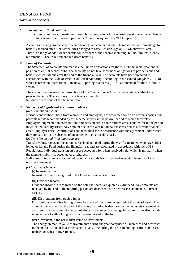*Notes to the Accounts* 

#### *1 Description of Fund continued*

 - Lump sum : no automatic lump sum, but a proportion of the accrued pension may be exchanged for a one-off tax free cash payment  $(f_1)$  pension equates to a  $f_1$ 2 lump sum).

As well as a change to the way in which benefits are calculated, the scheme normal retirement age for benefits accrued after 31st March 2014 changed to State Pension Age or 65, whichever is later. There is a range of additional benefits for members of the scheme including, but not limited to, early retirement, ill health retirement and death benefits.

#### *2 Basis of Preparation*

The Statement of Accounts summarises the Fund's transactions for the 2017/18 financial year and its position as at 31st March 2018. The accounts do not take account of obligations to pay pensions and benefits which fall due after the end of the financial year. The accounts have been prepared in accordance with the Code of Practice on Local Authority Accounting in the United Kingdom 2017/18, which is based on International Financial Reporting Standards (IFRS), as amended for the UK public sector.

The accounts summarise the transactions of the Fund and report on the net assets available to pay pension benefits. The accounts do not take account of  $\mathfrak{c}^{\times}$ fall due after the end of the financial year.

#### *3 Summary of Significant Accounting Policies*

#### *(a) Contribution income*

Normal contributions, both from members and employers, are accounted for on an accruals basis at the percentage rate recommended by the scheme actuary in the payroll period to which they relate. Employers' augmentation contributions and pension strain contributions are accounted for in the period in which the liability arises. Any amount due in the year but unpaid is classified as a current financial asset. Employer deficit contributions are accounted for in accordance with the agreement under which they are paid or, in the absence of an agreement, on a receipts basis.

#### *(b) Transfers to and from other schemes*

Transfer values represent the amounts received and paid during the year for members who have either joined or left the Fund during the financial year and are calculated in accordance with the LGPS Regulations. Individual transfers in/out are accounted for when received/paid, which is normally when the member liability is accepted or discharged.

Bulk (group) transfers are accounted for on an accruals basis in accordance with the terms of the transfer agreement.

#### *(c) Investment Income*

(i) Interest income

Interest income is recognised in the Fund account as it accrues.

#### (ii) Dividend income

Dividend income is recognised on the date the shares are quoted ex-dividend. Any amounts not received by the end of the reporting period are disclosed in the net assets statement as "current assets".

### (iii) Distributions from pooled funds

Distributions from distributing share class pooled funds are recognised at the date of issue. Any amount not received by the end of the reporting period is disclosed in the net assets statement as a current financial asset. For accumulating share classes, the change in market value also includes income, net of withholding tax, which is re-invested in the fund.

#### (iv) Movement in the net market value of investments

The change in market value of investments during the year comprises all increases and decreases in the market value of investments held at any time during the year, including profits and losses realised on sales of investments.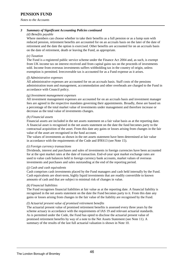*Notes to the Accounts* 

#### *3 Summary of Significant Accounting Policies continued*

#### *(d) Benefits payable*

Where members can choose whether to take their benefits as a full pension or as a lump sum with reduced pension, retirement benefits are accounted for on an accruals basis on the later of the date of retirement and the date the option is exercised. Other benefits are accounted for on an accruals basis on the date of retirement, death or leaving the Fund, as appropriate.

#### *(e) Taxation*

The Fund is a registered public service scheme under the Finance Act 2004 and, as such, is exempt from UK income tax on interest received and from capital gains tax on the proceeds of investments sold. Income from overseas investments suffers withholding tax in the country of origin, unless exemption is permitted. Irrecoverable tax is accounted for as a Fund expense as it arises.

#### *(f) Administrative expenses*

All administrative expenses are accounted for on an accruals basis. Staff costs of the pensions administration team and management, accommodation and other overheads are charged to the Fund in accordance with Council policy.

#### *(g) Investment management expenses*

All investment management expenses are accounted for on an accruals basis and investment manager fees are agreed in the respective mandates governing their appointments. Broadly, these are based on a percentage of the total market value of investments under management and therefore increase or decrease as the total value of investments changes.

#### *(h) Financial assets*

Financial assets are included in the net assets statement on a fair value basis as at the reporting date. A financial asset is recognised in the net assets statement on the date the fund becomes party to the contractual acquisition of the asset. From this date any gains or losses arising from changes in the fair value of the asset are recognised in the fund account.

The values of investments as shown in the net assets statement have been determined at fair value in accordance with the requirements of the Code and IFRS13 (see Note 15).

#### *(i) Foreign currency transactions*

Dividends, interest and purchases and sales of investments in foreign currencies have been accounted for at the spot market rates at the date of transaction. End-of-year spot market exchange rates are used to value cash balances held in foreign currency bank accounts, market values of overseas investments and purchases and sales outstanding at the end of the reporting period.

#### *(j) Cash and cash equivalents*

Cash comprises cash investments placed by the Fund managers and cash held internally by the Fund. Cash equivalents are short-term, highly liquid investments that are readily convertible to known amounts of cash and that are subject to minimal risk of changes in value.

#### *(k) Financial liabilities*

The Fund recognises financial liabilities at fair value as at the reporting date. A financial liability is recognised in the net assets statement on the date the Fund becomes party to it. From this date any gains or losses arising from changes in the fair value of the liability are recognised by the Fund.

#### *(l) Actuarial present value of promised retirement benefits*

The actuarial present value of promised retirement benefits is assessed every three years by the scheme actuary in accordance with the requirements of IAS 19 and relevant actuarial standards. As is permitted under the Code, the Fund has opted to disclose the actuarial present value of promised retirement benefits by way of a note to the Net Assets Statement (see Note 11). A summary of the results of the last full actuarial valuation is shown in Note 10.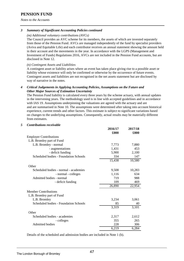*Notes to the Accounts* 

### *3 Summary of Significant Accounting Policies continued*

#### *(m) Additional voluntary contributions (AVCs)*

The Council provides an AVC scheme for its members, the assets of which are invested separately from those of the Pension Fund. AVCs are managed independently of the fund by specialist providers (Aviva and Equitable Life) and each contributor receives an annual statement showing the amount held in their account and the movements in the year. In accordance with the LGPS (Management and Investment of Funds) Regulations 2016, AVCs are not included in the Pension Fund accounts, but are disclosed in Note 12.

*(n) Contingent Assets and Liabilities*

A contingent asset or liability arises where an event has taken place giving rise to a possible asset or liability whose existence will only be confirmed or otherwise by the occurrence of future events. Contingent assets and liabilities are not recognised in the net assets statement but are disclosed by way of narrative in the notes.

#### *4 Critical Judgements in Applying Accounting Policies, Assumptions on the Future and Other Major Sources of Estimation Uncertainty*

The Pension Fund liability is calculated every three years by the scheme actuary, with annual updates in the intervening years. The methodology used is in line with accepted guidelines and in accordance with IAS 19. Assumptions underpinning the valuations are agreed with the actuary and are and are summarised in Note 10. The assumptions were determined after taking into account historical experience, current trends and other factors. This estimate is subject to significant variations based on changes to the underlying assumptions. Consequently, actual results may be materially different from estimates.

### *5 Contributions receivable* **2016/17 2017/18 £000 £000** Employer Contributions L.B. Bromley part of Fund L.B. Bromley - normal 7,773 7,880  $-$  augmentations  $1,431$   $453$ - deficit funding 5,900 2,100 Scheduled bodies - Foundation Schools 334 147 15,438 10,580 **Other** Scheduled bodies - normal - academies 9,508 10,283  $-$  normal  $-$  colleges  $1,116$  634 Admitted bodies - normal 719 988 - deficit funding 109 469 26,890 22,954 Member Contributions L.B. Bromley part of Fund L.B. Bromley 3,234 3,061 Scheduled bodies - Foundation Schools 85 85 40 3,319 3,101 **Other** Scheduled bodies - academies 2,317 2,612 - colleges 355 265 Admitted bodies 228 306<br>6.219 6.284 6,219

Details of the scheduled and admission bodies are included in Note 1 (b).

# The London Borough of Bromley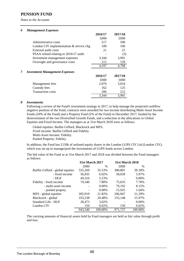*Notes to the Accounts* 

#### *6 Management Expenses*

|   |                                           | 2016/17 | 2017/18 |
|---|-------------------------------------------|---------|---------|
|   |                                           | £000    | £000    |
|   | Administrative costs                      | 517     | 500     |
|   | London CIV implementation $&$ service chg | 100     | 100     |
|   | External audit costs                      | 21      | 21      |
|   | PSAA refund relating to 2016/17 audit     |         | (3)     |
|   | Investment management expenses            | 3,344   | 3,991   |
|   | Oversight and governance costs            | 215     | 159     |
|   |                                           | 4,197   | 4,768   |
| 7 | <b>Investment Management Expenses</b>     |         |         |
|   |                                           | 2016/17 | 2017/18 |
|   |                                           | £000    | £000    |
|   | Management fees                           | 2,976   | 3,654   |
|   | Custody fees                              | 162     | 125     |
|   | <b>Transaction costs</b>                  | 206     | 212     |
|   |                                           | 3,344   | 3,991   |

#### *8 Investments*

Following a review of the Fund's investment strategy in 2017, to help manage the projected cashflow negative position of the Fund, contracts were awarded for two income distributing Multi-Asset Income Funds (20% of the Fund) and a Property Fund (5% of the Fund) in December 2017, funded by the disinvestment of the two Diversified Growth Funds, and a reduction in the allocations to Global Equities and Fixed Income. The managers as at 31st March 2018 were as follows:

Global equities: Baillie Gifford, Blackrock and MFS. Fixed income: Baillie Gifford and Fidelity. Multi-Asset Income: Fidelity. Pooled Property: Fidelity.

In addition, the Fund has £150k of unlisted equity shares in the London LGPS CIV Ltd (London CIV), which was set up to manage/pool the investments of LGPS funds across London.

The bid value of the Fund as at 31st March 2017 and 2018 was divided between the Fund managers as follows:

|                                   | <b>31st March 2017</b> |          | <b>31st March 2018</b> |         |
|-----------------------------------|------------------------|----------|------------------------|---------|
|                                   | £000                   | $\%$     | £000                   | $\%$    |
| Baillie Gifford - global equities | 335,269                | 35.53%   | 380,801                | 39.18%  |
| - fixed income                    | 56,835                 | 6.02%    | 58,039                 | 5.97%   |
| - DGF                             | 49,316                 | 5.23%    |                        | 0.00%   |
| Fidelity - fixed income           | 74,340                 | 7.88%    | 75,635                 | 7.78%   |
| - multi-asset income              |                        | 0.00%    | 79,192                 | 8.15%   |
| - pooled propety                  |                        | $0.00\%$ | 15,925                 | 1.64%   |
| MFS - global equities             | 205,919                | 21.82%   | 206,847                | 21.29%  |
| Blackrock - global                | 193,238                | 20.48%   | 155,148                | 15.97%  |
| Standard Life - DGF               | 28,473                 | 3.02%    |                        | 0.00%   |
| London CIV                        | 150                    | 0.02%    | 150                    | 0.02%   |
|                                   | 943,540                | 100.00%  | 971.737                | 100.00% |

The carrying amounts of financial assets held by Fund managers are held as fair value through profit and loss.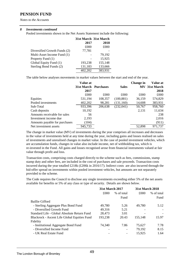*Notes to the Accounts* 

#### *8 Investments continued*

Pooled investments shown in the Net Assets Statement include the following:

|                              | 31st March 31st March |         |
|------------------------------|-----------------------|---------|
|                              | 2017                  | 2018    |
|                              | £000                  | £000    |
| Diversified Growth Funds (2) | 77,781                |         |
| Multi-Asset Income Fund (1)  |                       | 79,192  |
| Property Fund (1)            |                       | 15,925  |
| Global Equity Fund (1)       | 193,238               | 155,148 |
| Sterling Bond Funds (2)      | 131,183               | 133,666 |
|                              | 402,202               | 383,931 |

The table below analyses movements in market values between the start and end of the year.

|                               | <b>Value at</b><br><b>31st March Purchases</b> |         | <b>Sales</b> | Change in | <b>Value at</b><br><b>MV</b> 31st March |
|-------------------------------|------------------------------------------------|---------|--------------|-----------|-----------------------------------------|
|                               | 2017                                           |         |              |           | 2018                                    |
|                               | £000                                           | £000    | £000         | £000      | £000                                    |
| Equities                      | 531,194                                        | 108,357 | (100, 881)   | 36,159    | 574,829                                 |
| Pooled investments            | 402,202                                        | 98,281  | (131,160)    | 14,608    | 383,931                                 |
| Sub-Total                     | 933,396                                        | 206,638 | (232,041)    | 50,767    | 958,760                                 |
| Cash deposits                 | 10,192                                         |         |              | 2,131     | 11,634                                  |
| Amounts receivable for sales  | 56                                             |         |              |           | 238                                     |
| Investment income due         | 2,193                                          |         |              |           | 2,016                                   |
| Amounts payable for purchases | (104)                                          |         |              |           | (911)                                   |
| Net investment assets         | 945,733                                        |         |              | 52,898    | 971,737                                 |

The change in market value (MV) of investments during the year comprises all increases and decreases in the value of investments held at any time during the year, including gains and losses realised on sales of investments and unrealised changes in market value. In the case of pooled investment vehicles, which are accumulation funds, changes in value also include income, net of withholding tax, which is re-invested in the Fund. All gains and losses recognised arose from financial instruments valued at fair value through profit and loss.

Transaction costs, comprising costs charged directly to the scheme such as fees, commissions, stamp stamp duty and other fees, are included in the cost of purchases and sale proceeds. Transaction costs incurred during the year totalled £218k (£206k in 2016/17). Indirect costs are also incurred through the bid-offer spread on investments within pooled investment vehicles, but amounts are not separately provided to the scheme.

The Code requires the Council to disclose any single investments exceeding either 5% of the net assets available for benefits or 5% of any class or type of security. Details are shown below.

|                                              | 31st March 2017 |            | <b>31st March 2018</b> |            |
|----------------------------------------------|-----------------|------------|------------------------|------------|
|                                              | £000            | % of total | £000                   | % of total |
|                                              |                 | Fund       |                        | Fund       |
| <b>Baillie Gifford</b>                       |                 |            |                        |            |
| - Sterling Aggregate Plus Bond Fund          | 49,780          | 5.26       | 49.780                 | 5.12       |
| - Diversified Growth Fund                    | 49,316          | 5.21       |                        |            |
| Standard Life - Global Absolute Return Fund  | 28,473          | 3.01       |                        |            |
| Blackrock - Ascent Life Global Equities Fund | 193,238         | 20.43      | 155,148                | 15.97      |
| Fidelity                                     |                 |            |                        |            |
| - Institutional Aggregate Bond Fund          | 74.340          | 7.86       | 75.627                 | 7.78       |
| - Diversified Income Fund                    |                 |            | 79,192                 | 8.15       |
| - UK Real Estate Fund                        |                 |            | 15,925                 | 1.64       |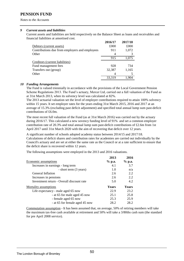*Notes to the Accounts* 

#### *9 Current assets and liabilities*

Current assets and liabilities are held respectively on the Balance Sheet as loans and receivables and financial liabilities at amortised cost.

| £000  |
|-------|
| 1,072 |
|       |
| 1,075 |
|       |
| 734   |
| 1,165 |
|       |
| 1.904 |
|       |

#### *10 Funding Arrangements*

The Fund is valued triennially in accordance with the provisions of the Local Government Pension Scheme Regulations 2013. The Fund's actuary, Mercer Ltd, carried out a full valuation of the Fund as at 31st March 2013, when its solvency level was calculated at 82%.

The 2013 actuarial valuation set the level of employer contributions required to attain 100% solvency within 15 years. It set employer rates for the years ending 31st March 2015, 2016 and 2017 at an average of 15.3% (excluding past deficit adjustment) and specified total annual lump sum past-deficit contributions of £6.0m.

The most recent full valuation of the Fund (as at 31st March 2016) was carried out by the actuary during 2016/17. This calculated a new sovency funding level of 91% and set a common employer contribution rate of 20.3% and total annual lump sum past-deficit contributions of £2.6m from 1st April 2017 until 31st March 2020 with the aim of recovering that deficit over 12 years.

A significant number of schools adopted academy status between 2014/15 and 2017/18. Calculations of deficit shares and contribution rates for academies are carried out individually by the Council's actuary and are set at either the same rate as the Council or at a rate sufficient to ensure that the deficit share is recovered within 12 years.

The following assumptions were employed in the 2013 and 2016 valuations.

|                                           | 2013         | 2016     |
|-------------------------------------------|--------------|----------|
| Economic assumptions                      | $%$ p.a.     | $%$ p.a. |
| Increases in earnings - long term         | 4.1          | 3.7      |
| - short term (3 years)                    | 1.0          | n/a      |
| <b>General Inflation</b>                  | 2.6          | 2.2      |
| Increases in pensions                     | 2.6          | 2.2      |
| Investment return - Overall discount rate | 5.0          | 4.2      |
| <b>Mortality assumptions</b>              | <b>Years</b> | Years    |
| Life expectancy - male aged 65 now        | 22.9         | 23.2     |
| - at 65 for male aged 45 now              | 25.1         | 25.8     |
| - female aged 65 now                      | 25.3         | 25.9     |
| - at 65 for female aged 45 now            | 28.2         | 28.2     |

Commutation assumption - It has been assumed that, on average, 50% of retiring members will take the maximum tax-free cash available at retirement and 50% will take a 3/80ths cash sum (the standard for pre April 2008 service).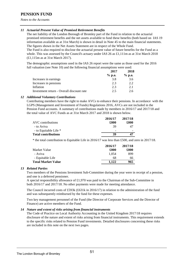*Notes to the Accounts* 

#### *11 Actuarial Present Value of Promised Retirement Benefits*

The net liability of the London Borough of Bromley part of the Fund in relation to the actuarial promised retirement benefits and the net assets available to fund these benefits (both based on IAS 19 information available as at 31st March) is shown in detail in Note 45 to the main financial statements. The figures shown in the Net Assets Statement are in respect of the Whole Fund.

The Fund is also required to disclose the actuarial present value of future benefits for the Fund as a whole. This was assessed by the Council's actuary under IAS 26 as £1,111m as at 31st March 2018 (£1,115m as at 31st March 2017).

The demographic assumptions used in the IAS 26 report were the same as those used for the 2016 full valuation (see Note 10) and the following financial assumptions were used:

|                                           | 2017     | 2018     |  |
|-------------------------------------------|----------|----------|--|
|                                           | $%$ p.a. | $%$ p.a. |  |
| Increases in earnings                     | 3.8      | 3.6      |  |
| Increases in pensions                     | 2.3      | 2.2      |  |
| Inflation                                 | 2.3      | 2.1      |  |
| Investment return - Overall discount rate | 2.5      | 26       |  |

#### *12 Additional Voluntary Contributions*

Contributing members have the right to make AVCs to enhance their pensions. In accordance with the LGPS (Management and Investment of Funds) Regulations 2016, AVCs are not included in the Pension Fund accounts. A summary of contributions made by members in 2016/17 and 2017/18 and the total value of AVC Funds as at 31st March 2017 and 2018 is shown below.

|                       | 2016/17 | 2017/18 |
|-----------------------|---------|---------|
| AVC contributions     | £000    | £000    |
| - to Aviva            | 39      | 47      |
| - to Equitable Life * |         |         |
| Total contributions   | 39      |         |
|                       |         |         |

\* the total contribution to Equitable Life in 2016/17 was less than £500, and zero in 2017/18.

|                           | 2016/17 | 2017/18 |
|---------------------------|---------|---------|
| Market Value              | £000    | £000    |
| - Aviva                   | 1.054   | 899     |
| - Equitable Life          | 68      | 66      |
| <b>Total Market Value</b> | 1.122   | 965     |

#### *13 Related Parties*

Two members of the Pensions Investment Sub-Committee during the year were in receipt of a pension, and one is a deferred pensioner.

A special responsibility allowance of £1,970 was paid to the Chairman of the Sub-Committee in both 2016/17 and 2017/18. No other payments were made for meeting attendance.

The Council incurred costs of £593k (£631k in 2016/17) in relation to the administration of the fund and was subsequently reimbursed by the fund for these expenses.

Two key management personnel of the Fund (the Director of Corporate Services and the Director of Finance) are active members of the Fund.

#### *14 Nature and extent of risks arising from financial instruments*

The Code of Practice on Local Authority Accounting in the United Kingdom 2017/18 requires disclosure of the nature and extent of risks arising from financial instruments. This requirement extends to the specific risks related to Pension Fund investments. Detailed disclosures concerning these risks are included in this note on the next two pages.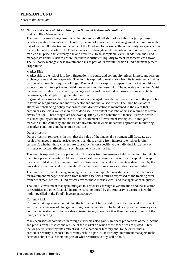*Notes to the Accounts* 

#### *14 Nature and extent of risks arising from financial instruments continued*  Risk and Risk Management

The Fund's primary long-term risk is that its assets will fall short of its liabilities (i.e. promised benefits payable to members). Therefore, the aim of investment risk management is to minimise the risk of an overall reduction in the value of the Fund and to maximise the opportunity for gains across the whole Fund portfolio. The Fund achieves this through asset diversification to reduce exposure to market risk, price risk, currency risk and credit risk to an acceptable level. In addition, the Fund manages its liquidity risk to ensure that there is sufficient liquidity to meet its forecast cash-flows. The Authority manages these investment risks as part of its overall Pension Fund risk management programme.

#### Market Risk

Market risk is the risk of loss from fluctuations in equity and commodity prices, interest and foreign exchange rates and credit spreads. The Fund is exposed to market risk from its investment activities, particularly through its equity holdings. The level of risk exposure depends on market conditions, expectations of future price and yield movements and the asset mix. The objective of the Fund's risk management strategy is to identify, manage and control market risk exposure within acceptable parameters, whilst optimising the return on risk.

In general, excessive volatility in market risk is managed through the diversification of the portfolio in terms of geographical and industry sector and individual securities. The Fund has an asset allocation rebalancing policy that ensures that diversification is maintained in the event that particular asset class values increase or decrease to an extent that rebalancing is required to retain diversification. These ranges are reviewed quarterly by the Director of Finance. Further details of current policy are included in the Fund's Statement of Investment Principles. To mitigate market risk, the Authority and the Fund's investment advisers undertake appropriate monitoring of market conditions and benchmark analysis.

#### Other price risk

Other price risk represents the risk that the value of the financial instrument will fluctuate as a result of changes in market prices (other than those arising from interest rate risk or foreign currency), whether those changes are caused by factors specific to the individual instrument or its issuer or factors affecting all such instruments in the market.

The Fund is exposed to share price risk. This arises from investments held by the Fund for which the future price is uncertain. All securities investments present a risk of loss of capital. Except for shares sold short, the maximum risk resulting from financial instruments is determined by the fair value of the financial instruments. Possible losses from shares sold short are unlimited.

The Fund's investment management agreements for non-pooled investments provide tolerances for investment manager deviation from market asset class returns expressed as the tracking error from benchmark returns. Fund officers review these metrics with Fund managers at each quarter.

The Fund's investment managers mitigate this price risk through diversification and the selection of securities and other financial instruments is monitored by the Authority to ensure it is within limits specified in the Fund's investment strategy.

#### Currency Risk

Currency risk represents the risk that the fair value of future cash flows of a financial instrument will fluctuate because of changes in foreign exchange rates. The Fund is exposed to currency risk on financial instruments that are denominated in any currency other than the base currency of the Fund, i.e. £Sterling.

Many securities denominated in foreign currencies also gain significant proportions of their income and profits from jurisdictions outside of the market on which those securities are quoted. Over the long-term, currency rates reflect value in a particular territory and, to the extent that a particular security is exposed to currency risk in a particular territory, investment managers make decisions about this in their analysis of what securities to buy, sell or hold.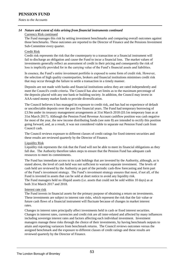*Notes to the Accounts* 

# *14 Nature and extent of risks arising from financial instruments continued*

Currency Risk continued

The Fund manages this risk by setting investment benchmarks and comparing overall outcomes against those benchmarks. These outcomes are reported to the Director of Finance and the Pensions Investment Sub-Committee every quarter.

#### Credit Risk

Credit risk represents the risk that the counterparty to a transaction or a financial instrument will fail to discharge an obligation and cause the Fund to incur a financial loss. The market values of investments generally reflect an assessment of credit in their pricing and consequently the risk of loss is implicitly provided for in the carrying value of the Fund's financial assets and liabilities.

In essence, the Fund's entire investment portfolio is exposed to some form of credit risk. However, the selection of high quality counterparties, brokers and financial institutions minimises credit risk that may occur through the failure to settle a transaction in a timely manner.

Deposits are not made with banks and financial institutions unless they are rated independently and meet the Council's credit criteria. The Council has also set limits as to the maximum percentage of the deposits placed with any one bank or building society. In addition, the Council may invest in AAA-rated money market funds to provide diversification.

The Council believes it has managed its exposure to credit risk, and has had no experience of default or uncollectable deposits over the past five financial years. The Fund had temporary borrowing of £3.9m under its treasury management arrangements at 31st March 2018 (£0.1m temporary loan as at 31st March 2017). Although the Pension Fund Revenue Account cashflow position was cash negative for most of the year, the new income distributing funds (see note 8) are intended to rectify this position going forward, and, as a result, it was not considered viable to separate out Pension Fund cash from Council cash.

The Council reviews exposure to different classes of credit ratings for fixed-interest securities and these results are reviewed quarterly by the Director of Finance.

#### Liquidity Risk

Liquidity risk represents the risk that the Fund will not be able to meet its financial obligations as they fall due. The Authority therefore takes steps to ensure that the Pension Fund has adequate cash resources to meet its commitments.

The Fund has immediate access to its cash holdings that are invested by the Authority, although, as is stated above, the level of cash held was not sufficient to warrant separate investment. The levels of cash held are reviewed by the Authority as part of the periodic cash-flow forecasting and form part of the Fund's investment strategy. The Fund's investment strategy ensures that most, if not all, of the Fund is invested in assets that can be sold at short notice to avoid any liquidity risk. The Fund managers held no illiquid assets (i.e. assets that could not be sold within 10 days) as at both 31st March 2017 and 2018.

#### Interest rate risk

The Fund invests in financial assets for the primary purpose of obtaining a return on investments. These investments are subject to interest rate risks, which represent the risk that the fair value or future cash flows of a financial instrument will fluctuate because of changes in market interest rates.

Changes in interest rates principally affect investments held in cash or fixed interest securities. Changes in interest rates, currencies and credit risk are all inter-related and affected by many influences including sovereign interest rates and factors affecting each individual investment. Investment managers manage these risks through the choice of their investments, by having benchmark outputs to attain and reporting variances from benchmark returns. The Council reviews outcomes versus the assigned benchmark and the exposure to different classes of credit ratings and these results are reviewed quarterly by the Director of Finance.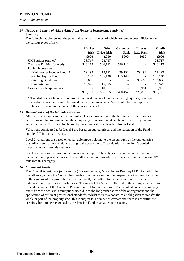*Notes to the Accounts* 

### *14 Nature and extent of risks arising from financial instruments continued*

#### Summary

The following table sets out the potential sums at risk, most of which are remote possibilities, under the various types of risk:

|                              | <b>Market</b> | <b>Other</b>       | <b>Currency</b>          | <b>Interest</b>    | <b>Credit</b> |
|------------------------------|---------------|--------------------|--------------------------|--------------------|---------------|
|                              | <b>Risk</b>   | <b>Price Risk</b>  | <b>Risk</b>              | <b>Rate Risk</b>   | <b>Risk</b>   |
|                              | $\pmb{.}600$  | $\pmb{\pounds}000$ | £000                     | $\pmb{\pounds}000$ | £000          |
| UK Equities (quoted)         | 28,717        | 28,717             | $\overline{\phantom{0}}$ |                    | 28,717        |
| Overseas Equities (quoted)   | 546,112       | 546,112            | 546,112                  |                    | 546,112       |
| Pooled Investments           |               |                    |                          |                    |               |
| - Multi-Asset Income Funds * | 79,192        | 79,192             | 79,192                   | 79,192             | 79,192        |
| - Global Equity Fund         | 155,148       | 155,148            | 155,148                  | -                  | 155,148       |
| - Sterling Bond Funds        | 133,666       |                    | $\overline{\phantom{a}}$ | 133,666            | 133,666       |
| - Property Funds             | 15,925        | 15,925             | $\overline{\phantom{a}}$ |                    | 15,925        |
| Cash and cash equivalents    |               | 10,961             | $\overline{\phantom{a}}$ | 10,961             | 10,961        |
|                              | 958,760       | 836,055            | 780,452                  | 223,819            | 969,721       |

\* The Multi-Asset Income Fund invests in a wide range of assets, including equities, bonds and alternative investments, as determined by the Fund managers. As a result, there is exposure to all types of risk up to the value of the investments held.

#### *15 Determination of the fair value of assets*

All investment assets are held at fair value. The determination of the fair value can be complex depending on the investment and the complexity of measurement can be represented by the fair value hierarchy. The fair value hierarchy ranks fair values at levels between 1 and 3.

Valuations considered to be Level 1 are based on quoted prices, and the valuation of the Fund's equities fall into this category.

Level 2 valuations are based on observable inputs relating to the assets, such as the quoted price of similar assets or market data relating to the assets held. The valuation of the Fund's pooled investments fall into this category.

Level 3 valuations are based on non-observable inputs. These types of valuation are common to the valuation of private equity and other alternative investments. The investment in the London CIV falls into this category.

#### *16 Contingent Assets*

The Council is party to a joint venture (JV) arrangement, More Homes Bromley LLP. As part of the overall arrangement the Council has resolved that, on receipt of the property stock at the conclusion of the agreement, the properties will subsequently be 'gifted' to the Pension Fund with a view to reducing current pension contributions. The assets to be 'gifted' at the end of the arrangement will not exceed the value of the Council's Pension Fund deficit at that time. The eventual consideration may differ from the actuarial assumptions used due to the long term nature of the arrangement and the application of different professional standards. Whilst there is a constructive obligation to transfer the whole or part of the property stock this is subject to a number of caveats and there is not sufficient certainty for it to be recognised by the Pension Fund as an asset at this stage.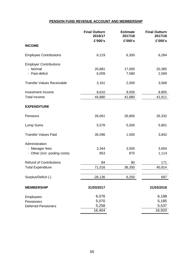### **PENSION FUND REVENUE ACCOUNT AND MEMBERSHIP**

|                                   | <b>Final Outturn</b><br>2016/17<br>£'000's | <b>Estimate</b><br>2017/18<br>£'000's | <b>Final Outturn</b><br>2017/18<br>£'000's |
|-----------------------------------|--------------------------------------------|---------------------------------------|--------------------------------------------|
| <b>INCOME</b>                     |                                            |                                       |                                            |
| <b>Employee Contributions</b>     | 6,219                                      | 6,300                                 | 6,284                                      |
| <b>Employer Contributions</b>     |                                            |                                       |                                            |
| - Normal                          | 20,881                                     | 17,000                                | 20,385                                     |
| - Past-deficit                    | 6,009                                      | 7,580                                 | 2,569                                      |
| <b>Transfer Values Receivable</b> | 3,161                                      | 2,000                                 | 3,568                                      |
| Investment Income                 | 8,610                                      | 9,000                                 | 8,805                                      |
| <b>Total Income</b>               | 44,880                                     | 41,880                                | 41,611                                     |
| <b>EXPENDITURE</b>                |                                            |                                       |                                            |
| Pensions                          | 26,061                                     | 26,800                                | 26,332                                     |
| Lump Sums                         | 5,578                                      | 5,500                                 | 5,801                                      |
| <b>Transfer Values Paid</b>       | 35,096                                     | 1,500                                 | 3,842                                      |
| Administration                    |                                            |                                       |                                            |
| - Manager fees                    | 3,344                                      | 3,500                                 | 3,654                                      |
| - Other (incl. pooling costs)     | 853                                        | 870                                   | 1,114                                      |
| <b>Refund of Contributions</b>    | 84                                         | 80                                    | 171                                        |
| <b>Total Expenditure</b>          | 71,016                                     | 36,350                                | 40,914                                     |
| Surplus/Deficit (-)               | $-26,136$                                  | 6,250                                 | 697                                        |
| <b>MEMBERSHIP</b>                 | 31/03/2017                                 |                                       | 31/03/2018                                 |
| Employees                         | 6,076                                      |                                       | 6,198                                      |
| Pensioners                        | 5,070                                      |                                       | 5,185                                      |
| <b>Deferred Pensioners</b>        | 5,258                                      |                                       | 5,537                                      |
|                                   | 16,404                                     |                                       | 16,920                                     |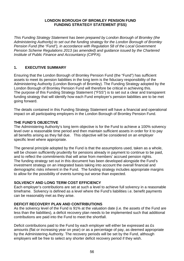### **LONDON BOROUGH OF BROMLEY PENSION FUND FUNDING STRATEGY STATEMENT (FSS)**

*This Funding Strategy Statement has been prepared by London Borough of Bromley (the Administering Authority) to set out the funding strategy for the London Borough of Bromley Pension Fund (the "Fund"), in accordance with Regulation 58 of the Local Government Pension Scheme Regulations 2013 (as amended) and guidance issued by the Chartered Institute of Public Finance and Accountancy (CIPFA).* 

# **1. EXECUTIVE SUMMARY**

Ensuring that the London Borough of Bromley Pension Fund (the "Fund") has sufficient assets to meet its pension liabilities in the long term is the fiduciary responsibility of the Administering Authority (London Borough of Bromley). The Funding Strategy adopted by the London Borough of Bromley Pension Fund will therefore be critical in achieving this. The purpose of this Funding Strategy Statement ("FSS") is to set out a clear and transparent funding strategy that will identify how each Fund employer's pension liabilities are to be met going forward.

The details contained in this Funding Strategy Statement will have a financial and operational impact on all participating employers in the London Borough of Bromley Pension Fund.

### **THE FUND'S OBJECTIVE**

The Administering Authority's long term objective is for the Fund to achieve a 100% solvency level over a reasonable time period and then maintain sufficient assets in order for it to pay all benefits arising as they fall due. This objective will be considered on an employer specific level where appropriate.

The general principle adopted by the Fund is that the assumptions used, taken as a whole, will be chosen sufficiently prudently for pensions already in payment to continue to be paid, and to reflect the commitments that will arise from members' accrued pension rights. The funding strategy set out in this document has been developed alongside the Fund's investment strategy on an integrated basis taking into account the overall financial and demographic risks inherent in the Fund. The funding strategy includes appropriate margins to allow for the possibility of events turning out worse than expected.

# **SOLVENCY AND LONG TERM COST EFFICIENCY**

Each employer's contributions are set at such a level to achieve full solvency in a reasonable timeframe. Solvency is defined as a level where the Fund's liabilities i.e. benefit payments can be reasonably met as they arise.

# **DEFICIT RECOVERY PLAN AND CONTRIBUTIONS**

As the solvency level of the Fund is 91% at the valuation date (i.e. the assets of the Fund are less than the liabilities), a deficit recovery plan needs to be implemented such that additional contributions are paid into the Fund to meet the shortfall.

Deficit contributions paid to the Fund by each employer will either be expressed as £s amounts (flat or increasing year on year) or as a percentage of pay, as deemed appropriate by the Administering Authority. The recovery periods will be set by the Fund, although employers will be free to select any shorter deficit recovery period if they wish.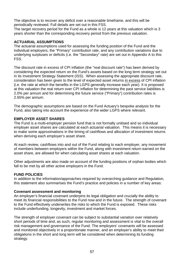The objective is to recover any deficit over a reasonable timeframe, and this will be periodically reviewed. Full details are set out in this FSS.

The target recovery period for the Fund as a whole is 12 years at this valuation which is 3 years shorter than the corresponding recovery period from the previous valuation.

### **ACTUARIAL ASSUMPTIONS**

The actuarial assumptions used for assessing the funding position of the Fund and the individual employers, the "Primary" contribution rate, and any contribution variations due to underlying surpluses or deficits (i.e. the "Secondary" rate) are set out in Appendix A to this FSS.

The discount rate in excess of CPI inflation (the "real discount rate") has been derived by considering the expected return on the Fund's assets based on the long term strategy set out in its Investment Strategy Statement (ISS). When assessing the appropriate discount rate, consideration has been given to the level of expected asset returns in excess of CPI inflation (i.e. the rate at which the benefits in the LGPS generally increase each year). It is proposed at this valuation the real return over CPI inflation for determining the past service liabilities is 2.0% per annum and for determining the future service ("Primary") contribution rates is 2.65% per annum.

The demographic assumptions are based on the Fund Actuary's bespoke analysis for the Fund, also taking into account the experience of the wider LGPS where relevant.

### **EMPLOYER ASSET SHARES**

The Fund is a multi-employer pension fund that is not formally unitised and so individual employer asset shares are calculated at each actuarial valuation. This means it is necessary to make some approximations in the timing of cashflows and allocation of investment returns when deriving each employer's asset share.

At each review, cashflows into and out of the Fund relating to each employer, any movement of members between employers within the Fund, along with investment return earned on the asset share, are allowed for when calculating asset shares at each valuation.

Other adjustments are also made on account of the funding positions of orphan bodies which fall to be met by all other active employers in the Fund.

### **FUND POLICIES**

In addition to the information/approaches required by overarching guidance and Regulation, this statement also summarises the Fund's practice and policies in a number of key areas:

### **Covenant assessment and monitoring**

An employer's financial covenant underpins its legal obligation and crucially the ability to meet its financial responsibilities to the Fund now and in the future. The strength of covenant to the Fund effectively underwrites the risks to which the Fund is exposed. These risks include underfunding, longevity, investment and market forces.

The strength of employer covenant can be subject to substantial variation over relatively short periods of time and, as such, regular monitoring and assessment is vital to the overall risk management and governance of the Fund. The employers' covenants will be assessed and monitored objectively in a proportionate manner, and an employer's ability to meet their obligations in the short and long term will be considered when determining its funding strategy.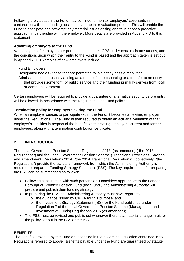Following the valuation, the Fund may continue to monitor employers' covenants in conjunction with their funding positions over the inter-valuation period. This will enable the Fund to anticipate and pre-empt any material issues arising and thus adopt a proactive approach in partnership with the employer. More details are provided in Appendix D to this statement.

# **Admitting employers to the Fund**

Various types of employers are permitted to join the LGPS under certain circumstances, and the conditions upon which their entry to the Fund is based and the approach taken is set out in Appendix C. Examples of new employers include:

# Fund Employers

Designated bodies - those that are permitted to join if they pass a resolution Admission bodies - usually arising as a result of an outsourcing or a transfer to an entity that provides some form of public service and their funding primarily derives from local or central government.

Certain employers will be required to provide a guarantee or alternative security before entry will be allowed, in accordance with the Regulations and Fund policies.

# **Termination policy for employers exiting the Fund**

When an employer ceases to participate within the Fund, it becomes an exiting employer under the Regulations. The Fund is then required to obtain an actuarial valuation of that employer's liabilities in respect of the benefits of the exiting employer's current and former employees, along with a termination contribution certificate.

# **2. INTRODUCTION**

The Local Government Pension Scheme Regulations 2013 (as amended) ("the 2013 Regulations") and the Local Government Pension Scheme (Transitional Provisions, Savings and Amendment) Regulations 2014 ("the 2014 Transitional Regulations") (collectively; "the Regulations") provide the statutory framework from which the Administering Authority is required to prepare a Funding Strategy Statement (FSS). The key requirements for preparing the FSS can be summarised as follows:

- Following consultation with such persons as it considers appropriate to the London Borough of Bromley Pension Fund (the "Fund"), the Administering Authority will prepare and publish their funding strategy;
- In preparing the FSS, the Administering Authority must have regard to:
	- o the guidance issued by CIPFA for this purpose; and
	- o the Investment Strategy Statement (ISS) for the Fund published under Regulation 7 of the Local Government Pension Scheme (Management and Investment of Funds) Regulations 2016 (as amended);
- The FSS must be revised and published whenever there is a material change in either the policy set out in the FSS or the ISS.

# **BENEFITS**

The benefits provided by the Fund are specified in the governing legislation contained in the Regulations referred to above. Benefits payable under the Fund are guaranteed by statute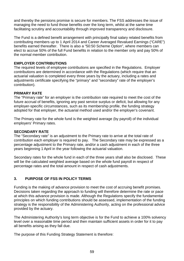and thereby the pensions promise is secure for members. The FSS addresses the issue of managing the need to fund those benefits over the long term, whilst at the same time facilitating scrutiny and accountability through improved transparency and disclosure.

The Fund is a defined benefit arrangement with principally final salary related benefits from contributing members up to 1 April 2014 and Career Averaged Revalued Earnings ("CARE") benefits earned thereafter. There is also a "50:50 Scheme Option", where members can elect to accrue 50% of the full Fund benefits in relation to the member only and pay 50% of the normal member contribution.

# **EMPLOYER CONTRIBUTIONS**

The required levels of employee contributions are specified in the Regulations. Employer contributions are determined in accordance with the Regulations (which require that an actuarial valuation is completed every three years by the actuary, including a rates and adjustments certificate specifying the "primary" and "secondary" rate of the employer's contribution).

# **PRIMARY RATE**

The "Primary rate" for an employer is the contribution rate required to meet the cost of the future accrual of benefits, ignoring any past service surplus or deficit, but allowing for any employer-specific circumstances, such as its membership profile, the funding strategy adopted for that employer, the actuarial method used and/or the employer's covenant.

The Primary rate for the whole fund is the weighted average (by payroll) of the individual employers' Primary rates.

### **SECONDARY RATE**

The "Secondary rate" is an adjustment to the Primary rate to arrive at the total rate of contribution each employer is required to pay. The Secondary rate may be expressed as a percentage adjustment to the Primary rate, and/or a cash adjustment in each of the three years beginning 1 April in the year following the actuarial valuation.

Secondary rates for the whole fund in each of the three years shall also be disclosed. These will be the calculated weighted average based on the whole fund payroll in respect of percentage rates and the total amount in respect of cash adjustments.

# **3. PURPOSE OF FSS IN POLICY TERMS**

Funding is the making of advance provision to meet the cost of accruing benefit promises. Decisions taken regarding the approach to funding will therefore determine the rate or pace at which this advance provision is made. Although the Regulations specify the fundamental principles on which funding contributions should be assessed, implementation of the funding strategy is the responsibility of the Administering Authority, acting on the professional advice provided by the actuary.

The Administering Authority's long term objective is for the Fund to achieve a 100% solvency level over a reasonable time period and then maintain sufficient assets in order for it to pay all benefits arising as they fall due.

The purpose of this Funding Strategy Statement is therefore: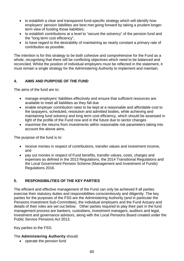- to establish a clear and transparent fund-specific strategy which will identify how employers' pension liabilities are best met going forward by taking a prudent longerterm view of funding those liabilities;
- to establish contributions at a level to "secure the solvency" of the pension fund and the "long term cost efficiency",
- to have regard to the desirability of maintaining as nearly constant a primary rate of contribution as possible.

The intention is for this strategy to be both cohesive and comprehensive for the Fund as a whole, recognising that there will be conflicting objectives which need to be balanced and reconciled. Whilst the position of individual employers must be reflected in the statement, it must remain a single strategy for the Administering Authority to implement and maintain.

# **4. AIMS AND PURPOSE OF THE FUND**

The aims of the fund are to:

- manage employers' liabilities effectively and ensure that sufficient resources are available to meet all liabilities as they fall due
- enable employer contribution rates to be kept at a reasonable and affordable cost to the taxpayers, scheduled, resolution and admitted bodies, while achieving and maintaining fund solvency and long term cost efficiency, which should be assessed in light of the profile of the Fund now and in the future due to sector changes
- maximise the returns from investments within reasonable risk parameters taking into account the above aims.

The purpose of the fund is to:

- receive monies in respect of contributions, transfer values and investment income, and
- pay out monies in respect of Fund benefits, transfer values, costs, charges and expenses as defined in the 2013 Regulations, the 2014 Transitional Regulations and the Local Government Pension Scheme (Management and Investment of Funds) Regulations 2016.

# **5. RESPONSIBILITIES OF THE KEY PARTIES**

The efficient and effective management of the Fund can only be achieved if all parties exercise their statutory duties and responsibilities conscientiously and diligently. The key parties for the purposes of the FSS are the Administering Authority (and in particular the Pensions Investment Sub-Committee), the individual employers and the Fund Actuary and details of their roles are set out below. Other parties required to play their part in the fund management process are bankers, custodians, investment managers, auditors and legal, investment and governance advisors, along with the Local Pensions Board created under the Public Service Pensions Act 2013.

Key parties to the FSS:

# The **Administering Authority** should:

• operate the pension fund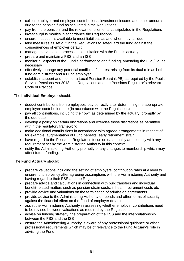- collect employer and employee contributions, investment income and other amounts due to the pension fund as stipulated in the Regulations
- pay from the pension fund the relevant entitlements as stipulated in the Regulations
- invest surplus monies in accordance the Regulations
- ensure that cash is available to meet liabilities as and when they fall due
- take measures as set out in the Regulations to safeguard the fund against the consequences of employer default
- manage the valuation process in consultation with the Fund's actuary
- prepare and maintain a FSS and an ISS
- monitor all aspects of the Fund's performance and funding, amending the FSS/ISS as necessary
- effectively manage any potential conflicts of interest arising from its dual role as both fund administrator and a Fund employer
- establish, support and monitor a Local Pension Board (LPB) as required by the Public Service Pensions Act 2013, the Regulations and the Pensions Regulator's relevant Code of Practice.

# The **Individual Employer** should:

- deduct contributions from employees' pay correctly after determining the appropriate employee contribution rate (in accordance with the Regulations)
- pay all contributions, including their own as determined by the actuary, promptly by the due date
- develop a policy on certain discretions and exercise those discretions as permitted within the regulatory framework
- make additional contributions in accordance with agreed arrangements in respect of, for example, augmentation of Fund benefits, early retirement strain
- have regard to the Pensions Regulator's focus on data quality and comply with any requirement set by the Administering Authority in this context
- notify the Administering Authority promptly of any changes to membership which may affect future funding.

# The **Fund Actuary** should:

- prepare valuations including the setting of employers' contribution rates at a level to ensure fund solvency after agreeing assumptions with the Administering Authority and having regard to their FSS and the Regulations
- prepare advice and calculations in connection with bulk transfers and individual benefit-related matters such as pension strain costs, ill health retirement costs etc
- provide advice and valuations on the termination of admission agreements
- provide advice to the Administering Authority on bonds and other forms of security against the financial effect on the Fund of employer default
- assist the Administering Authority in assessing whether employer contributions need to be revised between valuations as required by the Regulations
- advise on funding strategy, the preparation of the FSS and the inter-relationship between the FSS and the ISS
- ensure the Administering Authority is aware of any professional guidance or other professional requirements which may be of relevance to the Fund Actuary's role in advising the Fund.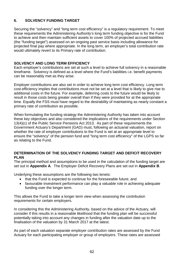# **6. SOLVENCY FUNDING TARGET**

Securing the "solvency" and "long term cost efficiency" is a regulatory requirement. To meet these requirements the Administering Authority's long term funding objective is for the Fund to achieve and then maintain sufficient assets to cover 100% of projected accrued liabilities (the "funding target") assessed on an ongoing past service basis including allowance for projected final pay where appropriate. In the long term, an employer's total contribution rate would ultimately revert to its Primary rate of contribution.

### **SOLVENCY AND LONG TERM EFFICIENCY**

Each employer's contributions are set at such a level to achieve full solvency in a reasonable timeframe. Solvency is defined as a level where the Fund's liabilities i.e. benefit payments can be reasonably met as they arise.

Employer contributions are also set in order to achieve long term cost efficiency. Long term cost-efficiency implies that contributions must not be set at a level that is likely to give rise to additional costs in the future. For example, deferring costs to the future would be likely to result in those costs being greater overall than if they were provided for at the appropriate time. Equally the FSS must have regard to the desirability of maintaining as nearly constant a primary rate of contribution as possible.

When formulating the funding strategy the Administering Authority has taken into account these key objectives and also considered the implications of the requirements under Section 13(4)(c) of the Public Service Pensions Act 2013. As part of these requirements the Government Actuary's Department (GAD) must, following an actuarial valuation, report on whether the rate of employer contributions to the Fund is set at an appropriate level to ensure the "solvency" of the pension fund and "long term cost efficiency" of the LGPS so far as relating to the Fund.

### **DETERMINATION OF THE SOLVENCY FUNDING TARGET AND DEFICIT RECOVERY PLAN**

The principal method and assumptions to be used in the calculation of the funding target are set out in **Appendix A**. The Employer Deficit Recovery Plans are set out in **Appendix B**.

Underlying these assumptions are the following two tenets:

- that the Fund is expected to continue for the foreseeable future; and
- favourable investment performance can play a valuable role in achieving adequate funding over the longer term.

This allows the Fund to take a longer term view when assessing the contribution requirements for certain employers.

In considering this the Administering Authority, based on the advice of the Actuary, will consider if this results in a reasonable likelihood that the funding plan will be successful potentially taking into account any changes in funding after the valuation date up to the finalisation of the valuation by 31 March 2017 at the latest.

As part of each valuation separate employer contribution rates are assessed by the Fund Actuary for each participating employer or group of employers. These rates are assessed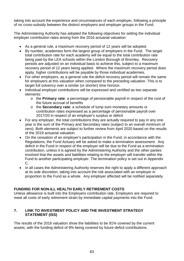taking into account the experience and circumstances of each employer, following a principle of no cross-subsidy between the distinct employers and employer groups in the Fund.

The Administering Authority has adopted the following objectives for setting the individual employer contribution rates arising from the 2016 actuarial valuation:

- As a general rule, a maximum recovery period of 12 years will be adopted.
- By number, academies form the largest group of employers in the Fund. The target total contribution rate for each academy will be equal to the total contribution rate being paid by the LEA schools within the London Borough of Bromley. Recovery periods are adjusted on an individual basis to achieve this, subject to a maximum recovery period of 12 years being applied. Where the maximum recovery period does apply, higher contributions will be payable by those individual academies.
- For other employers, as a general rule the deficit recovery period will remain the same for employers at this valuation when compared to the preceding valuation. This is to target full solvency over a similar (or shorter) time horizon.
- Individual employer contributions will be expressed and certified as two separate elements:
	- o the **Primary rate**: a percentage of pensionable payroll in respect of the cost of the future accrual of benefits
	- o the **Secondary rate**: a schedule of lump sum monetary amounts or contribution rates expressed as a percentage of pensionable payroll over 2017/20 in respect of an employer's surplus or deficit
- For any employer, the total contributions they are actually required to pay in any one year is the sum of the Primary and Secondary rates (subject to an overall minimum of zero). Both elements are subject to further review from April 2020 based on the results of the 2019 actuarial valuation.
- On the cessation of an employer's participation in the Fund, in accordance with the Regulations, the Fund Actuary will be asked to make a termination assessment. Any deficit in the Fund in respect of the employer will be due to the Fund as a termination contribution, unless it is agreed by the Administering Authority and the other parties involved that the assets and liabilities relating to the employer will transfer within the Fund to another participating employer. The termination policy is set out in Appendix C.
- In all cases the Administering Authority reserves the right to apply a different approach at its sole discretion, taking into account the risk associated with an employer in proportion to the Fund as a whole. Any employer affected will be notified separately.

# **FUNDING FOR NON-ILL HEALTH EARLY RETIREMENT COSTS**

Unless allowance is built into the Employers contribution rate, Employers are required to meet all costs of early retirement strain by immediate capital payments into the Fund.

# **7. LINK TO INVESTMENT POLICY AND THE INVESTMENT STRATEGY STATEMENT (ISS)**

The results of the 2016 valuation show the liabilities to be 91% covered by the current assets, with the funding deficit of 9% being covered by future deficit contributions.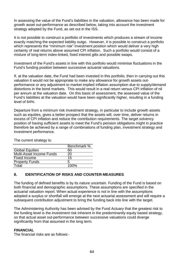In assessing the value of the Fund's liabilities in the valuation, allowance has been made for growth asset out-performance as described below, taking into account the investment strategy adopted by the Fund, as set out in the ISS.

It is not possible to construct a portfolio of investments which produces a stream of income exactly matching the expected liability outgo. However, it is possible to construct a portfolio which represents the "minimum risk" investment position which would deliver a very high certainty of real returns above assumed CPI inflation. Such a portfolio would consist of a mixture of long-term index-linked, fixed interest gilts and possible swaps.

Investment of the Fund's assets in line with this portfolio would minimise fluctuations in the Fund's funding position between successive actuarial valuations.

If, at the valuation date, the Fund had been invested in this portfolio, then in carrying out this valuation it would not be appropriate to make any allowance for growth assets outperformance or any adjustment to market implied inflation assumption due to supply/demand distortions in the bond markets. This would result in a real return versus CPI inflation of nil per annum at the valuation date. On this basis of assessment, the assessed value of the Fund's liabilities at the valuation would have been significantly higher, resulting in a funding level of 64%.

Departure from a minimum risk investment strategy, in particular to include growth assets such as equities, gives a better prospect that the assets will, over time, deliver returns in excess of CPI inflation and reduce the contribution requirements. The target solvency position of having sufficient assets to meet the Fund's pension obligations might in practice therefore be achieved by a range of combinations of funding plan, investment strategy and investment performance.

|                          | Benchmark % |
|--------------------------|-------------|
| <b>Global Equities</b>   | 60          |
| Multi-Asset Income Funds | 20          |
| <b>Fixed Income</b>      | 15          |
| <b>Property Funds</b>    | 5           |
| Total                    | 100%        |
|                          |             |

The current strategy is:

# **8. IDENTIFICATION OF RISKS AND COUNTER-MEASURES**

The funding of defined benefits is by its nature uncertain. Funding of the Fund is based on both financial and demographic assumptions. These assumptions are specified in the actuarial valuation report. When actual experience is not in line with the assumptions adopted a surplus or shortfall will emerge at the next actuarial assessment and will require a subsequent contribution adjustment to bring the funding back into line with the target.

The Administering Authority has been advised by the Fund Actuary that the greatest risk to the funding level is the investment risk inherent in the predominantly equity based strategy, so that actual asset out-performance between successive valuations could diverge significantly from that assumed in the long term.

# **FINANCIAL**

The financial risks are as follows:-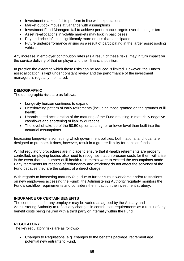- Investment markets fail to perform in line with expectations
- Market outlook moves at variance with assumptions
- Investment Fund Managers fail to achieve performance targets over the longer term
- Asset re-allocations in volatile markets may lock in past losses
- Pay and price inflation significantly more or less than anticipated
- Future underperformance arising as a result of participating in the larger asset pooling vehicle.

Any increase in employer contribution rates (as a result of these risks) may in turn impact on the service delivery of that employer and their financial position.

In practice the extent to which these risks can be reduced is limited. However, the Fund's asset allocation is kept under constant review and the performance of the investment managers is regularly monitored.

### **DEMOGRAPHIC**

The demographic risks are as follows:-

- Longevity horizon continues to expand
- Deteriorating pattern of early retirements (including those granted on the grounds of ill health)
- Unanticipated acceleration of the maturing of the Fund resulting in materially negative cashflows and shortening of liability durations
- The level of take-up of the 50:50 option at a higher or lower level than built into the actuarial assumptions.

Increasing longevity is something which government policies, both national and local, are designed to promote. It does, however, result in a greater liability for pension funds.

Whilst regulatory procedures are in place to ensure that ill-health retirements are properly controlled, employing bodies also need to recognise that unforeseen costs for them will arise in the event that the number of ill-health retirements were to exceed the assumptions made. Early retirements for reasons of redundancy and efficiency do not affect the solvency of the Fund because they are the subject of a direct charge.

With regards to increasing maturity (e.g. due to further cuts in workforce and/or restrictions on new employees accessing the Fund), the Administering Authority regularly monitors the Fund's cashflow requirements and considers the impact on the investment strategy.

# **INSURANCE OF CERTAIN BENEFITS**

The contributions for any employer may be varied as agreed by the Actuary and Administering Authority to reflect any changes in contribution requirements as a result of any benefit costs being insured with a third party or internally within the Fund.

### **REGULATORY**

The key regulatory risks are as follows:-

• Changes to Regulations, e.g. changes to the benefits package, retirement age, potential new entrants to Fund,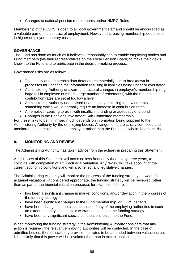• Changes to national pension requirements and/or HMRC Rules

Membership of the LGPS is open to all local government staff and should be encouraged as a valuable part of the contract of employment. However, increasing membership does result in higher employer monetary costs.

### **GOVERNANCE**

The Fund has done as much as it believes it reasonably can to enable employing bodies and Fund members (via their representatives on the Local Pension Board) to make their views known to the Fund and to participate in the decision-making process.

Governance risks are as follows:-

- The quality of membership data deteriorates materially due to breakdown in processes for updating the information resulting in liabilities being under or overstated
- Administering Authority unaware of structural changes in employer's membership (e.g. large fall in employee numbers, large number of retirements) with the result that contribution rates are set at too low a level
- Administering Authority not advised of an employer closing to new entrants, something which would normally require an increase in contribution rates
- An employer ceasing to exist with insufficient funding or adequacy of a bond
- Changes in the Pensions Investment Sub-Committee membership.

For these risks to be minimised much depends on information being supplied to the Administering Authority by the employing bodies. Arrangements are strictly controlled and monitored, but in most cases the employer, rather than the Fund as a whole, bears the risk.

# **9. MONITORING AND REVIEW**

The Administering Authority has taken advice from the actuary in preparing this Statement.

A full review of this Statement will occur no less frequently than every three years, to coincide with completion of a full actuarial valuation. Any review will take account of the current economic conditions and will also reflect any legislative changes.

The Administering Authority will monitor the progress of the funding strategy between full actuarial valuations. If considered appropriate, the funding strategy will be reviewed (other than as part of the triennial valuation process), for example, if there:

- has been a significant change in market conditions, and/or deviation in the progress of the funding strategy
- have been significant changes to the Fund membership, or LGPS benefits
- have been changes to the circumstances of any of the employing authorities to such an extent that they impact on or warrant a change in the funding strategy
- have been any significant special contributions paid into the Fund.

When monitoring the funding strategy, if the Administering Authority considers that any action is required, the relevant employing authorities will be contacted. In the case of admitted bodies, there is statutory provision for rates to be amended between valuations but it is unlikely that this power will be invoked other than in exceptional circumstances.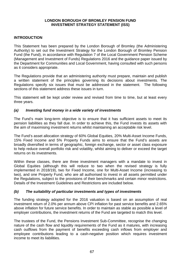### **LONDON BOROUGH OF BROMLEY PENSION FUND INVESTMENT STRATEGY STATEMENT (ISS)**

### **INTRODUCTION**

This Statement has been prepared by the London Borough of Bromley (the Administering Authority) to set out the Investment Strategy for the London Borough of Bromley Pension Fund (the Fund), in accordance with Regulation 7 of the Local Government Pension Scheme (Management and Investment of Funds) Regulations 2016 and the guidance paper issued by the Department for Communities and Local Government, having consulted with such persons as it considers appropriate.

The Regulations provide that an administering authority must prepare, maintain and publish a written statement of the principles governing its decisions about investments. The Regulations specify six issues that must be addressed in the statement. The following sections of this statement address these issues in turn.

This statement will be kept under review and revised from time to time, but at least every three years.

### *(a) Investing fund money in a wide variety of investments*

The Fund's main long-term objective is to ensure that it has sufficient assets to meet its pension liabilities as they fall due. In order to achieve this, the Fund invests its assets with the aim of maximising investment returns whilst maintaining an acceptable risk level.

The Fund's asset allocation strategy of 60% Global Equities, 20% Multi-Asset Income Funds, 15% Fixed Income and 5% Property Funds aims to ensure that the Fund's assets are broadly diversified in terms of geographic, foreign exchange, sector or asset class exposure to help reduce overall portfolio risk and volatility, whilst aiming to deliver or exceed the target returns on its investments.

Within these classes, there are three investment managers with a mandate to invest in Global Equities (although this will reduce to two when the revised strategy is fully implemented in 2018/19), two for Fixed Income, one for Multi-Asset Income (increasing to two), and one Property Fund, who are all authorised to invest in all assets permitted under the Regulations, subject to the provisions of their benchmarks and certain minor restrictions. Details of the Investment Guidelines and Restrictions are included below.

### *(b) The suitability of particular investments and types of investments*

The funding strategy adopted for the 2016 valuation is based on an assumption of real investment return of 2.0% per annum above CPI inflation for past service benefits and 2.65% above inflation for future service benefits. In order to maintain as stable as possible a level of employer contributions, the investment returns of the Fund are targeted to match this level.

The trustees of the Fund, the Pensions Investment Sub-Committee, recognise the changing nature of the cash flow and liquidity requirements of the Fund as it matures, with increasing cash outflows from the payment of benefits exceeding cash inflows from employer and employee contributions leading to a cash-negative position which requires investment income to meet its liabilities.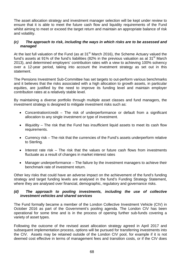The asset allocation strategy and investment manager selection will be kept under review to ensure that it is able to meet the future cash flow and liquidity requirements of the Fund whilst aiming to meet or exceed the target return and maintain an appropriate balance of risk and volatility.

### *(c) The approach to risk, including the ways in which risks are to be assessed and managed*

At the last full valuation of the Fund (as at 31<sup>st</sup> March 2016), the Scheme Actuary valued the fund's assets at 91% of the fund's liabilities (82% in the previous valuation as at 31 $^{\rm st}$  March 2013), and determined employers' contribution rates with a view to achieving 100% solvency over a 12-year period, taking into account the investment strategy as set out in this statement.

The Pensions Investment Sub-Committee has set targets to out-perform various benchmarks and it believes that the risks associated with a high allocation to growth assets, in particular equities, are justified by the need to improve its funding level and maintain employer contribution rates at a relatively stable level.

By maintaining a diverse portfolio through multiple asset classes and fund managers, the investment strategy is designed to mitigate investment risks such as:

- Concentration/credit The risk of underperformance or default from a significant allocation to any single investment or type of investment.
- Illiquidity The risk that the Fund has insufficient liquid assets to meet its cash flow requirements.
- Currency risk The risk that the currencies of the Fund's assets underperform relative to Sterling.
- Interest rate risk The risk that the values or future cash flows from investments fluctuate as a result of changes in market interest rates
- Manager underperformance The failure by the investment managers to achieve their benchmark rate of investment return.

Other key risks that could have an adverse impact on the achievement of the fund's funding strategy and target funding levels are analysed in the fund's Funding Strategy Statement, where they are analysed over financial, demographic, regulatory and governance risks.

### *(d) The approach to pooling investments, including the use of collective investment vehicles and shared services*

The Fund formally became a member of the London Collective Investment Vehicle (CIV) in October 2016 as part of the Government's pooling agenda. The London CIV has been operational for some time and is in the process of opening further sub-funds covering a variety of asset types.

Following the outcome of the revised asset allocation strategy agreed in April 2017 and subsequent implementation process, options will be pursued for transferring investments into the CIV. Assets may be retained outside of the London CIV pool, for example if it is not deemed cost effective in terms of management fees and transition costs, or if the CIV does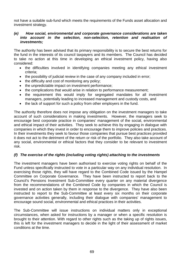not have a suitable sub-fund which meets the requirements of the Funds asset allocation and investment strategy.

### *(e) How social, environmental and corporate governance considerations are taken into account in the selection, non-selection, retention and realisation of investments;*

The authority has been advised that its primary responsibility is to secure the best returns for the fund in the interests of its council taxpayers and its members. The Council has decided to take no action at this time in developing an ethical investment policy, having also considered:

- the difficulties involved in identifying companies meeting any ethical investment criteria;
- the possibility of judicial review in the case of any company included in error;
- the difficulty and cost of monitoring any policy;
- the unpredictable impact on investment performance;
- the complications that would arise in relation to performance measurement;
- the requirement this would imply for segregated mandates for all investment managers, potentially leading to increased management and custody costs, and
- the lack of support for such a policy from other employers in the fund.

The authority therefore does not impose any obligation on the investment managers to take account of such considerations in making investments. However, the managers seek to encourage best corporate practice in companies' management of the social, environmental and ethical impact of their activities. They seek to achieve this by engaging in dialogue with companies in which they invest in order to encourage them to improve policies and practices. In their investments they seek to favour those companies that pursue best practices provided it does not act to the detriment of the return or risk of the portfolio. They also take account of any social, environmental or ethical factors that they consider to be relevant to investment risk.

# *(f) The exercise of the rights (including voting rights) attaching to the investments*

The investment managers have been authorised to exercise voting rights on behalf of the Fund unless specifically instructed to vote in a particular way on any individual resolution. In exercising those rights, they will have regard to the Combined Code issued by the Hampel Committee on Corporate Governance. They have been instructed to report back to the Council's Pensions Investment Sub-Committee every quarter on any material divergence from the recommendations of the Combined Code by companies in which the Council is invested and on action taken by them in response to the divergence. They have also been instructed to report to the Sub-Committee at least every six months on their corporate governance activities generally, including their dialogue with companies' management to encourage sound social, environmental and ethical practices in their activities.

The Sub-Committee will issue instructions on individual matters only in exceptional circumstances, when asked for instructions by a manager or when a specific resolution is brought to their attention. With regard to other rights such as the taking up of rights issues, this is left for the investment managers to decide in the light of their assessment of market conditions at the time.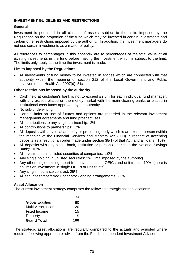# **INVESTMENT GUIDELINES AND RESTRICTIONS**

### **General**

Investment is permitted in all classes of assets, subject to the limits imposed by the Regulations on the proportion of the fund which may be invested in certain investments and certain other restrictions imposed by the authority. In addition, the investment managers do not use certain investments as a matter of policy.

All references to percentages in this appendix are to percentages of the total value of all existing investments in the fund before making the investment which is subject to the limit. The limits only apply at the time the investment is made.

### **Limits imposed by the Regulations**

• All investments of fund money to be invested in entities which are connected with that authority within the meaning of section 212 of the Local Government and Public Involvement in Health Act 2007(d): 5%

### **Other restrictions imposed by the authority**

- Cash held at custodian's bank is not to exceed £2.5m for each individual fund manager, with any excess placed on the money market with the main clearing banks or placed in institutional cash funds approved by the authority
- No sub-underwriting
- Certain limits on use of futures and options are recorded in the relevant investment management agreements and fund prospectuses
- All contributions to any single partnership: 2%
- All contributions to partnerships: 5%
- All deposits with any local authority or precepting body which is an exempt person (within the meaning of the Financial Services and Markets Act 2000) in respect of accepting deposits as a result of an order made under section 38(1) of that Act, and all loans: 10%
- All deposits with any single bank, institution or person (other than the National Savings Bank): 10%
- All investments in unlisted securities of companies: 10%
- Any single holding in unlisted securities: 2% (limit imposed by the authority)
- Any other single holding, apart from investments in OEICs and unit trusts: 10% (there is no limit on investment in single OEICs or unit trusts)
- Any single insurance contract: 25%
- All securities transferred under stocklending arrangements: 25%

# **Asset Allocation**

The current investment strategy comprises the following strategic asset allocations:

| <b>Grand Total</b>     | 100 |
|------------------------|-----|
| Property               | 5   |
| <b>Fixed Income</b>    | 15  |
| Multi-Asset Income     | 20  |
| <b>Global Equities</b> | 60  |
|                        | %   |

The strategic asset allocations are regularly compared to the actuals and adjusted where required following appropriate advice from the Fund's Independent Investment Advisor.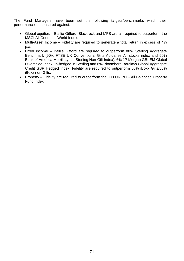The Fund Managers have been set the following targets/benchmarks which their performance is measured against:

- Global equities Baillie Gifford, Blackrock and MFS are all required to outperform the MSCI All Countries World Index.
- Multi-Asset Income Fidelity are required to generate a total return in excess of 4% p.a.
- Fixed income Baillie Gifford are required to outperform 88% Sterling Aggregate Benchmark (50% FTSE UK Conventional Gilts Actuaries All stocks index and 50% Bank of America Merrill Lynch Sterling Non-Gilt Index), 6% JP Morgan GBI-EM Global Diversified Index un-hedged in Sterling and 6% Bloomberg Barclays Global Aggregate Credit GBP Hedged Index; Fidelity are required to outperform 50% iBoxx Gilts/50% iBoxx non-Gilts.
- Property Fidelity are required to outperform the IPD UK PFI All Balanced Property Fund Index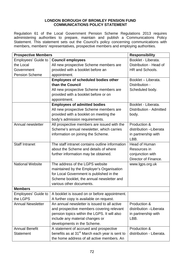### **LONDON BOROUGH OF BROMLEY PENSION FUND COMMUNICATIONS POLICY STATEMENT**

Regulation 61 of the Local Government Pension Scheme Regulations 2013 requires administering authorities to prepare, maintain and publish a Communications Policy Statement. This statement sets out the Council's policy concerning communications with members, members' representatives, prospective members and employing authorities.

| <b>Prospective Members</b> |                                                            | <b>Responsibility</b>    |
|----------------------------|------------------------------------------------------------|--------------------------|
| <b>Employees' Guide to</b> | <b>Council employees</b>                                   | Booklet - Liberata.      |
| the Local                  | All new prospective Scheme members are                     | Distribution - Head of   |
| Government                 | provided with a booklet before an                          | HR and Schools.          |
| <b>Pension Scheme</b>      | appointment.                                               |                          |
|                            | <b>Employees of scheduled bodies other</b>                 | Booklet - Liberata.      |
|                            | than the Council                                           | Distribution -           |
|                            | All new prospective Scheme members are                     | Scheduled body.          |
|                            | provided with a booklet before or on                       |                          |
|                            | appointment.                                               |                          |
|                            | <b>Employees of admitted bodies</b>                        | Booklet - Liberata.      |
|                            | All new prospective Scheme members are                     | Distribution - Admitted  |
|                            | provided with a booklet on meeting the                     | body.                    |
|                            | body's admission requirements.                             |                          |
| Annual newsletter          | All prospective members are issued with the                | Production &             |
|                            | Scheme's annual newsletter, which carries                  | distribution -Liberata   |
|                            | information on joining the Scheme.                         | in partnership with      |
|                            |                                                            | LBB.                     |
| <b>Staff Intranet</b>      | The staff intranet contains outline information            | <b>Head of Human</b>     |
|                            | about the Scheme and details of where                      | Resources in             |
|                            | further information may be obtained.                       | conjunction with         |
|                            |                                                            | Director of Finance.     |
| <b>National Website</b>    | The address of the LGPS website                            | www.lgps.org.uk          |
|                            | maintained by the Employer's Organisation                  |                          |
|                            | for Local Government is published in the                   |                          |
|                            | Scheme booklet, the annual newsletter and                  |                          |
|                            | various other documents.                                   |                          |
| <b>Members</b>             |                                                            |                          |
| <b>Employees' Guide to</b> | A booklet is issued on or before appointment.              |                          |
| the LGPS                   | A further copy is available on request.                    |                          |
| <b>Annual Newsletter</b>   | An annual newsletter is issued to all active               | Production &             |
|                            | and prospective members covering relevant                  | distribution -Liberata   |
|                            | pension topics within the LGPS. It will also               | in partnership with      |
|                            | include any material changes or                            | LBB.                     |
|                            | developments in the Scheme.                                |                          |
| <b>Annual Benefit</b>      | A statement of accrued and prospective                     | Production &             |
| <b>Statement</b>           | benefits as at 31 <sup>st</sup> March each year is sent to | distribution - Liberata. |
|                            | the home address of all active members. An                 |                          |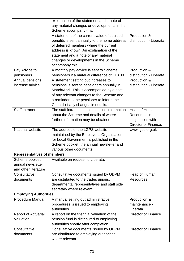|                                   | explanation of the statement and a note of      |                            |
|-----------------------------------|-------------------------------------------------|----------------------------|
|                                   | any material changes or developments in the     |                            |
|                                   | Scheme accompany this.                          |                            |
|                                   | A statement of the current value of accrued     | Production &               |
|                                   | benefits is sent annually to the home address   | distribution - Liberata.   |
|                                   | of deferred members where the current           |                            |
|                                   | address is known. An explanation of the         |                            |
|                                   | statement and a note of any material            |                            |
|                                   | changes or developments in the Scheme           |                            |
|                                   | accompany this.                                 |                            |
| Pay Advice to                     | A monthly pay advice is sent to Scheme          | Production &               |
| pensioners                        | pensioners if a material difference of £10.00.  | distribution - Liberata.   |
| Annual pensions                   | A statement setting out increases to            | Production &               |
| increase advice                   | pensions is sent to pensioners annually in      | distribution - Liberata.   |
|                                   | March/April. This is accompanied by a note      |                            |
|                                   | of any relevant changes to the Scheme and       |                            |
|                                   | a reminder to the pensioner to inform the       |                            |
|                                   | Council of any changes in details.              |                            |
| <b>Staff Intranet</b>             | The staff intranet contains outline information | <b>Head of Human</b>       |
|                                   | about the Scheme and details of where           | Resources in               |
|                                   | further information may be obtained.            | conjunction with           |
|                                   |                                                 | Director of Finance.       |
| National website                  | The address of the LGPS website                 | www.lgps.org.uk            |
|                                   | maintained by the Employer's Organisation       |                            |
|                                   | for Local Government is published in the        |                            |
|                                   | Scheme booklet, the annual newsletter and       |                            |
|                                   | various other documents.                        |                            |
| <b>Representatives of members</b> |                                                 |                            |
| Scheme booklet,                   | Available on request to Liberata.               |                            |
| annual newsletter                 |                                                 |                            |
| and other literature              |                                                 |                            |
| Consultative                      | Consultative documents issued by ODPM           | <b>Head of Human</b>       |
| documents                         | are distributed to the trades unions,           | <b>Resources</b>           |
|                                   | departmental representatives and staff side     |                            |
|                                   | secretary where relevant.                       |                            |
| <b>Employing Authorities</b>      |                                                 |                            |
| <b>Procedure Manual</b>           | A manual setting out administrative             | Production &               |
|                                   | procedures is issued to employing               | maintenance -              |
|                                   | authorities.                                    | Liberata.                  |
| <b>Report of Actuarial</b>        | A report on the triennial valuation of the      | <b>Director of Finance</b> |
| Valuation                         | pension fund is distributed to employing        |                            |
|                                   | authorities shortly after completion.           |                            |
| Consultative                      | Consultative documents issued by ODPM           | <b>Director of Finance</b> |
| documents                         | are distributed to employing authorities        |                            |
|                                   | where relevant.                                 |                            |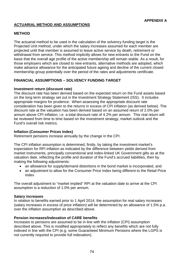### **ACTUARIAL METHOD AND ASSUMPTIONS**

### **METHOD**

The actuarial method to be used in the calculation of the solvency funding target is the Projected Unit method, under which the salary increases assumed for each member are projected until that member is assumed to leave active service by death, retirement or withdrawal from service. This method implicitly allows for new entrants to the Fund on the basis that the overall age profile of the active membership will remain stable. As a result, for those employers which are closed to new entrants, alternative methods are adopted, which make advance allowance for the anticipated future ageing and decline of the current closed membership group potentially over the period of the rates and adjustments certificate.

# **FINANCIAL ASSUMPTIONS – SOLVENCY FUNDING TARGET**

#### **Investment return (discount rate)**

The discount rate has been derived based on the expected return on the Fund assets based on the long term strategy set out in the Investment Strategy Statement (ISS). It includes appropriate margins for prudence. When assessing the appropriate discount rate consideration has been given to the returns in excess of CPI inflation (as derived below). The discount rate at the valuation has been derived based on an assumed return of 2.0% per annum above CPI inflation, i.e. a total discount rate of 4.2% per annum. This real return will be reviewed from time to time based on the investment strategy, market outlook and the Fund's overall risk metrics.

#### **Inflation (Consumer Prices Index)**

Retirement pensions increase annually by the change in the CPI.

The CPI inflation assumption is determined, firstly, by taking the investment market's expectation for RPI inflation as indicated by the difference between yields derived from market instruments, principally conventional and index-linked UK Government gilts as at the valuation date, reflecting the profile and duration of the Fund's accrued liabilities, then by making the following adjustments:

- an allowance for supply/demand distortions in the bond market is incorporated, and
- an adjustment to allow for the Consumer Price Index being different to the Retail Price Index

The overall adjustment to "market implied" RPI at the valuation date to arrive at the CPI assumption is a reduction of 1.0% per annum.

#### **Salary increases**

In relation to benefits earned prior to 1 April 2014, the assumption for real salary increases (salary increases in excess of price inflation) will be determined by an allowance of 1.5% p.a. over the inflation assumption as described above.

#### **Pension increases/Indexation of CARE benefits**

Increases to pensions are assumed to be in line with the inflation (CPI) assumption described above. This is modified appropriately to reflect any benefits which are not fully indexed in line with the CPI (e.g. some Guaranteed Minimum Pensions where the LGPS is not currently required to provide full indexation).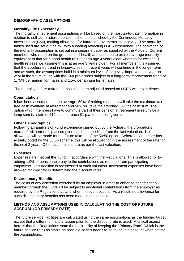# **DEMOGRAPHIC ASSUMPTIONS**

#### **Mortality/Life Expectancy**

The mortality in retirement assumptions will be based on the most up-to-date information in relation to self-administered pension schemes published by the Continuous Mortality Investigation (CMI), making allowance for future improvements in longevity. The mortality tables used are set out below, with a loading reflecting LGPS experience. The derivation of the mortality assumption is set out in a separate paper as supplied by the Actuary. Current members who retire on the grounds of ill health are assumed to exhibit average mortality equivalent to that for a good health retiree at an age 4 years older whereas for existing ill health retirees we assume this is at an age 3 years older. For all members, it is assumed that the accelerated trend in longevity seen in recent years will continue in the longer term and as such, the assumptions build in a minimum level of longevity 'improvement' year on year in the future in line with the CMI projections subject to a long-term improvement trend of 1.75% per annum for males and 1.5% per annum for females.

The mortality before retirement has also been adjusted based on LGPS wide experience.

#### **Commutation**

It has been assumed that, on average, 50% of retiring members will take the maximum taxfree cash available at retirement and 50% will take the standard 3/80ths cash sum. The option which members have to commute part of their pension at retirement in return for a lump sum is a rate of £12 cash for each £1 p.a. of pension given up.

#### **Other Demographics**

Following an analysis of Fund experience carried out by the Actuary, the proportions married/civil partnership assumption has been modified from the last valuation. No allowance will be made for the future take-up of the 50:50 option. Where any member has actually opted for the 50:50 scheme, this will be allowed for in the assessment of the rate for the next 3 years. Other assumptions are as per the last valuation.

#### **Expenses**

Expenses are met out the Fund, in accordance with the Regulations. This is allowed for by adding 1.0% of pensionable pay to the contributions as required from participating employers. This addition is reassessed at each valuation. Investment expenses have been allowed for implicitly in determining the discount rates.

#### **Discretionary Benefits**

The costs of any discretion exercised by an employer in order to enhance benefits for a member through the Fund will be subject to additional contributions from the employer as required by the Regulations as and when the event occurs. As a result, no allowance for such discretionary benefits has been made in the valuation

### **METHOD AND ASSUMPTIONS USED IN CALCULATING THE COST OF FUTURE ACCRUAL (OR PRIMARY RATE)**

The future service liabilities are calculated using the same assumptions as the funding target except that a different financial assumption for the discount rate is used. A critical aspect here is that the Regulations state the desirability of keeping the "Primary Rate" (which is the future service rate) as stable as possible so this needs to be taken into account when setting the assumptions.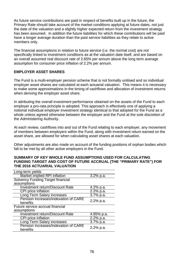As future service contributions are paid in respect of benefits built up in the future, the Primary Rate should take account of the market conditions applying at future dates, not just the date of the valuation and a slightly higher expected return from the investment strategy has been assumed. In addition the future liabilities for which these contributions will be paid have a longer average duration than the past service liabilities as they relate to active members only.

The financial assumptions in relation to future service (i.e. the normal cost) are not specifically linked to investment conditions as at the valuation date itself, and are based on an overall assumed real discount rate of 2.65% per annum above the long term average assumption for consumer price inflation of 2.2% per annum.

### **EMPLOYER ASSET SHARES**

The Fund is a multi-employer pension scheme that is not formally unitised and so individual employer asset shares are calculated at each actuarial valuation. This means it is necessary to make some approximations in the timing of cashflows and allocation of investment returns when deriving the employer asset share.

In attributing the overall investment performance obtained on the assets of the Fund to each employer a pro-rata principle is adopted. This approach is effectively one of applying a notional individual employer investment strategy identical to that adopted for the Fund as a whole unless agreed otherwise between the employer and the Fund at the sole discretion of the Administering Authority.

At each review, cashflows into and out of the Fund relating to each employer, any movement of members between employers within the Fund, along with investment return earned on the asset share, are allowed for when calculating asset shares at each valuation.

Other adjustments are also made on account of the funding positions of orphan bodies which fall to be met by all other active employers in the Fund.

#### **SUMMARY OF KEY WHOLE FUND ASSUMPTIONS USED FOR CALCULATING FUNDING TARGET AND COST OF FUTURE ACCRUAL (THE "PRIMARY RATE") FOR THE 2016 ACTUARIAL VALUATION**

| Long-term yields                         |             |
|------------------------------------------|-------------|
| Market implied RPI inflation             | 3.2% p.a.   |
| <b>Solvency Funding Target financial</b> |             |
| assumptions                              |             |
| <b>Investment return/Discount Rate</b>   | 4.2% p.a.   |
| CPI price inflation                      | $2.2%$ p.a. |
| Long Term Salary increases               | 3.7% p.a.   |
| Pension increases/indexation of CARE     | 2.2% p.a.   |
| benefits                                 |             |
| Future service accrual financial         |             |
| assumptions                              |             |
| <b>Investment return/Discount Rate</b>   | 4.85% p.a.  |
| CPI price inflation                      | 2.2% p.a.   |
| Long Term Salary increases               | 3.7% p.a.   |
| Pension increases/indexation of CARE     | 2.2% p.a.   |
| benefits                                 |             |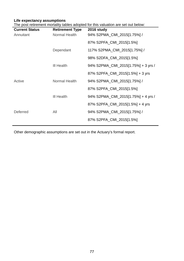# **Life expectancy assumptions**

|  | The post retirement mortality tables adopted for this valuation are set out below: |  |  |  |
|--|------------------------------------------------------------------------------------|--|--|--|
|  |                                                                                    |  |  |  |
|  |                                                                                    |  |  |  |
|  |                                                                                    |  |  |  |

| <b>Current Status</b> | <b>Retirement Type</b> | 2016 study                          |
|-----------------------|------------------------|-------------------------------------|
| Annuitant             | Normal Health          | 94% S2PMA_CMI_2015[1.75%] /         |
|                       |                        | 87% S2PFA_CMI_2015[1.5%]            |
|                       | Dependant              | 117% S2PMA_CMI_2015[1.75%] /        |
|                       |                        | 98% S2DFA_CMI_2015[1.5%]            |
|                       | <b>III Health</b>      | 94% S2PMA_CMI_2015[1.75%] + 3 yrs / |
|                       |                        | 87% S2PFA_CMI_2015[1.5%] + 3 yrs    |
| Active                | Normal Health          | 94% S2PMA_CMI_2015[1.75%] /         |
|                       |                        | 87% S2PFA_CMI_2015[1.5%]            |
|                       | <b>III Health</b>      | 94% S2PMA_CMI_2015[1.75%] + 4 yrs / |
|                       |                        | 87% S2PFA_CMI_2015[1.5%] + 4 yrs    |
| <b>Deferred</b>       | All                    | 94% S2PMA_CMI_2015[1.75%] /         |
|                       |                        | 87% S2PFA_CMI_2015[1.5%]            |

Other demographic assumptions are set out in the Actuary's formal report.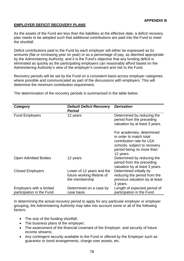### **EMPLOYER DEFICIT RECOVERY PLANS**

As the assets of the Fund are less than the liabilities at the effective date, a deficit recovery plan needs to be adopted such that additional contributions are paid into the Fund to meet the shortfall.

Deficit contributions paid to the Fund by each employer will either be expressed as £s amounts (flat or increasing year on year) or as a percentage of pay, as deemed appropriate by the Administering Authority, and it is the Fund's objective that any funding deficit is eliminated as quickly as the participating employers can reasonably afford based on the Administering Authority's view of the employer's covenant and risk to the Fund.

Recovery periods will be set by the Fund on a consistent basis across employer categories where possible and communicated as part of the discussions with employers. This will determine the minimum contribution requirement.

The determination of the recovery periods is summarised in the table below:

| Category                                              | <b>Default Deficit Recovery</b><br><b>Period</b>                          | <b>Derivation</b>                                                                                                                                           |
|-------------------------------------------------------|---------------------------------------------------------------------------|-------------------------------------------------------------------------------------------------------------------------------------------------------------|
| <b>Fund Employers</b>                                 | 12 years                                                                  | Determined by reducing the<br>period from the preceding<br>valuation by at least 3 years.                                                                   |
|                                                       |                                                                           | For academies, determined<br>in order to match total<br>contribution rate for LEA<br>schools, subject to recovery<br>period being no more than<br>12 years. |
| <b>Open Admitted Bodies</b>                           | 12 years                                                                  | Determined by reducing the<br>period from the preceding<br>valuation by at least 3 years.                                                                   |
| <b>Closed Employers</b>                               | Lower of 12 years and the<br>future working lifetime of<br>the membership | Determined initially by<br>reducing the period from the<br>previous valuation by at least<br>3 years.                                                       |
| Employers with a limited<br>participation in the Fund | Determined on a case by<br>case basis                                     | Length of expected period of<br>participation in the Fund                                                                                                   |

In determining the actual recovery period to apply for any particular employer or employer grouping, the Administering Authority may take into account some or all of the following factors:

- The size of the funding shortfall;
- The business plans of the employer;
- The assessment of the financial covenant of the Employer, and security of future income streams;
- Any contingent security available to the Fund or offered by the Employer such as guarantor or bond arrangements, charge over assets, etc.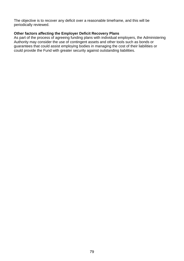The objective is to recover any deficit over a reasonable timeframe, and this will be periodically reviewed.

### **Other factors affecting the Employer Deficit Recovery Plans**

As part of the process of agreeing funding plans with individual employers, the Administering Authority may consider the use of contingent assets and other tools such as bonds or guarantees that could assist employing bodies in managing the cost of their liabilities or could provide the Fund with greater security against outstanding liabilities.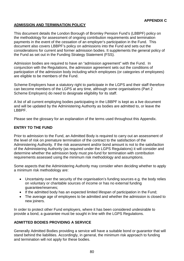# **ADMISSION AND TERMINATION POLICY**

This document details the London Borough of Bromley Pension Fund's (LBBPF) policy on the methodology for assessment of ongoing contribution requirements and termination payments in the event of the cessation of an employer's participation in the Fund. This document also covers LBBPF's policy on admissions into the Fund and sets out the considerations for current and former admission bodies. It supplements the general policy of the Fund as set out in the Funding Strategy Statement (FSS).

Admission bodies are required to have an "admission agreement" with the Fund. In conjunction with the Regulations, the admission agreement sets out the conditions of participation of the admission body including which employees (or categories of employees) are eligible to be members of the Fund.

Scheme Employers have a statutory right to participate in the LGPS and their staff therefore can become members of the LGPS at any time, although some organisations (Part 2 Scheme Employers) do need to designate eligibility for its staff.

A list of all current employing bodies participating in the LBBPF is kept as a live document and will be updated by the Administering Authority as bodies are admitted to, or leave the LBBPF.

Please see the glossary for an explanation of the terms used throughout this Appendix.

### **ENTRY TO THE FUND**

Prior to admission to the Fund, an Admitted Body is required to carry out an assessment of the level of risk on premature termination of the contract to the satisfaction of the Administering Authority. If the risk assessment and/or bond amount is not to the satisfaction of the Administering Authority (as required under the LGPS Regulations) it will consider and determine whether the admission body must pre-fund for termination with contribution requirements assessed using the minimum risk methodology and assumptions.

Some aspects that the Administering Authority may consider when deciding whether to apply a minimum risk methodology are:

- Uncertainty over the security of the organisation's funding sources e.g. the body relies on voluntary or charitable sources of income or has no external funding guarantee/reserves;
- If the admitted body has an expected limited lifespan of participation in the Fund;
- The average age of employees to be admitted and whether the admission is closed to new joiners.

In order to protect other Fund employers, where it has been considered undesirable to provide a bond, a guarantee must be sought in line with the LGPS Regulations.

### **ADMITTED BODIES PROVIDING A SERVICE**

Generally Admitted Bodies providing a service will have a suitable bond or guarantor that will stand behind the liabilities. Accordingly, in general, the minimum risk approach to funding and termination will not apply for these bodies.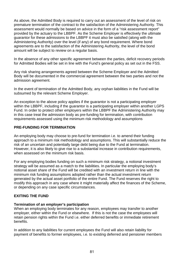As above, the Admitted Body is required to carry out an assessment of the level of risk on premature termination of the contract to the satisfaction of the Administering Authority. This assessment would normally be based on advice in the form of a "risk assessment report" provided by the actuary to the LBBPF. As the Scheme Employer is effectively the ultimate guarantor for these admissions to the LBBPF it must also be satisfied (along with the Administering Authority) over the level (if any) of any bond requirement. Where bond agreements are to the satisfaction of the Administering Authority, the level of the bond amount will be subject to review on a regular basis.

In the absence of any other specific agreement between the parties, deficit recovery periods for Admitted Bodies will be set in line with the Fund's general policy as set out in the FSS.

Any risk sharing arrangements agreed between the Scheme Employer and the Admitted Body will be documented in the commercial agreement between the two parties and not the admission agreement.

In the event of termination of the Admitted Body, any orphan liabilities in the Fund will be subsumed by the relevant Scheme Employer.

An exception to the above policy applies if the guarantor is not a participating employer within the LBBPF, including if the guarantor is a participating employer within another LGPS Fund. In order to protect other employers within the LBBPF the Administering Authority may in this case treat the admission body as pre-funding for termination, with contribution requirements assessed using the minimum risk methodology and assumptions

#### **PRE-FUNDING FOR TERMINATION**

An employing body may choose to pre-fund for termination i.e. to amend their funding approach to a minimum risk methodology and assumptions. This will substantially reduce the risk of an uncertain and potentially large debt being due to the Fund at termination. However, it is also likely to give rise to a substantial increase in contribution requirements, when assessed on the minimum risk basis.

For any employing bodies funding on such a minimum risk strategy, a notional investment strategy will be assumed as a match to the liabilities. In particular the employing body's notional asset share of the Fund will be credited with an investment return in line with the minimum risk funding assumptions adopted rather than the actual investment return generated by the actual asset portfolio of the entire Fund. The Fund reserves the right to modify this approach in any case where it might materially affect the finances of the Scheme, or depending on any case specific circumstances.

### **EXITING THE FUND**

#### **Termination of an employer's participation**

When an employing body terminates for any reason, employees may transfer to another employer, either within the Fund or elsewhere. If this is not the case the employees will retain pension rights within the Fund i.e. either deferred benefits or immediate retirement benefits.

In addition to any liabilities for current employees the Fund will also retain liability for payment of benefits to former employees, i.e. to existing deferred and pensioner members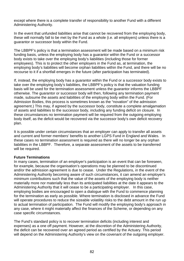except where there is a complete transfer of responsibility to another Fund with a different Administering Authority.

In the event that unfunded liabilities arise that cannot be recovered from the employing body, these will normally fall to be met by the Fund as a whole (i.e. all employers) unless there is a guarantor or successor body within the Fund.

The LBBPF's policy is that a termination assessment will be made based on a minimum risk funding basis, unless the employing body has a guarantor within the Fund or a successor body exists to take over the employing body's liabilities (including those for former employees). This is to protect the other employers in the Fund as, at termination, the employing body's liabilities will become orphan liabilities within the Fund, and there will be no recourse to it if a shortfall emerges in the future (after participation has terminated).

If, instead, the employing body has a guarantor within the Fund or a successor body exists to take over the employing body's liabilities, the LBBPF's policy is that the valuation funding basis will be used for the termination assessment unless the guarantor informs the LBBPF otherwise. The guarantor or successor body will then, following any termination payment made, subsume the assets and liabilities of the employing body within the Fund. (For Admission Bodies, this process is sometimes known as the "novation" of the admission agreement.) This may, if agreed by the successor body, constitute a complete amalgamation of assets and liabilities to the successor body, including any funding deficit on closure. In these circumstances no termination payment will be required from the outgoing employing body itself, as the deficit would be recovered via the successor body's own deficit recovery plan.

It is possible under certain circumstances that an employer can apply to transfer all assets and current and former members' benefits to another LGPS Fund in England and Wales. In these cases no termination assessment is required as there will no longer be any orphan liabilities in the LBBPF. Therefore, a separate assessment of the assets to be transferred will be required.

#### **Future Terminations**

In many cases, termination of an employer's participation is an event that can be foreseen, for example, because the organisation's operations may be planned to be discontinued and/or the admission agreement is due to cease. Under the Regulations, in the event of the Administering Authority becoming aware of such circumstances, it can amend an employer's minimum contributions such that the value of the assets of the employing body is neither materially more nor materially less than its anticipated liabilities at the date it appears to the Administering Authority that it will cease to be a participating employer. In this case, employing bodies are encouraged to open a dialogue with the Fund to commence planning for the termination as early as possible. Where termination is disclosed in advance the Fund will operate procedures to reduce the sizeable volatility risks to the debt amount in the run up to actual termination of participation. The Fund will modify the employing body's approach in any case, where it might materially affect the finances of the Scheme, or depending on any case specific circumstances.

The Fund's standard policy is to recover termination deficits (including interest and expenses) as a one off payment. However, at the discretion of the Administering Authority, the deficit can be recovered over an agreed period as certified by the Actuary. This period will depend on the Administering Authority's view on the covenant of the outgoing employer.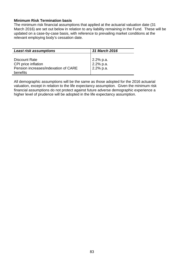#### **Minimum Risk Termination basis**

The minimum risk financial assumptions that applied at the actuarial valuation date (31 March 2016) are set out below in relation to any liability remaining in the Fund. These will be updated on a case-by-case basis, with reference to prevailing market conditions at the relevant employing body's cessation date.

| <b>Least risk assumptions</b>                    | 31 March 2016                           |
|--------------------------------------------------|-----------------------------------------|
| Discount Rate<br>CPI price inflation             | 2.2% p.a.<br>  2.2% p.a.<br>  2.2% p.a. |
| Pension increases/indexation of CARE<br>benefits |                                         |

All demographic assumptions will be the same as those adopted for the 2016 actuarial valuation, except in relation to the life expectancy assumption. Given the minimum risk financial assumptions do not protect against future adverse demographic experience a higher level of prudence will be adopted in the life expectancy assumption.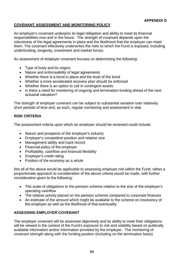# **COVENANT ASSESSMENT AND MONITORING POLICY**

An employer's covenant underpins its legal obligation and ability to meet its financial responsibilities now and in the future. The strength of covenant depends upon the robustness of the legal agreements in place and the likelihood that the employer can meet them. The covenant effectively underwrites the risks to which the Fund is exposed, including underfunding, longevity, investment and market forces.

An assessment of employer covenant focuses on determining the following:

- Type of body and its origins
- Nature and enforceability of legal agreements
- Whether there is a bond in place and the level of the bond
- Whether a more accelerated recovery plan should be enforced
- Whether there is an option to call in contingent assets
- Is there a need for monitoring of ongoing and termination funding ahead of the next actuarial valuation?

The strength of employer covenant can be subject to substantial variation over relatively short periods of time and, as such, regular monitoring and assessment is vital.

### **RISK CRITERIA**

The assessment criteria upon which an employer should be reviewed could include:

- Nature and prospects of the employer's industry
- Employer's competitive position and relative size
- Management ability and track record
- Financial policy of the employer
- Profitability, cashflow and financial flexibility
- Employer's credit rating
- Position of the economy as a whole

Not all of the above would be applicable to assessing employer risk within the Fund; rather a proportionate approach to consideration of the above criteria would be made, with further consideration given to the following:

- The scale of obligations to the pension scheme relative to the size of the employer's operating cashflow
- The relative priority placed on the pension scheme compared to corporate finances
- An estimate of the amount which might be available to the scheme on insolvency of the employer as well as the likelihood of that eventuality.

### **ASSESSING EMPLOYER COVENANT**

The employer covenant will be assessed objectively and its ability to meet their obligations will be viewed in the context of the Fund's exposure to risk and volatility based on publically available information and/or information provided by the employer. The monitoring of covenant strength along with the funding position (including on the termination basis)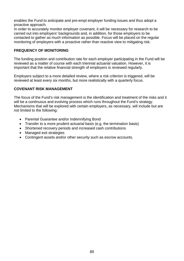enables the Fund to anticipate and pre-empt employer funding issues and thus adopt a proactive approach.

In order to accurately monitor employer covenant, it will be necessary for research to be carried out into employers' backgrounds and, in addition, for those employers to be contacted to gather as much information as possible. Focus will be placed on the regular monitoring of employers with a proactive rather than reactive view to mitigating risk.

### **FREQUENCY OF MONITORING**

The funding position and contribution rate for each employer participating in the Fund will be reviewed as a matter of course with each triennial actuarial valuation. However, it is important that the relative financial strength of employers is reviewed regularly.

Employers subject to a more detailed review, where a risk criterion is triggered, will be reviewed at least every six months, but more realistically with a quarterly focus.

### **COVENANT RISK MANAGEMENT**

The focus of the Fund's risk management is the identification and treatment of the risks and it will be a continuous and evolving process which runs throughout the Fund's strategy. Mechanisms that will be explored with certain employers, as necessary, will include but are not limited to the following:

- Parental Guarantee and/or Indemnifying Bond
- Transfer to a more prudent actuarial basis (e.g. the termination basis)
- Shortened recovery periods and increased cash contributions
- Managed exit strategies
- Contingent assets and/or other security such as escrow accounts.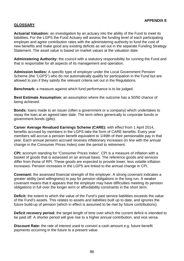# **GLOSSARY**

**Actuarial Valuation:** an investigation by an actuary into the ability of the Fund to meet its liabilities. For the LGPS the Fund Actuary will assess the funding level of each participating employer and agree contribution rates with the administering authority to fund the cost of new benefits and make good any existing deficits as set out in the separate Funding Strategy Statement. The asset value is based on market values at the valuation date.

**Administering Authority:** the council with a statutory responsibility for running the Fund and that is responsible for all aspects of its management and operation.

**Admission bodies:** A specific type of employer under the Local Government Pension Scheme (the "LGPS") who do not automatically qualify for participation in the Fund but are allowed to join if they satisfy the relevant criteria set out in the Regulations.

**Benchmark:** a measure against which fund performance is to be judged.

**Best Estimate Assumption:** an assumption where the outcome has a 50/50 chance of being achieved.

**Bonds:** loans made to an issuer (often a government or a company) which undertakes to repay the loan at an agreed later date. The term refers generically to corporate bonds or government bonds (gilts).

**Career Average Revalued Earnings Scheme (CARE):** with effect from 1 April 2014, benefits accrued by members in the LGPS take the form of CARE benefits. Every year members will accrue a pension benefit equivalent to 1/49th of their pensionable pay in that year. Each annual pension accrued receives inflationary increases (in line with the annual change in the Consumer Prices Index) over the period to retirement.

**CPI:** acronym standing for "Consumer Prices Index". CPI is a measure of inflation with a basket of goods that is assessed on an annual basis. The reference goods and services differ from those of RPI. These goods are expected to provide lower, less volatile inflation increases. Pension increases in the LGPS are linked to the annual change in CPI.

**Covenant:** the assessed financial strength of the employer. A strong covenant indicates a greater ability (and willingness) to pay for pension obligations in the long run. A weaker covenant means that it appears that the employer may have difficulties meeting its pension obligations in full over the longer term or affordability constraints in the short term.

**Deficit:** the extent to which the value of the Fund's past service liabilities exceeds the value of the Fund's assets. This relates to assets and liabilities built up to date, and ignores the future build-up of pension (which in effect is assumed to be met by future contributions).

**Deficit recovery period:** the target length of time over which the current deficit is intended to be paid off. A shorter period will give rise to a higher annual contribution, and vice versa.

**Discount Rate:** the rate of interest used to convert a cash amount e.g. future benefit payments occurring in the future to a present value.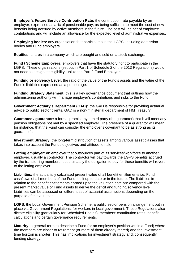**Employer's Future Service Contribution Rate:** the contribution rate payable by an employer, expressed as a % of pensionable pay, as being sufficient to meet the cost of new benefits being accrued by active members in the future. The cost will be net of employee contributions and will include an allowance for the expected level of administrative expenses.

**Employing bodies:** any organisation that participates in the LGPS, including admission bodies and Fund employers.

**Equities:** shares in a company which are bought and sold on a stock exchange.

**Fund / Scheme Employers:** employers that have the statutory right to participate in the LGPS. These organisations (set out in Part 1 of Schedule 2 of the 2013 Regulations) would not need to designate eligibility, unlike the Part 2 Fund Employers.

**Funding or solvency Level:** the ratio of the value of the Fund's assets and the value of the Fund's liabilities expressed as a percentage.

**Funding Strategy Statement:** this is a key governance document that outlines how the administering authority will manage employer's contributions and risks to the Fund.

**Government Actuary's Department (GAD):** the GAD is responsible for providing actuarial advice to public sector clients. GAD is a non-ministerial department of HM Treasury.

**Guarantee / guarantor:** a formal promise by a third party (the guarantor) that it will meet any pension obligations not met by a specified employer. The presence of a guarantor will mean, for instance, that the Fund can consider the employer's covenant to be as strong as its guarantor's.

**Investment Strategy:** the long-term distribution of assets among various asset classes that takes into account the Funds objectives and attitude to risk.

**Letting employer:** an employer that outsources part of its services/workforce to another employer, usually a contractor. The contractor will pay towards the LGPS benefits accrued by the transferring members, but ultimately the obligation to pay for these benefits will revert to the letting employer.

**Liabilities:** the actuarially calculated present value of all benefit entitlements i.e. Fund cashflows of all members of the Fund, built up to date or in the future. The liabilities in relation to the benefit entitlements earned up to the valuation date are compared with the present market value of Fund assets to derive the deficit and funding/solvency level. Liabilities can be assessed on different set of actuarial assumptions depending on the purpose of the valuation.

**LGPS**: the Local Government Pension Scheme, a public sector pension arrangement put in place via Government Regulations, for workers in local government. These Regulations also dictate eligibility (particularly for Scheduled Bodies), members' contribution rates, benefit calculations and certain governance requirements.

**Maturity:** a general term to describe a Fund (or an employer's position within a Fund) where the members are closer to retirement (or more of them already retired) and the investment time horizon is shorter. This has implications for investment strategy and, consequently, funding strategy.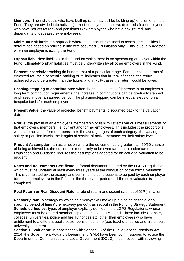**Members:** The individuals who have built up (and may still be building up) entitlement in the Fund. They are divided into actives (current employee members), deferreds (ex-employees who have not yet retired) and pensioners (ex-employees who have now retired, and dependants of deceased ex-employees).

**Minimum risk basis:** an approach where the discount rate used to assess the liabilities is determined based on returns in line with assumed CPI inflation only. This is usually adopted when an employer is exiting the Fund.

**Orphan liabilities:** liabilities in the Fund for which there is no sponsoring employer within the Fund. Ultimately orphan liabilities must be underwritten by all other employers in the Fund.

**Percentiles**: relative ranking (in hundredths) of a particular range. For example, in terms of expected returns a percentile ranking of 75 indicates that in 25% of cases, the return achieved would be greater than the figure, and in 75% cases the return would be lower.

**Phasing/stepping of contributions:** when there is an increase/decrease in an employer's long term contribution requirements, the increase in contributions can be gradually stepped or phased in over an agreed period. The phasing/stepping can be in equal steps or on a bespoke basis for each employer.

**Present Value:** the value of projected benefit payments, discounted back to the valuation date.

**Profile:** the profile of an employer's membership or liability reflects various measurements of that employer's members, i.e. current and former employees. This includes: the proportions which are active, deferred or pensioner; the average ages of each category; the varying salary or pension levels; the lengths of service of active members vs their salary levels, etc.

**Prudent Assumption:** an assumption where the outcome has a greater than 50/50 chance of being achieved i.e. the outcome is more likely to be overstated than understated. Legislation and Guidance requires the assumptions adopted for an actuarial valuation to be prudent.

**Rates and Adjustments Certificate:** a formal document required by the LGPS Regulations, which must be updated at least every three years at the conclusion of the formal valuation. This is completed by the actuary and confirms the contributions to be paid by each employer (or pool of employers) in the Fund for the three year period until the next valuation is completed.

**Real Return or Real Discount Rate:** a rate of return or discount rate net of (CPI) inflation.

**Recovery Plan:** a strategy by which an employer will make up a funding deficit over a specified period of time ("the recovery period"), as set out in the Funding Strategy Statement. **Scheduled bodies:** types of employer explicitly defined in the LGPS Regulations, whose employers must be offered membership of their local LGPS Fund. These include Councils, colleges, universities, police and fire authorities etc, other than employees who have entitlement to a different public sector pension scheme (e.g. teachers, police and fire officers, university lecturers).

**Section 13 Valuation:** in accordance with Section 13 of the Public Service Pensions Act 2014, the Government Actuary's Department (GAD) have been commissioned to advise the Department for Communities and Local Government (DCLG) in connection with reviewing